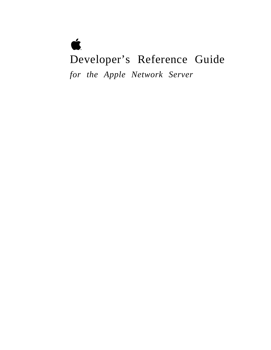# Ć Developer's Reference Guide *for the Apple Network Server*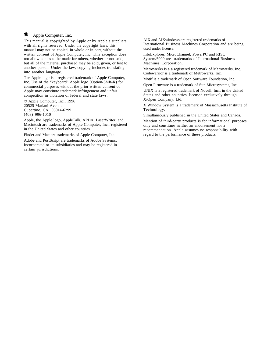#### Apple Computer, Inc.

This manual is copyrighted by Apple or by Apple's suppliers, with all rights reserved. Under the copyright laws, this manual may not be copied, in whole or in part, without the written consent of Apple Computer, Inc. This exception does not allow copies to be made for others, whether or not sold, but all of the material purchased may be sold, given, or lent to another person. Under the law, copying includes translating into another language.

The Apple logo is a registered trademark of Apple Computer, Inc. Use of the "keyboard" Apple logo (Option-Shift-K) for commercial purposes without the prior written consent of Apple may constitute trademark infringement and unfair competition in violation of federal and state laws.

© Apple Computer, Inc., 1996 20525 Mariani Avenue Cupertino, CA 95014-6299 (408) 996-1010

Apple, the Apple logo, AppleTalk, APDA, LaserWriter, and Macintosh are trademarks of Apple Computer, Inc., registered in the United States and other countries.

Finder and Mac are trademarks of Apple Computer, Inc.

Adobe and PostScript are trademarks of Adobe Systems, Incorporated or its subsidiaries and may be registered in certain jurisdictions.

AIX and AIXwindows are registered trademarks of International Business Machines Corporation and are being used under license.

InfoExplorer, MicroChannel, PowerPC and RISC System/6000 are trademarks of International Business Machines Corporation.

Metrowerks is a a registered trademark of Metrowerks, Inc. Codewarrior is a trademark of Metrowerks, Inc.

Motif is a trademark of Open Software Foundation, Inc.

Open Firmware is a trademark of Sun Microsystems, Inc.

UNIX is a registered trademark of Novell, Inc., in the United States and other countries, licensed exclusively through X/Open Company, Ltd.

X Window System is a trademark of Massachusetts Institute of Technology.

Simultaneously published in the United States and Canada.

Mention of third-party products is for informational purposes only and constitues neither an endorsement nor a recommendation. Apple assumes no responsibility with regard to the performance of these products.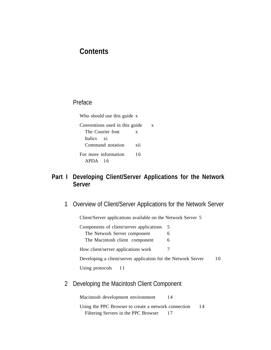### **Contents**

#### [Preface](#page-9-0)

| Who should use this guide x    |     |   |
|--------------------------------|-----|---|
| Conventions used in this guide |     | X |
| The Courier font               | X   |   |
| Italics xi                     |     |   |
| Command notation               | X11 |   |
| For more information           | 16  |   |
| $APDA = 16$                    |     |   |

### **[Part I Developing Client/Server Applications for the Network](#page-13-0) Server**

#### [1 Overview of Client/Server Applications for the Network Serve](#page-16-0)r

[Client/Server applications available on the Network Server 5](#page-17-0)

| 10 |
|----|
|    |
|    |
|    |

### [2 Developing the Macintosh Client Componen](#page-25-0)t

[Macintosh development environment 14](#page-26-0)

[Using the PPC Browser to create a network connection 14](#page-26-0) [Filtering Servers in the PPC Browser 17](#page-29-0)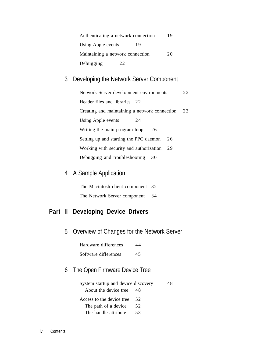| Authenticating a network connection |    | 19 |    |
|-------------------------------------|----|----|----|
| Using Apple events                  |    | 19 |    |
| Maintaining a network connection    |    |    | 20 |
| Debugging                           | 22 |    |    |

### [3 Developing the Network Server Component](#page-35-0)

| Network Server development environments       |    | 22 |
|-----------------------------------------------|----|----|
| Header files and libraries 22                 |    |    |
| Creating and maintaining a network connection |    | 23 |
| Using Apple events<br>24                      |    |    |
| Writing the main program loop<br>26           |    |    |
| Setting up and starting the PPC daemon        | 26 |    |
| Working with security and authorization       | 29 |    |
| Debugging and troubleshooting<br>30           |    |    |

### [4 A Sample Application](#page-45-0)

[The Macintosh client component 32](#page-46-0) [The Network Server component 34](#page-48-0)

### **Part II [Developing Device Drivers](#page-50-0)**

[5 Overview of Changes for the Network Server](#page-55-0)

| Hardware differences | 44 |
|----------------------|----|
| Software differences | 45 |

### [6 The Open Firmware Device Tree](#page-59-0)

| System startup and device discovery |    |  |
|-------------------------------------|----|--|
| About the device tree               | 48 |  |
| Access to the device tree           | 52 |  |
| The path of a device                | 52 |  |
| The handle attribute                | 53 |  |
|                                     |    |  |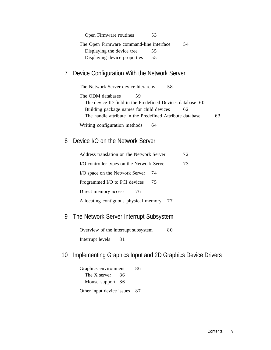|   | Open Firmware routines                                    | 53 |    |    |
|---|-----------------------------------------------------------|----|----|----|
|   | The Open Firmware command-line interface                  |    | 54 |    |
|   | Displaying the device tree                                | 55 |    |    |
|   | Displaying device properties                              | 55 |    |    |
| 7 | Device Configuration With the Network Server              |    |    |    |
|   | The Network Server device hierarchy                       | 58 |    |    |
|   | The ODM databases<br>59                                   |    |    |    |
|   | The device ID field in the Predefined Devices database 60 |    |    |    |
|   | Building package names for child devices                  |    | 62 |    |
|   | The handle attribute in the Predefined Attribute database |    |    | 63 |
|   | Writing configuration methods                             | 64 |    |    |
| 8 | Device I/O on the Network Server                          |    |    |    |
|   |                                                           |    |    |    |

| Address translation on the Network Server  | 72 |
|--------------------------------------------|----|
| I/O controller types on the Network Server | 73 |
| I/O space on the Network Server 74         |    |
| Programmed I/O to PCI devices<br>75        |    |
| Direct memory access<br>76                 |    |
| Allocating contiguous physical memory      | 77 |

### [9 The Network Server Interrupt Subsystem](#page-89-0)

[Overview of the interrupt subsystem 80](#page-90-0) [Interrupt levels 81](#page-91-0)

### [10 Implementing Graphics Input and 2D Graphics Device Drive](#page-93-0)rs

[Graphics environment 86](#page-94-0) [The X server 86](#page-94-0) [Mouse support 86](#page-94-0) [Other input device issues 87](#page-95-0)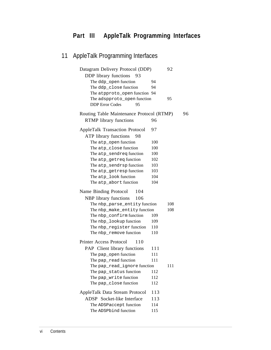### **Part III [AppleTalk Programming Interfaces](#page-96-0)**

### [11 AppleTalk Programming Interfaces](#page-98-0)

| Datagram Delivery Protocol (DDP)          |     | 92  |
|-------------------------------------------|-----|-----|
| DDP library functions<br>93               |     |     |
| The ddp_open function                     | 94  |     |
| The ddp_close function                    | 94  |     |
| The atpproto_open function 94             |     |     |
| The adspproto_open function               |     | 95  |
| <b>DDP</b> Error Codes<br>95              |     |     |
| Routing Table Maintenance Protocol (RTMP) |     | 96  |
| <b>RTMP</b> library functions             | 96  |     |
| <b>AppleTalk Transaction Protocol</b>     | 97  |     |
| ATP library functions<br>98               |     |     |
| The atp_open function                     | 100 |     |
| The atp_close function                    | 100 |     |
| The atp_sendreq function                  | 100 |     |
| The atp_getreq function                   | 102 |     |
| The atp_sendrsp function                  | 103 |     |
| The atp_getresp function                  | 103 |     |
| The atp_look function                     | 104 |     |
| The atp_abort function                    | 104 |     |
| Name Binding Protocol<br>104              |     |     |
| NBP library functions<br>106              |     |     |
| The nbp_parse_entity function             |     | 108 |
| The nbp_make_entity function              |     | 108 |
| The nbp_confirm function                  | 109 |     |
| The nbp_lookup function                   | 109 |     |
| The nbp_register function                 | 110 |     |
| The nbp_remove function                   | 110 |     |
| <b>Printer Access Protocol</b><br>110     |     |     |
| PAP Client library functions              | 111 |     |
| The pap_open function                     | 111 |     |
| The pap_read function                     | 111 |     |
| The pap_read_ignore function              |     | 111 |
| The pap_status function                   | 112 |     |
| The pap_write function                    | 112 |     |
| The pap_close function                    | 112 |     |
| AppleTalk Data Stream Protocol            | 113 |     |
| ADSP Socket-like Interface                | 113 |     |
| The ADSPaccept function                   | 114 |     |
| The ADSPbind function                     | 115 |     |
|                                           |     |     |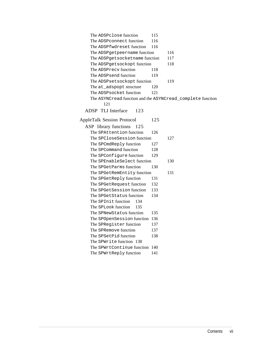| The ADSPclose function                                     | 115 |     |
|------------------------------------------------------------|-----|-----|
| The ADSP connect function                                  | 116 |     |
| The ADSPfwdreset function                                  | 116 |     |
| The ADSPgetpeername function                               |     | 116 |
| The ADSPgetsocketname function                             |     | 117 |
| The ADSPgetsockopt function                                |     | 118 |
| The ADSPrecy function                                      | 118 |     |
| The ADSPsend function                                      | 119 |     |
| The ADSPsetsockopt function                                |     | 119 |
| The at_adspopt structure                                   | 120 |     |
| The ADSPsocket function                                    | 121 |     |
| The ASYNCread function and the ASYNCread_complete function |     |     |
| 121                                                        |     |     |
| ADSP TLI Interface<br>123                                  |     |     |
| <b>AppleTalk Session Protocol</b>                          | 125 |     |
| ASP library functions<br>125                               |     |     |
| The SPAttention function                                   | 126 |     |
| The SPCloseSession function                                |     | 127 |
| The SPCmdReply function                                    | 127 |     |
| The SPCommand function                                     | 128 |     |
| The SPConfigure function                                   | 129 |     |
| The SPEnableSelect function                                |     | 130 |
| The SPGetParms function                                    | 130 |     |
| The SPGetRemEntity function                                |     | 131 |
| The SPGetReply function                                    | 131 |     |
| The SPGetRequest function                                  | 132 |     |
| The SPGetSession function                                  | 133 |     |
| The SPGetStatus function                                   | 134 |     |
| The SPInit function<br>134                                 |     |     |
| The SPLook function<br>135                                 |     |     |
| The SPNewStatus function                                   | 135 |     |
| The SPOpenSession function                                 | 136 |     |
| The SPRegister function                                    | 137 |     |
| The SPRemove function                                      | 137 |     |
| The SPSetPid function                                      | 138 |     |
| The SPWrite function 138                                   |     |     |
| The SPWrtContinue function                                 | 140 |     |
| The SPWrtReply function                                    | 141 |     |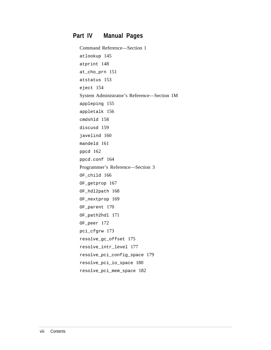### **[Part IV Manual Pages](#page-150-0)**

[Command Reference—Section 1](#page-150-0) [atlookup](#page-152-0) 145 [atprint](#page-155-0) 148 [at\\_cho\\_prn](#page-158-0) 151 [atstatus](#page-160-0) 153 [eject](#page-161-0) 154 [System Administrator's Reference—Section 1M](#page-162-0) [appleping](#page-162-0) 155 [appletalk](#page-163-0) 156 [cmdshld](#page-165-0) 158 [discusd](#page-166-0) 159 [javelind](#page-167-0) 160 [mandeld](#page-168-0) 161 [ppcd](#page-169-0) 162 [ppcd.conf](#page-171-0) 164 [Programmer's Reference—Section 3](#page-173-0) [OF\\_child](#page-173-0) 166 [OF\\_getprop](#page-174-0) 167 [OF\\_hdl2path](#page-175-0) 168 [OF\\_nextprop](#page-176-0) 169 [OF\\_parent](#page-177-0) 170 [OF\\_path2hdl](#page-178-0) 171 [OF\\_peer](#page-179-0) 172 [pci\\_cfgrw](#page-180-0) 173 [resolve\\_gc\\_offset](#page-182-0) 175 [resolve\\_intr\\_level](#page-184-0) 177 [resolve\\_pci\\_config\\_space](#page-186-0) 179 [resolve\\_pci\\_io\\_space](#page-187-0) 180 [resolve\\_pci\\_mem\\_space](#page-189-0) 182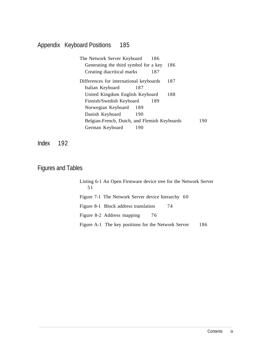## [Appendix Keyboard Positions 185](#page-191-0)

| The Network Server Keyboard<br>186           |     |
|----------------------------------------------|-----|
| Generating the third symbol for a key        | 186 |
| Creating diacritical marks<br>187            |     |
| Differences for international keyboards      | 187 |
| Italian Keyboard<br>187                      |     |
| United Kingdom English Keyboard              | 188 |
| 189<br>Finnish/Swedish Keyboard              |     |
| 189<br>Norwegian Keyboard                    |     |
| Danish Keyboard<br>190                       |     |
| Belgian-French, Dutch, and Flemish Keyboards | 190 |
| German Keyboard<br>190                       |     |

[Index 192](#page-197-0)

### Figures and Tables

| Listing 6-1 An Open Firmware device tree for the Network Server<br>51 |
|-----------------------------------------------------------------------|
| Figure 7-1 The Network Server device hierarchy 60                     |
| Figure 8-1 Block address translation<br>74                            |
| Figure 8-2 Address mapping<br>76                                      |
| Figure A-1 The key positions for the Network Server<br>186            |
|                                                                       |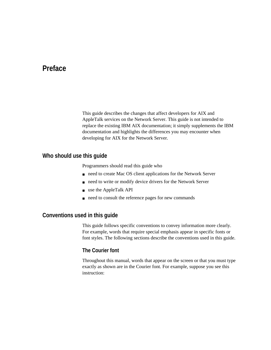### <span id="page-9-0"></span>**Preface**

This guide describes the changes that affect developers for AIX and AppleTalk services on the Network Server. This guide is not intended to replace the existing IBM AIX documentation; it simply supplements the IBM documentation and highlights the differences you may encounter when developing for AIX for the Network Server.

#### **Who should use this guide**

Programmers should read this guide who

- need to create Mac OS client applications for the Network Server
- need to write or modify device drivers for the Network Server
- use the AppleTalk API
- need to consult the reference pages for new commands

#### **Conventions used in this guide**

This guide follows specific conventions to convey information more clearly. For example, words that require special emphasis appear in specific fonts or font styles. The following sections describe the conventions used in this guide.

#### **The Courier font**

Throughout this manual, words that appear on the screen or that you must type exactly as shown are in the Courier font. For example, suppose you see this instruction: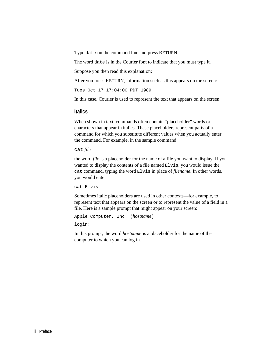<span id="page-10-0"></span>Type date on the command line and press RETURN.

The word date is in the Courier font to indicate that you must type it.

Suppose you then read this explanation:

After you press RETURN, information such as this appears on the screen:

Tues Oct 17 17:04:00 PDT 1989

In this case, Courier is used to represent the text that appears on the screen.

#### **Italics**

When shown in text, commands often contain "placeholder" words or characters that appear in italics. These placeholders represent parts of a command for which you substitute different values when you actually enter the command. For example, in the sample command

cat *file*

the word *file* is a placeholder for the name of a file you want to display. If you wanted to display the contents of a file named Elvis, you would issue the cat command, typing the word Elvis in place of *filename*. In other words, you would enter

cat Elvis

Sometimes italic placeholders are used in other contexts—for example, to represent text that appears on the screen or to represent the value of a field in a file. Here is a sample prompt that might appear on your screen:

Apple Computer, Inc. (*hostname*)

login:

In this prompt, the word *hostname* is a placeholder for the name of the computer to which you can log in.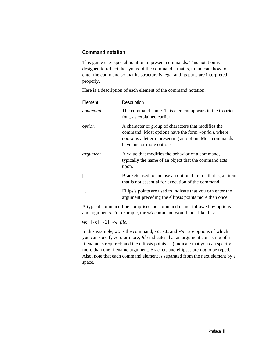#### <span id="page-11-0"></span>**Command notation**

This guide uses special notation to present commands. This notation is designed to reflect the syntax of the command—that is, to indicate how to enter the command so that its structure is legal and its parts are interpreted properly.

Here is a description of each element of the command notation.

| Element  | Description                                                                                                                                                                                                 |
|----------|-------------------------------------------------------------------------------------------------------------------------------------------------------------------------------------------------------------|
| command  | The command name. This element appears in the Courier<br>font, as explained earlier.                                                                                                                        |
| option   | A character or group of characters that modifies the<br>command. Most options have the form <i>-option</i> , where<br>option is a letter representing an option. Most commands<br>have one or more options. |
| argument | A value that modifies the behavior of a command,<br>typically the name of an object that the command acts<br>upon.                                                                                          |
| $\lceil$ | Brackets used to enclose an optional item—that is, an item<br>that is not essential for execution of the command.                                                                                           |
| $\cdots$ | Ellipsis points are used to indicate that you can enter the<br>argument preceding the ellipsis points more than once.                                                                                       |

A typical command line comprises the command name, followed by options and arguments. For example, the wc command would look like this:

wc [-c] [-l] [-w] *file*...

In this example, wc is the command,  $-c$ ,  $-1$ , and  $-w$  are options of which you can specify zero or more; *file* indicates that an argument consisting of a filename is required; and the ellipsis points (...) indicate that you can specify more than one filename argument. Brackets and ellipses are *not* to be typed. Also, note that each command element is separated from the next element by a space.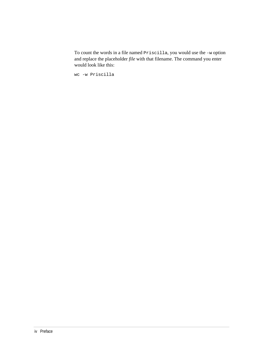To count the words in a file named Priscilla, you would use the -w option and replace the placeholder *file* with that filename. The command you enter would look like this:

wc -w Priscilla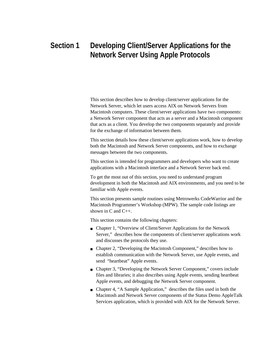### <span id="page-13-0"></span>**Section 1 Developing Client/Server Applications for the Network Server Using Apple Protocols**

This section describes how to develop client/server applications for the Network Server, which let users access AIX on Network Servers from Macintosh computers. These client/server applications have two components: a Network Server component that acts as a server and a Macintosh component that acts as a client. You develop the two components separately and provide for the exchange of information between them.

This section details how these client/server applications work, how to develop both the Macintosh and Network Server components, and how to exchange messages between the two components.

This section is intended for programmers and developers who want to create applications with a Macintosh interface and a Network Server back end.

To get the most out of this section, you need to understand program development in both the Macintosh and AIX environments, and you need to be familiar with Apple events.

This section presents sample routines using Metrowerks CodeWarrior and the Macintosh Programmer's Workshop (MPW). The sample code listings are shown in C and C++.

This section contains the following chapters:

- Chapter 1, "Overview of Client/Server Applications for the Network Server," describes how the components of client/server applications work and discusses the protocols they use.
- Chapter 2, "Developing the Macintosh Component," describes how to establish communication with the Network Server, use Apple events, and send "heartbeat" Apple events.
- Chapter 3, "Developing the Network Server Component," covers include files and libraries; it also describes using Apple events, sending heartbeat Apple events, and debugging the Network Server component.
- Chapter 4, "A Sample Application," describes the files used in both the Macintosh and Network Server components of the Status Demo AppleTalk Services application, which is provided with AIX for the Network Server.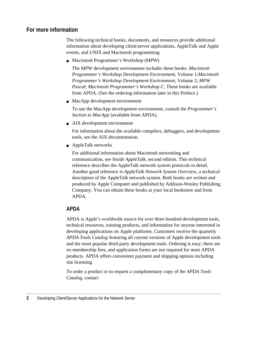#### **For more information**

The following technical books, documents, and resources provide additional information about developing client/server applications, AppleTalk and Apple events, and UNIX and Macintosh programming.

■ Macintosh Programmer's Workshop (MPW)

The MPW development environment includes these books: *Macintosh Programmer's Workshop Development Environment*, Volume 1;*Macintosh Programmer's Workshop Development Environment*, Volume 2; *MPW Pascal*; *Macintosh Programmer's Workshop C*. These books are available from APDA. (See the ordering information later in this Preface.)

■ MacApp development environment

To use the MacApp development environment, consult the *Programmer's Section to MacApp* (available from APDA).

■ AIX development environment

For information about the available compilers, debuggers, and development tools, see the AIX documentation.

■ AppleTalk networks

For additional information about Macintosh networking and communication, see *Inside AppleTalk*, second edition. This technical reference describes the AppleTalk network system protocols in detail. Another good reference is *AppleTalk Network System Overview*, a technical description of the AppleTalk network system. Both books are written and produced by Apple Computer and published by Addison-Wesley Publishing Company. You can obtain these books at your local bookstore and from APDA.

#### **APDA**

APDA is Apple's worldwide source for over three hundred development tools, technical resources, training products, and information for anyone interested in developing applications on Apple platforms. Customers receive the quarterly *APDA Tools Catalog* featuring all current versions of Apple development tools and the most popular third-party development tools. Ordering is easy; there are no membership fees, and application forms are not required for most APDA products. APDA offers convenient payment and shipping options including site licensing.

To order a product or to request a complimentary copy of the *APDA Tools Catalog*, contact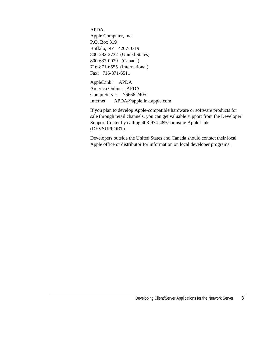APDA Apple Computer, Inc. P.O. Box 319 Buffalo, NY 14207-0319 800-282-2732 (United States) 800-637-0029 (Canada) 716-871-6555 (International) Fax: 716-871-6511

AppleLink: APDA America Online: APDA CompuServe: 76666,2405 Internet: APDA@applelink.apple.com

If you plan to develop Apple-compatible hardware or software products for sale through retail channels, you can get valuable support from the Developer Support Center by calling 408-974-4897 or using AppleLink (DEVSUPPORT).

Developers outside the United States and Canada should contact their local Apple office or distributor for information on local developer programs.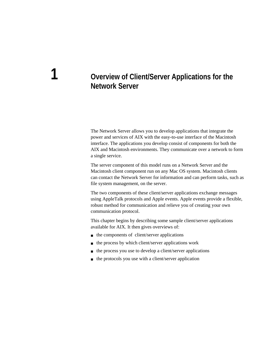### <span id="page-16-0"></span>**1 Overview of Client/Server Applications for the Network Server**

The Network Server allows you to develop applications that integrate the power and services of AIX with the easy-to-use interface of the Macintosh interface. The applications you develop consist of components for both the AIX and Macintosh environments. They communicate over a network to form a single service.

The server component of this model runs on a Network Server and the Macintosh client component run on any Mac OS system. Macintosh clients can contact the Network Server for information and can perform tasks, such as file system management, on the server.

The two components of these client/server applications exchange messages using AppleTalk protocols and Apple events. Apple events provide a flexible, robust method for communication and relieve you of creating your own communication protocol.

This chapter begins by describing some sample client/server applications available for AIX. It then gives overviews of:

- the components of client/server applications
- the process by which client/server applications work
- the process you use to develop a client/server applications
- the protocols you use with a client/server application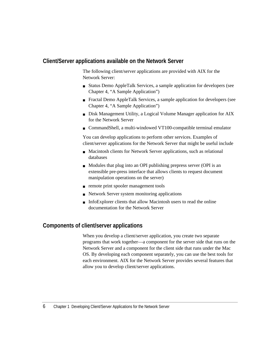#### <span id="page-17-0"></span>**Client/Server applications available on the Network Server**

The following client/server applications are provided with AIX for the Network Server:

- Status Demo AppleTalk Services, a sample application for developers (see Chapter 4, "A Sample Application")
- Fractal Demo AppleTalk Services, a sample application for developers (see Chapter 4, "A Sample Application")
- Disk Management Utility, a Logical Volume Manager application for AIX for the Network Server
- CommandShell, a multi-windowed VT100-compatible terminal emulator

You can develop applications to perform other services. Examples of client/server applications for the Network Server that might be useful include

- Macintosh clients for Network Server applications, such as relational databases
- Modules that plug into an OPI publishing prepress server (OPI is an extensible pre-press interface that allows clients to request document manipulation operations on the server)
- remote print spooler management tools
- Network Server system monitoring applications
- InfoExplorer clients that allow Macintosh users to read the online documentation for the Network Server

#### **Components of client/server applications**

When you develop a client/server application, you create two separate programs that work together—a component for the server side that runs on the Network Server and a component for the client side that runs under the Mac OS. By developing each component separately, you can use the best tools for each environment. AIX for the Network Server provides several features that allow you to develop client/server applications.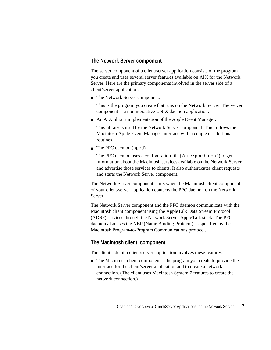#### <span id="page-18-0"></span>**The Network Server component**

The server component of a client/server application consists of the program you create and uses several server features available on AIX for the Network Server. Here are the primary components involved in the server side of a client/server application:

■ The Network Server component.

This is the program you create that runs on the Network Server. The server component is a noninteractive UNIX daemon application.

■ An AIX library implementation of the Apple Event Manager.

This library is used by the Network Server component. This follows the Macintosh Apple Event Manager interface with a couple of additional routines.

■ The PPC daemon (ppcd).

The PPC daemon uses a configuration file (/etc/ppcd.conf) to get information about the Macintosh services available on the Network Server and advertise those services to clients. It also authenticates client requests and starts the Network Server component.

The Network Server component starts when the Macintosh client component of your client/server application contacts the PPC daemon on the Network Server.

The Network Server component and the PPC daemon communicate with the Macintosh client component using the AppleTalk Data Stream Protocol (ADSP) services through the Network Server AppleTalk stack. The PPC daemon also uses the NBP (Name Binding Protocol) as specified by the Macintosh Program-to-Program Communications protocol.

#### **The Macintosh client component**

The client side of a client/server application involves these features:

■ The Macintosh client component—the program you create to provide the interface for the client/server application and to create a network connection. (The client uses Macintosh System 7 features to create the network connection.)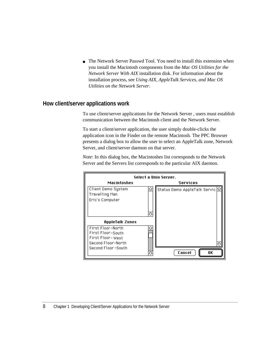<span id="page-19-0"></span>■ The Network Server Passwd Tool. You need to install this extension when you install the Macintosh components from the *Mac OS Utilities for the Network Server With AIX* installation disk. For information about the installation process, see *Using AIX, AppleTalk Services, and Mac OS Utilities on the Network Server*.

#### **How client/server applications work**

To use client/server applications for the Network Server , users must establish communication between the Macintosh client and the Network Server.

To start a client/server application, the user simply double-clicks the application icon in the Finder on the remote Macintosh. The PPC Browser presents a dialog box to allow the user to select an AppleTalk zone, Network Server, and client/server daemon on that server.

*Note*: In this dialog box, the Macintoshes list corresponds to the Network Server and the Servers list corresponds to the particular AIX daemon.

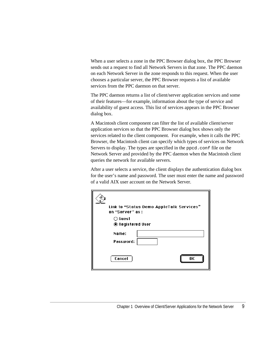When a user selects a zone in the PPC Browser dialog box, the PPC Browser sends out a request to find all Network Servers in that zone. The PPC daemon on each Network Server in the zone responds to this request. When the user chooses a particular server, the PPC Browser requests a list of available services from the PPC daemon on that server.

The PPC daemon returns a list of client/server application services and some of their features—for example, information about the type of service and availability of guest access. This list of services appears in the PPC Browser dialog box.

A Macintosh client component can filter the list of available client/server application services so that the PPC Browser dialog box shows only the services related to the client component. For example, when it calls the PPC Browser, the Macintosh client can specify which types of services on Network Servers to display. The types are specified in the ppcd.conf file on the Network Server and provided by the PPC daemon when the Macintosh client queries the network for available servers.

After a user selects a service, the client displays the authentication dialog box for the user's name and password. The user must enter the name and password of a valid AIX user account on the Network Server.

|                  | Link to "Status Demo AppleTalk Services" |    |
|------------------|------------------------------------------|----|
|                  | on "Server" as :                         |    |
| $\bigcirc$ Guest |                                          |    |
|                  | ◉ Registered User                        |    |
|                  |                                          |    |
| Name:            |                                          |    |
| Password:        |                                          |    |
| Cancel           |                                          | ΩK |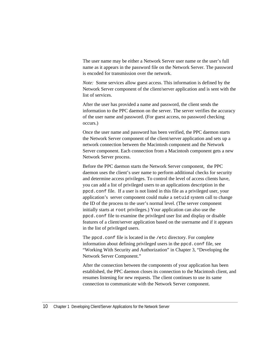The user name may be either a Network Server user name or the user's full name as it appears in the password file on the Network Server. The password is encoded for transmission over the network.

*Note:* Some services allow guest access. This information is defined by the Network Server component of the client/server application and is sent with the list of services.

After the user has provided a name and password, the client sends the information to the PPC daemon on the server. The server verifies the accuracy of the user name and password. (For guest access, no password checking occurs.)

Once the user name and password has been verified, the PPC daemon starts the Network Server component of the client/server application and sets up a network connection between the Macintosh component and the Network Server component. Each connection from a Macintosh component gets a new Network Server process.

Before the PPC daemon starts the Network Server component, the PPC daemon uses the client's user name to perform additional checks for security and determine access privileges. To control the level of access clients have, you can add a list of privileged users to an applications description in the ppcd.conf file. If a user is not listed in this file as a privileged user, your application's server component could make a setuid system call to change the ID of the process to the user's normal level. (The server component initially starts at root privileges.) Your application can also use the ppcd.conf file to examine the privileged user list and display or disable features of a client/server application based on the username and if it appears in the list of privileged users.

The ppcd.conf file is located in the /etc directory. For complete information about defining privileged users in the ppcd.conf file, see "Working With Security and Authorization" in Chapter 3, "Developing the Network Server Component."

After the connection between the components of your application has been established, the PPC daemon closes its connection to the Macintosh client, and resumes listening for new requests. The client continues to use its same connection to communicate with the Network Server component.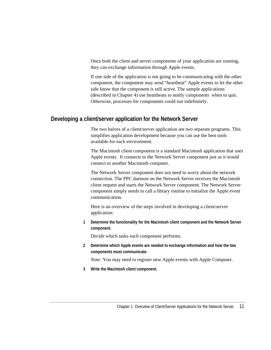<span id="page-22-0"></span>Once both the client and server components of your application are running, they can exchange information through Apple events.

If one side of the application is not going to be communicating with the other component, the component may send "heartbeat" Apple events to let the other side know that the component is still active. The sample applications (described in Chapter 4) use heartbeats to notify components when to quit. Otherwise, processes for components could run indefinitely.

### **Developing a client/server application for the Network Server**

The two halves of a client/server application are two separate programs. This simplifies application development because you can use the best tools available for each environment.

The Macintosh client component is a standard Macintosh application that uses Apple events. It connects to the Network Server component just as it would connect to another Macintosh computer.

The Network Server component does not need to worry about the network connection. The PPC daemon on the Network Server receives the Macintosh client request and starts the Network Server component. The Network Server component simply needs to call a library routine to initialize the Apple event communication.

Here is an overview of the steps involved in developing a client/server application:

**1 Determine the functionality for the Macintosh client component and the Network Server component.**

Decide which tasks each component performs.

**2 Determine which Apple events are needed to exchange information and how the two components must communicate.**

*Note:* You may need to register new Apple events with Apple Computer.

**3 Write the Macintosh client component.**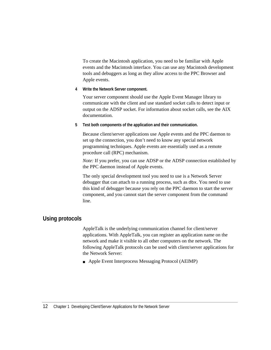<span id="page-23-0"></span>To create the Macintosh application, you need to be familiar with Apple events and the Macintosh interface. You can use any Macintosh development tools and debuggers as long as they allow access to the PPC Browser and Apple events.

#### **4 Write the Network Server component.**

Your server component should use the Apple Event Manager library to communicate with the client and use standard socket calls to detect input or output on the ADSP socket. For information about socket calls, see the AIX documentation.

#### **5 Test both components of the application and their communication.**

Because client/server applications use Apple events and the PPC daemon to set up the connection, you don't need to know any special network programming techniques. Apple events are essentially used as a remote procedure call (RPC) mechanism.

*Note:* If you prefer, you can use ADSP or the ADSP connection established by the PPC daemon instead of Apple events.

The only special development tool you need to use is a Network Server debugger that can attach to a running process, such as dbx. You need to use this kind of debugger because you rely on the PPC daemon to start the server component, and you cannot start the server component from the command line.

#### **Using protocols**

AppleTalk is the underlying communication channel for client/server applications. With AppleTalk, you can register an application name on the network and make it visible to all other computers on the network. The following AppleTalk protocols can be used with client/server applications for the Network Server:

■ Apple Event Interprocess Messaging Protocol (AEIMP)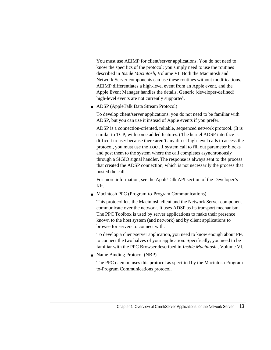You must use AEIMP for client/server applications. You do not need to know the specifics of the protocol; you simply need to use the routines described in *Inside Macintosh,* Volume VI. Both the Macintosh and Network Server components can use these routines without modifications. AEIMP differentiates a high-level event from an Apple event, and the Apple Event Manager handles the details. Generic (developer-defined) high-level events are not currently supported.

■ ADSP (AppleTalk Data Stream Protocol)

To develop client/server applications, you do not need to be familiar with ADSP, but you can use it instead of Apple events if you prefer.

ADSP is a connection-oriented, reliable, sequenced network protocol. (It is similar to TCP, with some added features.) The kernel ADSP interface is difficult to use: because there aren't any direct high-level calls to access the protocol, you must use the ioctl system call to fill out parameter blocks and post them to the system where the call completes asynchronously through a SIGIO signal handler. The response is always sent to the process that created the ADSP connection, which is not necessarily the process that posted the call.

For more information, see the AppleTalk API section of the Developer's Kit.

■ Macintosh PPC (Program-to-Program Communications)

This protocol lets the Macintosh client and the Network Server component communicate over the network. It uses ADSP as its transport mechanism. The PPC Toolbox is used by server applications to make their presence known to the host system (and network) and by client applications to browse for servers to connect with.

To develop a client/server application, you need to know enough about PPC to connect the two halves of your application. Specifically, you need to be familiar with the PPC Browser described in *Inside Macintosh ,* Volume VI.

■ Name Binding Protocol (NBP)

The PPC daemon uses this protocol as specified by the Macintosh Programto-Program Communications protocol.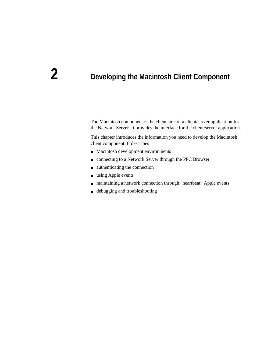# <span id="page-25-0"></span>**2 Developing the Macintosh Client Component**

The Macintosh component is the client side of a client/server application for the Network Server. It provides the interface for the client/server application.

This chapter introduces the information you need to develop the Macintosh client component. It describes

- Macintosh development environments
- connecting to a Network Server through the PPC Browser
- authenticating the connection
- using Apple events
- maintaining a network connection through "heartbeat" Apple events
- debugging and troubleshooting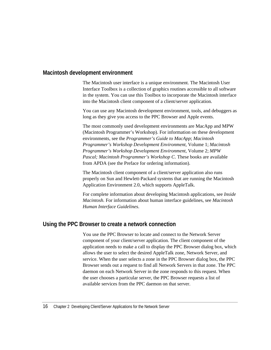#### <span id="page-26-0"></span>**Macintosh development environment**

The Macintosh user interface is a unique environment. The Macintosh User Interface Toolbox is a collection of graphics routines accessible to all software in the system. You can use this Toolbox to incorporate the Macintosh interface into the Macintosh client component of a client/server application.

You can use any Macintosh development environment, tools, and debuggers as long as they give you access to the PPC Browser and Apple events.

The most commonly used development environments are MacApp and MPW (Macintosh Programmer's Workshop). For information on these development environments, see the *Programmer's Guide to MacApp*; *Macintosh Programmer's Workshop Development Environment*, Volume 1; *Macintosh Programmer's Workshop Development Environment*, Volume 2; *MPW Pascal; Macintosh Programmer's Workshop C*. These books are available from APDA (see the Preface for ordering information).

The Macintosh client component of a client/server application also runs properly on Sun and Hewlett-Packard systems that are running the Macintosh Application Environment 2.0, which supports AppleTalk.

For complete information about developing Macintosh applications, see *Inside Macintosh.* For information about human interface guidelines, see *Macintosh Human Interface Guidelines*.

#### **Using the PPC Browser to create a network connection**

You use the PPC Browser to locate and connect to the Network Server component of your client/server application. The client component of the application needs to make a call to display the PPC Browser dialog box, which allows the user to select the desired AppleTalk zone, Network Server, and service. When the user selects a zone in the PPC Browser dialog box, the PPC Browser sends out a request to find all Network Servers in that zone. The PPC daemon on each Network Server in the zone responds to this request. When the user chooses a particular server, the PPC Browser requests a list of available services from the PPC daemon on that server.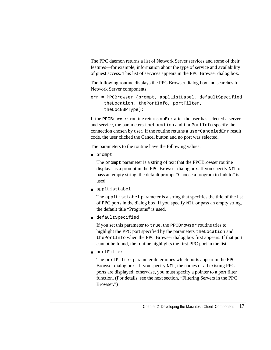The PPC daemon returns a list of Network Server services and some of their features—for example, information about the type of service and availability of guest access. This list of services appears in the PPC Browser dialog box.

The following routine displays the PPC Browser dialog box and searches for Network Server components.

err = PPCBrowser (prompt, applListLabel, defaultSpecified, theLocation, thePortInfo, portFilter, theLocNBPType);

If the PPCBrowser routine returns noErr after the user has selected a server and service, the parameters theLocation and thePortInfo specify the connection chosen by user. If the routine returns a userCanceledErr result code, the user clicked the Cancel button and no port was selected.

The parameters to the routine have the following values:

■ prompt

The prompt parameter is a string of text that the PPCBrowser routine displays as a prompt in the PPC Browser dialog box. If you specify NIL or pass an empty string, the default prompt "Choose a program to link to" is used.

■ applListLabel

The applListLabel parameter is a string that specifies the title of the list of PPC ports in the dialog box. If you specify NIL or pass an empty string, the default title "Programs" is used.

■ defaultSpecified

If you set this parameter to true, the PPCBrowser routine tries to highlight the PPC port specified by the parameters theLocation and thePortInfo when the PPC Browser dialog box first appears. If that port cannot be found, the routine highlights the first PPC port in the list.

■ portFilter

The portFilter parameter determines which ports appear in the PPC Browser dialog box. If you specify NIL, the names of all existing PPC ports are displayed; otherwise, you must specify a pointer to a port filter function. (For details, see the next section, "Filtering Servers in the PPC Browser.")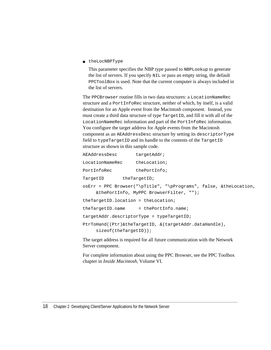■ theLocNBPType

This parameter specifies the NBP type passed to NBPLookup to generate the list of servers. If you specify NIL or pass an empty string, the default PPCToolBox is used. Note that the current computer is always included in the list of servers.

The PPCBrowser routine fills in two data structures: a LocationNameRec structure and a PortInfoRec structure, neither of which, by itself, is a valid destination for an Apple event from the Macintosh component. Instead, you must create a third data structure of type TargetID, and fill it with all of the LocationNameRec information and part of the PortInfoRec information. You configure the target address for Apple events from the Macintosh component as an AEAddressDesc structure by setting its descriptorType field to typeTargetID and its handle to the contents of the TargetID structure as shown in this sample code.

| AEAddressDesc                                                                              | targetAddr;                                                                                                    |  |
|--------------------------------------------------------------------------------------------|----------------------------------------------------------------------------------------------------------------|--|
| LocationNameRec theLocation;                                                               |                                                                                                                |  |
| PortInfoRec                                                                                | thePortInfo;                                                                                                   |  |
| TargetID theTargetID;                                                                      |                                                                                                                |  |
|                                                                                            | osErr = PPC Browser("\pTitle", "\pPrograms", false, & the Location,<br>&thePortInfo, MyPPC BrowserFilter, ""); |  |
| $the TargetID. location = theLocation$                                                     |                                                                                                                |  |
|                                                                                            | $the TargetID.name = the PortInfo.name$                                                                        |  |
|                                                                                            | $targetAddr.descriptorType = typeTargetID;$                                                                    |  |
| $PtrToHand( (Ptr) & theTargetID, & (targetAddr.dataH andle)$ ,<br>$sizeof(therargetID))$ ; |                                                                                                                |  |

The target address is required for all future communication with the Network Server component.

For complete information about using the PPC Browser, see the PPC Toolbox chapter in *Inside Macintosh,* Volume VI.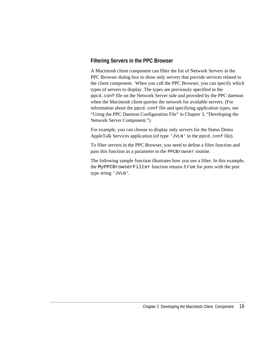#### <span id="page-29-0"></span>**Filtering Servers in the PPC Browser**

A Macintosh client component can filter the list of Network Servers in the PPC Browser dialog box to show only servers that provide services related to the client component. When you call the PPC Browser, you can specify which types of servers to display. The types are previously specified in the ppcd.conf file on the Network Server side and provided by the PPC daemon when the Macintosh client queries the network for available servers. (For information about the ppcd.conf file and specifying application types, see "Using the PPC Daemon Configuration File" in Chapter 3, "Developing the Network Server Component.")

For example, you can choose to display only servers for the Status Demo AppleTalk Services application (of type 'JVLN' in the ppcd.conf file).

To filter servers in the PPC Browser, you need to define a filter function and pass this function as a parameter to the PPCBrowser routine.

The following sample function illustrates how you use a filter. In this example, the MyPPCBrowserFilter function returns true for ports with the port type string 'JVLN'.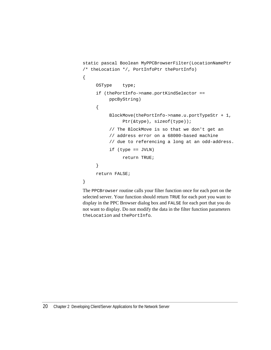```
static pascal Boolean MyPPCBrowserFilter(LocationNamePtr
/* theLocation */, PortInfoPtr thePortInfo)
{
     OSType type;
     if (thePortInfo->name.portKindSelector == 
          ppcByString)
     {
          BlockMove(thePortInfo->name.u.portTypeStr + 1, 
               Ptr(&type), sizeof(type));
          // The BlockMove is so that we don't get an
          // address error on a 68000-based machine 
          // due to referencing a long at an odd-address.
          if (type == JVLN)
               return TRUE;
     }
     return FALSE;
}
```
The PPCBrowser routine calls your filter function once for each port on the selected server. Your function should return TRUE for each port you want to display in the PPC Browser dialog box and FALSE for each port that you do not want to display. Do not modify the data in the filter function parameters theLocation and thePortInfo.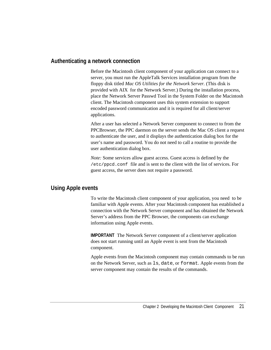#### <span id="page-31-0"></span>**Authenticating a network connection**

Before the Macintosh client component of your application can connect to a server, you must run the AppleTalk Services installation program from the floppy disk titled *Mac OS Utilities for the Network Server.* (This disk is provided with AIX for the Network Server.) During the installation process, place the Network Server Passwd Tool in the System Folder on the Macintosh client. The Macintosh component uses this system extension to support encoded password communication and it is required for all client/server applications.

After a user has selected a Network Server component to connect to from the PPCBrowser, the PPC daemon on the server sends the Mac OS client a request to authenticate the user, and it displays the authentication dialog box for the user's name and password. You do not need to call a routine to provide the user authentication dialog box.

*Note:* Some services allow guest access. Guest access is defined by the /etc/ppcd.conf file and is sent to the client with the list of services. For guest access, the server does not require a password.

#### **Using Apple events**

To write the Macintosh client component of your application, you need to be familiar with Apple events. After your Macintosh component has established a connection with the Network Server component and has obtained the Network Server's address from the PPC Browser, the components can exchange information using Apple events.

**IMPORTANT** The Network Server component of a client/server application does not start running until an Apple event is sent from the Macintosh component.

Apple events from the Macintosh component may contain commands to be run on the Network Server, such as ls, date, or format. Apple events from the server component may contain the results of the commands.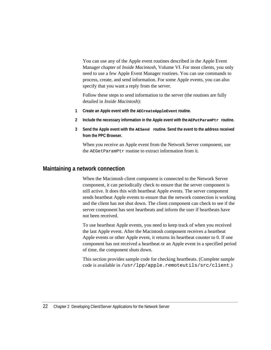<span id="page-32-0"></span>You can use any of the Apple event routines described in the Apple Event Manager chapter of *Inside Macintosh*, Volume VI. For most clients, you only need to use a few Apple Event Manager routines. You can use commands to process, create, and send information. For some Apple events, you can also specify that you want a reply from the server.

Follow these steps to send information to the server (the routines are fully detailed in *Inside Macintosh*):

- **1 Create an Apple event with the AECreateAppleEvent routine.**
- **2** Include the necessary information in the Apple event with the **AEPutParamPtr** routine.
- **3 Send the Apple event with the AESend routine. Send the event to the address received from the PPC Browser.**

When you receive an Apple event from the Network Server component, use the AEGetParamPtr routine to extract information from it.

#### **Maintaining a network connection**

When the Macintosh client component is connected to the Network Server component, it can periodically check to ensure that the server component is still active. It does this with heartbeat Apple events. The server component sends heartbeat Apple events to ensure that the network connection is working and the client has not shut down. The client component can check to see if the server component has sent heartbeats and inform the user if heartbeats have not been received.

To use heartbeat Apple events, you need to keep track of when you received the last Apple event. After the Macintosh component receives a heartbeat Apple events or other Apple event, it returns its heartbeat counter to 0. If one component has not received a heartbeat or an Apple event in a specified period of time, the component shuts down.

This section provides sample code for checking heartbeats. (Complete sample code is available in /usr/lpp/apple.remoteutils/src/client.)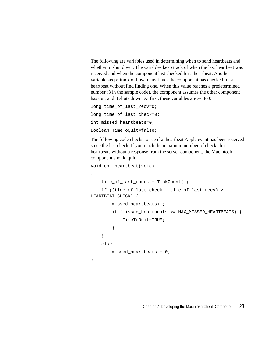The following are variables used in determining when to send heartbeats and whether to shut down. The variables keep track of when the last heartbeat was received and when the component last checked for a heartbeat. Another variable keeps track of how many times the component has checked for a heartbeat without find finding one. When this value reaches a predetermined number (3 in the sample code), the component assumes the other component has quit and it shuts down. At first, these variables are set to 0.

```
long time_of_last_recv=0;
long time_of_last_check=0;
int missed_heartbeats=0;
Boolean TimeToQuit=false;
```
The following code checks to see if a heartbeat Apple event has been received since the last check. If you reach the maximum number of checks for heartbeats without a response from the server component, the Macintosh component should quit.

```
void chk_heartbeat(void)
{
     time_of_last_check = TickCount();
     if ((time_of_last_check - time_of_last_recv) >
HEARTBEAT_CHECK) {
         missed_heartbeats++;
        if (missed heartbeats >= MAX MISSED HEARTBEATS) {
             TimeToQuit=TRUE;
         }
     }
     else
        missed heartbeats = 0;}
```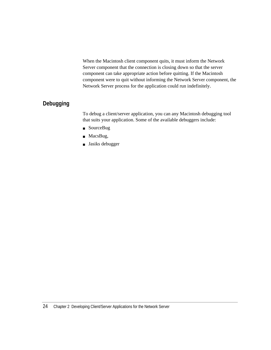<span id="page-34-0"></span>When the Macintosh client component quits, it must inform the Network Server component that the connection is closing down so that the server component can take appropriate action before quitting. If the Macintosh component were to quit without informing the Network Server component, the Network Server process for the application could run indefinitely.

#### **Debugging**

To debug a client/server application, you can any Macintosh debugging tool that suits your application. Some of the available debuggers include:

- SourceBug
- MacsBug,
- Jasiks debugger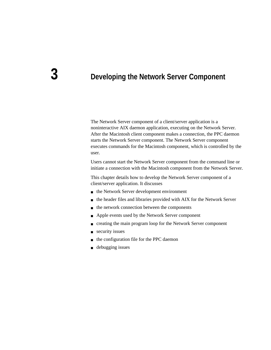### **3 Developing the Network Server Component**

The Network Server component of a client/server application is a noninteractive AIX daemon application, executing on the Network Server. After the Macintosh client component makes a connection, the PPC daemon starts the Network Server component. The Network Server component executes commands for the Macintosh component, which is controlled by the user.

Users cannot start the Network Server component from the command line or initiate a connection with the Macintosh component from the Network Server.

This chapter details how to develop the Network Server component of a client/server application. It discusses

- the Network Server development environment
- the header files and libraries provided with AIX for the Network Server
- the network connection between the components
- Apple events used by the Network Server component
- creating the main program loop for the Network Server component
- security issues
- the configuration file for the PPC daemon
- debugging issues

<span id="page-35-0"></span>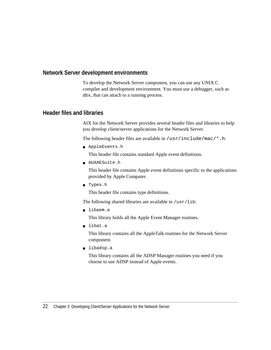#### **Network Server development environments**

To develop the Network Server component, you can use any UNIX C compiler and development environment. You must use a debugger, such as dbx, that can attach to a running process.

### **Header files and libraries**

AIX for the Network Server provides several header files and libraries to help you develop client/server applications for the Network Server.

The following header files are available in /usr/include/mac/\*.h:

■ AppleEvents.h

This header file contains standard Apple event definitions.

■ AUXAESuite.h

This header file contains Apple event definitions specific to the applications provided by Apple Computer.

■ Types.h

This header file contains type definitions.

The following shared libraries are available in /usr/lib:

■ libaem.a

This library holds all the Apple Event Manager routines.

■ libat.a

This library contains all the AppleTalk routines for the Network Server component.

■ libadsp.a

This library contains all the ADSP Manager routines you need if you choose to use ADSP instead of Apple events.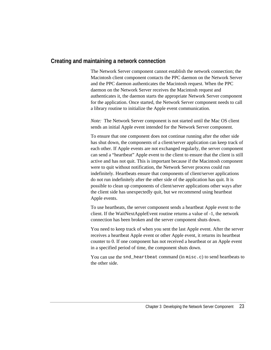#### **Creating and maintaining a network connection**

The Network Server component cannot establish the network connection; the Macintosh client component contacts the PPC daemon on the Network Server and the PPC daemon authenticates the Macintosh request. When the PPC daemon on the Network Server receives the Macintosh request and authenticates it, the daemon starts the appropriate Network Server component for the application. Once started, the Network Server component needs to call a library routine to initialize the Apple event communication.

*Note:* The Network Server component is not started until the Mac OS client sends an initial Apple event intended for the Network Server component.

To ensure that one component does not continue running after the other side has shut down, the components of a client/server application can keep track of each other. If Apple events are not exchanged regularly, the server component can send a "heartbeat" Apple event to the client to ensure that the client is still active and has not quit. This is important because if the Macintosh component were to quit without notification, the Network Server process could run indefinitely. Heartbeats ensure that components of client/server applications do not run indefinitely after the other side of the application has quit. It is possible to clean up components of client/server applications other ways after the client side has unexpectedly quit, but we recommend using heartbeat Apple events.

To use heartbeats, the server component sends a heartbeat Apple event to the client. If the WaitNextAppleEvent routine returns a value of -1, the network connection has been broken and the server component shuts down.

You need to keep track of when you sent the last Apple event. After the server receives a heartbeat Apple event or other Apple event, it returns its heartbeat counter to 0. If one component has not received a heartbeat or an Apple event in a specified period of time, the component shuts down.

You can use the snd heartbeat command (in misc.c) to send heartbeats to the other side.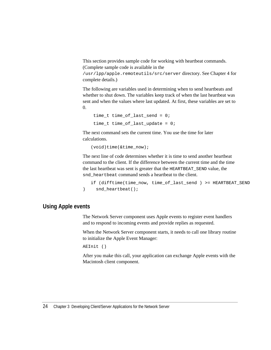This section provides sample code for working with heartbeat commands. (Complete sample code is available in the

/usr/lpp/apple.remoteutils/src/server directory. See Chapter 4 for complete details.)

The following are variables used in determining when to send heartbeats and whether to shut down. The variables keep track of when the last heartbeat was sent and when the values where last updated. At first, these variables are set to 0.

```
 time_t time_of_last_send = 0;
time t time of last update = 0;
```
The next command sets the current time. You use the time for later calculations.

(void)time(&time\_now);

The next line of code determines whether it is time to send another heartbeat command to the client. If the difference between the current time and the time the last heartbeat was sent is greater that the HEARTBEAT\_SEND value, the snd\_heartbeat command sends a heartbeat to the client.

```
if (difftime(time now, time of last send ) >= HEARTBEAT SEND
) snd_heartbeat();
```
#### **Using Apple events**

The Network Server component uses Apple events to register event handlers and to respond to incoming events and provide replies as requested.

When the Network Server component starts, it needs to call one library routine to initialize the Apple Event Manager:

```
AEInit ()
```
After you make this call, your application can exchange Apple events with the Macintosh client component.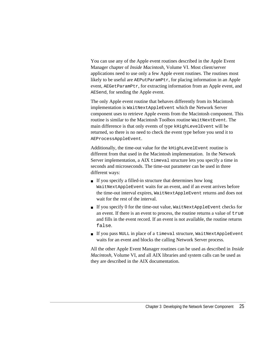You can use any of the Apple event routines described in the Apple Event Manager chapter of *Inside Macintosh*, Volume VI. Most client/server applications need to use only a few Apple event routines. The routines most likely to be useful are AEPutParamPtr, for placing information in an Apple event, AEGetParamPtr, for extracting information from an Apple event, and AESend, for sending the Apple event.

The only Apple event routine that behaves differently from its Macintosh implementation is WaitNextAppleEvent which the Network Server component uses to retrieve Apple events from the Macintosh component. This routine is similar to the Macintosh Toolbox routine WaitNextEvent. The main difference is that only events of type kHighLevelEvent will be returned, so there is no need to check the event type before you send it to AEProcessAppleEvent.

Additionally, the time-out value for the kHighLevelEvent routine is different from that used in the Macintosh implementation. In the Network Server implementation, a AIX timeval structure lets you specify a time in seconds and microseconds. The time-out parameter can be used in three different ways:

- If you specify a filled-in structure that determines how long WaitNextAppleEvent waits for an event, and if an event arrives before the time-out interval expires, WaitNextAppleEvent returns and does not wait for the rest of the interval.
- If you specify 0 for the time-out value, WaitNextAppleEvent checks for an event. If there is an event to process, the routine returns a value of true and fills in the event record. If an event is not available, the routine returns false.
- If you pass NULL in place of a timeval structure, WaitNextAppleEvent waits for an event and blocks the calling Network Server process.

All the other Apple Event Manager routines can be used as described in *Inside Macintosh*, Volume VI, and all AIX libraries and system calls can be used as they are described in the AIX documentation.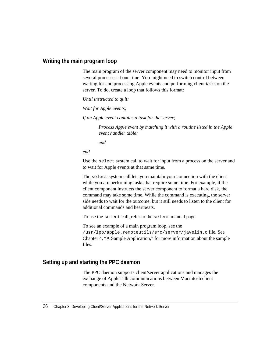#### **Writing the main program loop**

The main program of the server component may need to monitor input from several processes at one time. You might need to switch control between waiting for and processing Apple events and performing client tasks on the server. To do, create a loop that follows this format:

*Until instructed to quit:*

*Wait for Apple events;*

*If an Apple event contains a task for the server;*

*Process Apple event by matching it with a routine listed in the Apple event handler table;*

*end*

*end*

Use the select system call to wait for input from a process on the server and to wait for Apple events at that same time.

The select system call lets you maintain your connection with the client while you are performing tasks that require some time. For example, if the client component instructs the server component to format a hard disk, the command may take some time. While the command is executing, the server side needs to wait for the outcome, but it still needs to listen to the client for additional commands and heartbeats.

To use the select call, refer to the select manual page.

To see an example of a main program loop, see the /usr/lpp/apple.remoteutils/src/server/javelin.c file. See Chapter 4, "A Sample Application," for more information about the sample files.

#### **Setting up and starting the PPC daemon**

The PPC daemon supports client/server applications and manages the exchange of AppleTalk communications between Macintosh client components and the Network Server.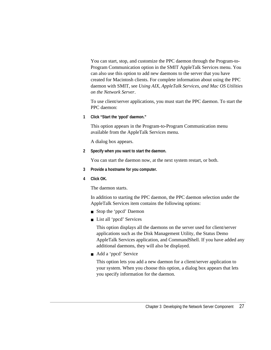You can start, stop, and customize the PPC daemon through the Program-to-Program Communication option in the SMIT AppleTalk Services menu. You can also use this option to add new daemons to the server that you have created for Macintosh clients. For complete information about using the PPC daemon with SMIT, see *Using AIX, AppleTalk Services, and Mac OS Utilities on the Network Server*.

To use client/server applications, you must start the PPC daemon. To start the PPC daemon:

#### **1 Click "Start the 'ppcd' daemon."**

This option appears in the Program-to-Program Communication menu available from the AppleTalk Services menu.

A dialog box appears.

#### **2 Specify when you want to start the daemon.**

You can start the daemon now, at the next system restart, or both.

- **3 Provide a hostname for you computer.**
- **4 Click OK.**

The daemon starts.

In addition to starting the PPC daemon, the PPC daemon selection under the AppleTalk Services item contains the following options:

- Stop the 'ppcd' Daemon
- List all 'ppcd' Services

This option displays all the daemons on the server used for client/server applications such as the Disk Management Utility, the Status Demo AppleTalk Services application, and CommandShell. If you have added any additional daemons, they will also be displayed.

■ Add a 'ppcd' Service

This option lets you add a new daemon for a client/server application to your system. When you choose this option, a dialog box appears that lets you specify information for the daemon.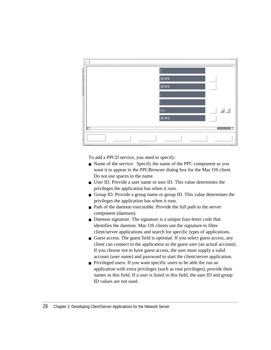| $\overline{\phantom{a}}$ |                                |
|--------------------------|--------------------------------|
| ۹                        |                                |
|                          | NONE                           |
|                          | NONE                           |
| ۰                        |                                |
|                          | ľ                              |
|                          | $\mathbb{R}^n$<br>$\Delta$     |
|                          | $\operatorname{\mathbb{N}ONE}$ |
| £.                       | a.                             |
| .                        |                                |

To add a PPCD service, you need to specify:

- Name of the service. Specify the name of the PPC component as you want it to appear in the PPCBrowser dialog box for the Mac OS client. Do not use spaces in the name.
- User ID. Provide a user name or user ID. This value determines the privileges the application has when it runs.
- Group ID. Provide a group name or group ID. This value determines the privileges the application has when it runs.
- Path of the daemon executable. Provide the full path to the server component (daemon).
- Daemon signature. The signature is a unique four-letter code that identifies the daemon. Mac OS clients use the signature to filter client/server applications and search for specific types of applications.
- Guest access. The guest field is optional. If you select guest access, any client can connect to the application as the guest user (an actual account). If you choose not to have guest access, the user must supply a valid account (user name) and password to start the client/server application.
- Privileged users. If you want specific users to be able the run an application with extra privileges (such as root privileges), provide their names in this field. If a user is listed in this field, the user ID and group ID values are not used.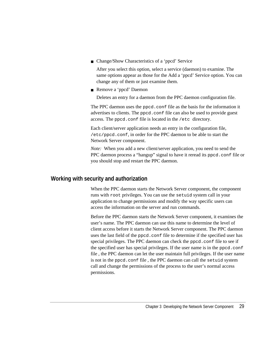■ Change/Show Characteristics of a 'ppcd' Service

After you select this option, select a service (daemon) to examine. The same options appear as those for the Add a 'ppcd' Service option. You can change any of them or just examine them.

■ Remove a 'ppcd' Daemon

Deletes an entry for a daemon from the PPC daemon configuration file.

The PPC daemon uses the ppcd.conf file as the basis for the information it advertises to clients. The ppcd.conf file can also be used to provide guest access. The ppcd.conf file is located in the /etc directory.

Each client/server application needs an entry in the configuration file, /etc/ppcd.conf, in order for the PPC daemon to be able to start the Network Server component.

*Note*: When you add a new client/server application, you need to send the PPC daemon process a "hangup" signal to have it reread its ppcd.conf file or you should stop and restart the PPC daemon.

### **Working with security and authorization**

When the PPC daemon starts the Network Server component, the component runs with root privileges. You can use the setuid system call in your application to change permissions and modify the way specific users can access the information on the server and run commands.

Before the PPC daemon starts the Network Server component, it examines the user's name. The PPC daemon can use this name to determine the level of client access before it starts the Network Server component. The PPC daemon uses the last field of the ppcd.conf file to determine if the specified user has special privileges. The PPC daemon can check the ppcd.conf file to see if the specified user has special privileges. If the user name is in the ppcd.conf file , the PPC daemon can let the user maintain full privileges. If the user name is not in the ppcd.conf file , the PPC daemon can call the setuid system call and change the permissions of the process to the user's normal access permissions.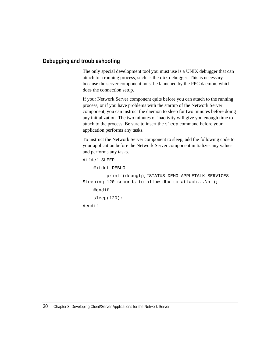## **Debugging and troubleshooting**

The only special development tool you must use is a UNIX debugger that can attach to a running process, such as the dbx debugger. This is necessary because the server component must be launched by the PPC daemon, which does the connection setup.

If your Network Server component quits before you can attach to the running process, or if you have problems with the startup of the Network Server component, you can instruct the daemon to sleep for two minutes before doing any initialization. The two minutes of inactivity will give you enough time to attach to the process. Be sure to insert the sleep command before your application performs any tasks.

To instruct the Network Server component to sleep, add the following code to your application before the Network Server component initializes any values and performs any tasks.

```
#ifdef SLEEP
     #ifdef DEBUG
          fprintf(debugfp,"STATUS DEMO APPLETALK SERVICES:
Sleeping 120 seconds to allow dbx to attach...\n \n \frac{\n \ln \n}{i} #endif
     sleep(120);
#endif
```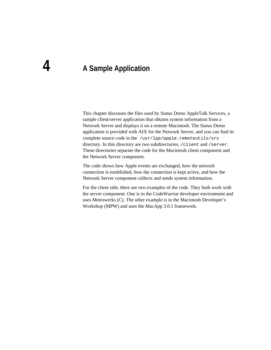# **4 A Sample Application**

This chapter discusses the files used by Status Demo AppleTalk Services, a sample client/server application that obtains system information from a Network Server and displays it on a remote Macintosh. The Status Demo application is provided with AIX for the Network Server, and you can find its complete source code in the /usr/lpp/apple.remoteutils/src directory. In this directory are two subdirectories, /client and /server. These directories separate the code for the Macintosh client component and the Network Server component.

The code shows how Apple events are exchanged, how the network connection is established, how the connection is kept active, and how the Network Server component collects and sends system information.

For the client side, there are two examples of the code. They both work with the server component. One is in the CodeWarrior developer environment and uses Metrowerks (C). The other example is in the Macintosh Developer's Workshop (MPW) and uses the MacApp 3.0.1 framework.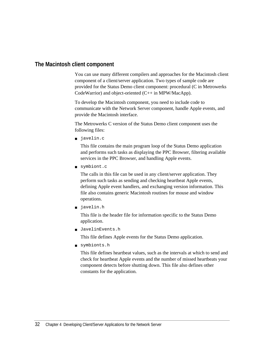#### **The Macintosh client component**

You can use many different compilers and approaches for the Macintosh client component of a client/server application. Two types of sample code are provided for the Status Demo client component: procedural (C in Metrowerks CodeWarrior) and object-oriented (C++ in MPW/MacApp).

To develop the Macintosh component, you need to include code to communicate with the Network Server component, handle Apple events, and provide the Macintosh interface.

The Metrowerks C version of the Status Demo client component uses the following files:

■ javelin.c

This file contains the main program loop of the Status Demo application and performs such tasks as displaying the PPC Browser, filtering available services in the PPC Browser, and handling Apple events.

■ symbiont.c

The calls in this file can be used in any client/server application. They perform such tasks as sending and checking heartbeat Apple events, defining Apple event handlers, and exchanging version information. This file also contains generic Macintosh routines for mouse and window operations.

■ javelin.h

This file is the header file for information specific to the Status Demo application.

■ JavelinEvents.h

This file defines Apple events for the Status Demo application.

■ symbionts.h

This file defines heartbeat values, such as the intervals at which to send and check for heartbeat Apple events and the number of missed heartbeats your component detects before shutting down. This file also defines other constants for the application.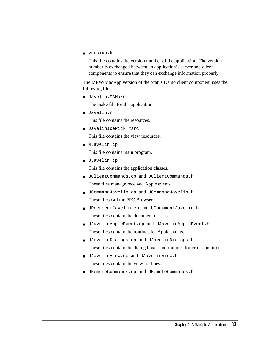■ version.h

This file contains the version number of the application. The version number is exchanged between an application's server and client components to ensure that they can exchange information properly.

The MPW/MacApp version of the Status Demo client component uses the following files:

■ Javelin.MAMake

The make file for the application.

■ Javelin.r

This file contains the resources.

■ JavelinIcePick.rsrc

This file contains the view resources.

■ MJavelin.cp

This file contains main program.

■ UJavelin.cp

This file contains the application classes.

- UClientCommands.cp and UClientCommands.h These files manage received Apple events.
- UCommandJavelin.cp and UCommandJavelin.h These files call the PPC Browser.
- UDocumentJavelin.cp and UDocumentJavelin.h These files contain the document classes.
- UJavelinAppleEvent.cp and UJavelinAppleEvent.h These files contain the routines for Apple events.
- UJavelinDialogs.cp and UJavelinDialogs.h These files contain the dialog boxes and routines for error conditions.
- UJavelinView.cp and UJavelinView.h

These files contain the view routines.

■ URemoteCommands.cp and URemoteCommands.h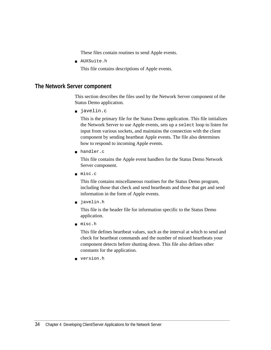These files contain routines to send Apple events.

■ AUXSuite.h

This file contains descriptions of Apple events.

#### **The Network Server component**

This section describes the files used by the Network Server component of the Status Demo application.

■ javelin.c

This is the primary file for the Status Demo application. This file initializes the Network Server to use Apple events, sets up a select loop to listen for input from various sockets, and maintains the connection with the client component by sending heartbeat Apple events. The file also determines how to respond to incoming Apple events.

■ handler.c

This file contains the Apple event handlers for the Status Demo Network Server component.

■ misc.c

This file contains miscellaneous routines for the Status Demo program, including those that check and send heartbeats and those that get and send information in the form of Apple events.

■ javelin.h

This file is the header file for information specific to the Status Demo application.

■ misc.h

This file defines heartbeat values, such as the interval at which to send and check for heartbeat commands and the number of missed heartbeats your component detects before shutting down. This file also defines other constants for the application.

■ version.h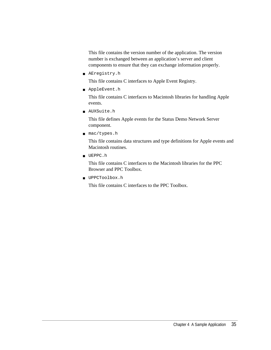This file contains the version number of the application. The version number is exchanged between an application's server and client components to ensure that they can exchange information properly.

■ AEregistry.h

This file contains C interfaces to Apple Event Registry.

■ AppleEvent.h

This file contains C interfaces to Macintosh libraries for handling Apple events.

■ AUXSuite.h

This file defines Apple events for the Status Demo Network Server component.

■ mac/types.h

This file contains data structures and type definitions for Apple events and Macintosh routines.

■ UEPPC.h

This file contains C interfaces to the Macintosh libraries for the PPC Browser and PPC Toolbox.

■ UPPCToolbox.h

This file contains C interfaces to the PPC Toolbox.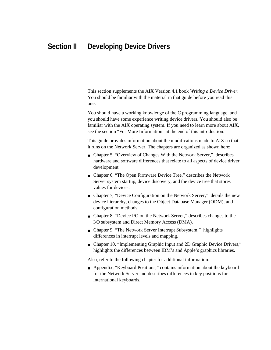# **Section II Developing Device Drivers**

This section supplements the AIX Version 4.1 book *Writing a Device Driver.* You should be familiar with the material in that guide before you read this one.

You should have a working knowledge of the C programming language, and you should have some experience writing device drivers. You should also be familiar with the AIX operating system. If you need to learn more about AIX, see the section "For More Information" at the end of this introduction.

This guide provides information about the modifications made to AIX so that it runs on the Network Server. The chapters are organized as shown here:

- Chapter 5, "Overview of Changes With the Network Server," describes hardware and software differences that relate to all aspects of device driver development.
- Chapter 6, "The Open Firmware Device Tree," describes the Network Server system startup, device discovery, and the device tree that stores values for devices.
- Chapter 7, "Device Configuration on the Network Server," details the new device hierarchy, changes to the Object Database Manager (ODM), and configuration methods.
- Chapter 8, "Device I/O on the Network Server," describes changes to the I/O subsystem and Direct Memory Access (DMA).
- Chapter 9, "The Network Server Interrupt Subsystem," highlights differences in interrupt levels and mapping.
- Chapter 10, "Implementing Graphic Input and 2D Graphic Device Drivers," highlights the differences between IBM's and Apple's graphics libraries.

Also, refer to the following chapter for additional information.

■ Appendix, "Keyboard Positions," contains information about the keyboard for the Network Server and describes differences in key positions for international keyboards..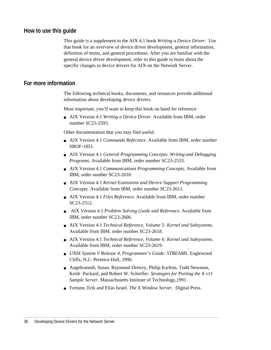#### **How to use this guide**

This guide is a supplement to the AIX 4.1 book *Writing a Device Driver*. Use that book for an overview of device driver development, general information, definition of terms, and general procedures. After you are familiar with the general device driver development, refer to this guide to learn about the specific changes to device drivers for AIX on the Network Server.

#### **For more information**

The following technical books, documents, and resources provide additional information about developing device drivers.

Most important, you'll want to keep this book on hand for reference:

■ AIX Version 4.1 *Writing a Device Driver*. Available from IBM, order number SC23-2593.

Other documentation that you may find useful:

- AIX Version 4.1 *Commands Reference*. Available from IBM, order number SBOF-1851.
- AIX Version 4.1 *General Programming Concepts: Writing and Debugging Programs.* Available from IBM, order number SC23-2533.
- AIX Version 4.1 *Communications Programming Concepts*. Available from IBM, order number SC23-2610.
- AIX Version 4.1 *Kernel Extensions and Device Support Programming Concepts.* Available from IBM, order number SC23-2611.
- AIX Version 4.1 *Files Reference*. Available from IBM, order number SC23-2512.
- AIX Version 4.1 *Problem Solving Guide and Reference*. Available from IBM, order number SC23-2606.
- AIX Version 4.1 *Technical Reference, Volume 5: Kernel and Subsystems.* Available from IBM, order number SC23-2618.
- AIX Version 4.1 *Technical Reference, Volume 6: Kernel and Subsystems.* Available from IBM, order number SC23-2619.
- *UNIX System V Release 4, Programmer's Guide: STREAMS*. Englewood Cliffs, N.J.: Prentice-Hall, 1990.
- Angebranndt, Susan, Raymond Drewry, Philip Karlton, Todd Newman, Keith Packard, and Robert W. Scheifler. *Strategies for Porting the X v11 Sample Server*. Massachusetts Institute of Technology,1991.
- Fortune, Erik and Elias Israel. *The X Window Server*. Digital Press.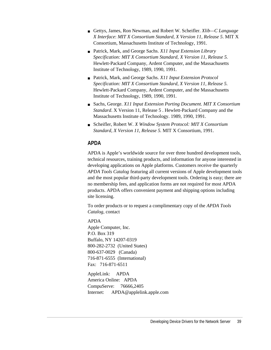- Gettys, James, Ron Newman, and Robert W. Scheifler. *Xlib—C Language X Interface*: *MIT X Consortium Standard, X Version 11, Release 5*. MIT X Consortium, Massachusetts Institute of Technology, 1991.
- Patrick, Mark, and George Sachs. *X11 Input Extension Library Specification: MIT X Consortium Standard, X Version 11, Release 5.* Hewlett-Packard Company, Ardent Computer, and the Massachusetts Institute of Technology, 1989, 1990, 1991.
- Patrick, Mark, and George Sachs. *X11 Input Extension Protocol Specification: MIT X Consortium Standard, X Version 11, Release 5.* Hewlett-Packard Company, Ardent Computer, and the Massachusetts Institute of Technology, 1989, 1990, 1991.
- Sachs, George. *X11 Input Extension Porting Document. MIT X Consortium Standard*. X Version 11, Release 5 . Hewlett-Packard Company and the Massachusetts Institute of Technology. 1989, 1990, 1991.
- Scheifler, Robert W. *X Window System Protocol: MIT X Consortium Standard, X Version 11, Release 5.* MIT X Consortium, 1991.

### **APDA**

APDA is Apple's worldwide source for over three hundred development tools, technical resources, training products, and information for anyone interested in developing applications on Apple platforms. Customers receive the quarterly *APDA Tools Catalog* featuring all current versions of Apple development tools and the most popular third-party development tools. Ordering is easy; there are no membership fees, and application forms are not required for most APDA products. APDA offers convenient payment and shipping options including site licensing.

To order products or to request a complimentary copy of the *APDA Tools Catalog,* contact

APDA Apple Computer, Inc. P.O. Box 319 Buffalo, NY 14207-0319 800-282-2732 (United States) 800-637-0029 (Canada) 716-871-6555 (International) Fax: 716-871-6511

AppleLink: APDA America Online: APDA CompuServe: 76666,2405 Internet: APDA@applelink.apple.com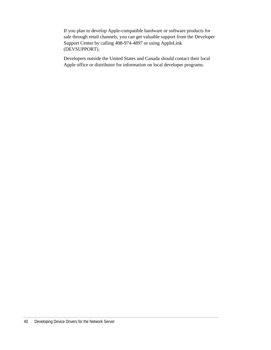If you plan to develop Apple-compatible hardware or software products for sale through retail channels, you can get valuable support from the Developer Support Center by calling 408-974-4897 or using AppleLink (DEVSUPPORT).

Developers outside the United States and Canada should contact their local Apple office or distributor for information on local developer programs.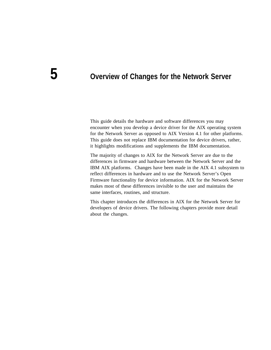# **5 Overview of Changes for the Network Server**

This guide details the hardware and software differences you may encounter when you develop a device driver for the AIX operating system for the Network Server as opposed to AIX Version 4.1 for other platforms. This guide does not replace IBM documentation for device drivers, rather, it highlights modifications and supplements the IBM documentation.

The majority of changes to AIX for the Network Server are due to the differences in firmware and hardware between the Network Server and the IBM AIX platforms. Changes have been made in the AIX 4.1 subsystem to reflect differences in hardware and to use the Network Server's Open Firmware functionality for device information. AIX for the Network Server makes most of these differences invisible to the user and maintains the same interfaces, routines, and structure.

This chapter introduces the differences in AIX for the Network Server for developers of device drivers. The following chapters provide more detail about the changes.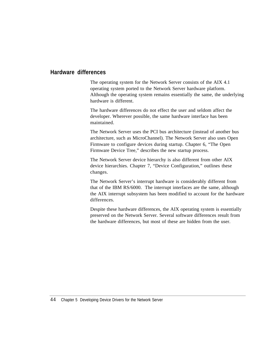#### **Hardware differences**

The operating system for the Network Server consists of the AIX 4.1 operating system ported to the Network Server hardware platform. Although the operating system remains essentially the same, the underlying hardware is different.

The hardware differences do not effect the user and seldom affect the developer. Wherever possible, the same hardware interface has been maintained.

The Network Server uses the PCI bus architecture (instead of another bus architecture, such as MicroChannel). The Network Server also uses Open Firmware to configure devices during startup. Chapter 6, "The Open Firmware Device Tree," describes the new startup process.

The Network Server device hierarchy is also different from other AIX device hierarchies. Chapter 7, "Device Configuration," outlines these changes.

The Network Server's interrupt hardware is considerably different from that of the IBM RS/6000. The interrupt interfaces are the same, although the AIX interrupt subsystem has been modified to account for the hardware differences.

Despite these hardware differences, the AIX operating system is essentially preserved on the Network Server. Several software differences result from the hardware differences, but most of these are hidden from the user.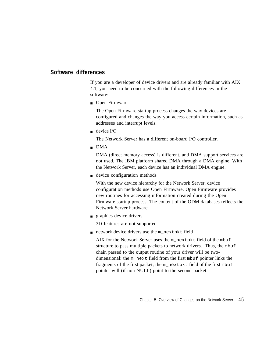#### **Software differences**

If you are a developer of device drivers and are already familiar with AIX 4.1, you need to be concerned with the following differences in the software:

■ Open Firmware

The Open Firmware startup process changes the way devices are configured and changes the way you access certain information, such as addresses and interrupt levels.

 $\blacksquare$  device  $I/O$ 

The Network Server has a different on-board I/O controller.

■ DMA

DMA (direct memory access) is different, and DMA support services are not used. The IBM platform shared DMA through a DMA engine. With the Network Server, each device has an individual DMA engine.

■ device configuration methods

With the new device hierarchy for the Network Server, device configuration methods use Open Firmware. Open Firmware provides new routines for accessing information created during the Open Firmware startup process. The content of the ODM databases reflects the Network Server hardware.

■ graphics device drivers

3D features are not supported

■ network device drivers use the m\_nextpkt field

AIX for the Network Server uses the m\_nextpkt field of the mbuf structure to pass multiple packets to network drivers. Thus, the mbuf chain passed to the output routine of your driver will be twodimensional: the m\_next field from the first mbuf pointer links the fragments of the first packet; the m\_nextpkt field of the first mbuf pointer will (if non-NULL) point to the second packet.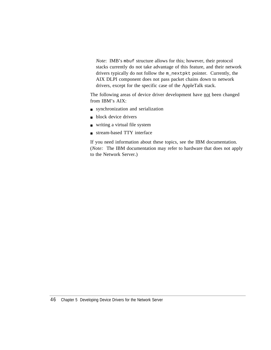*Note*: IMB's mbuf structure allows for this; however, their protocol stacks currently do not take advantage of this feature, and their network drivers typically do not follow the m\_nextpkt pointer. Currently, the AIX DLPI component does not pass packet chains down to network drivers, except for the specific case of the AppleTalk stack.

The following areas of device driver development have not been changed from IBM's AIX:

- synchronization and serialization
- block device drivers
- writing a virtual file system
- stream-based TTY interface

If you need information about these topics, see the IBM documentation. (*Note:* The IBM documentation may refer to hardware that does not apply to the Network Server.)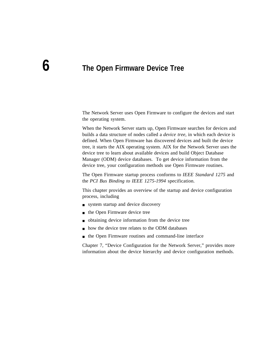# **6 The Open Firmware Device Tree**

The Network Server uses Open Firmware to configure the devices and start the operating system.

When the Network Server starts up, Open Firmware searches for devices and builds a data structure of nodes called a *device tree,* in which each device is defined. When Open Firmware has discovered devices and built the device tree, it starts the AIX operating system. AIX for the Network Server uses the device tree to learn about available devices and build Object Database Manager (ODM) device databases. To get device information from the device tree, your configuration methods use Open Firmware routines.

The Open Firmware startup process conforms to *IEEE Standard 1275* and the *PCI Bus Binding to IEEE 1275-1994* specification.

This chapter provides an overview of the startup and device configuration process, including

- system startup and device discovery
- the Open Firmware device tree
- obtaining device information from the device tree
- how the device tree relates to the ODM databases
- the Open Firmware routines and command-line interface

Chapter 7, "Device Configuration for the Network Server," provides more information about the device hierarchy and device configuration methods.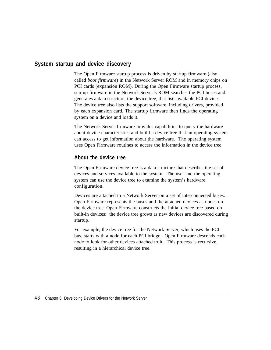#### **System startup and device discovery**

The Open Firmware startup process is driven by startup firmware (also called *boot firmware*) in the Network Server ROM and in memory chips on PCI cards (expansion ROM). During the Open Firmware startup process, startup firmware in the Network Server's ROM searches the PCI buses and generates a data structure, the device tree, that lists available PCI devices. The device tree also lists the support software, including drivers, provided by each expansion card. The startup firmware then finds the operating system on a device and loads it.

The Network Server firmware provides capabilities to query the hardware about device characteristics and build a device tree that an operating system can access to get information about the hardware. The operating system uses Open Firmware routines to access the information in the device tree.

#### **About the device tree**

The Open Firmware device tree is a data structure that describes the set of devices and services available to the system. The user and the operating system can use the device tree to examine the system's hardware configuration.

Devices are attached to a Network Server on a set of interconnected buses. Open Firmware represents the buses and the attached devices as nodes on the device tree. Open Firmware constructs the initial device tree based on built-in devices; the device tree grows as new devices are discovered during startup.

For example, the device tree for the Network Server, which uses the PCI bus, starts with a node for each PCI bridge. Open Firmware descends each node to look for other devices attached to it. This process is recursive, resulting in a hierarchical device tree.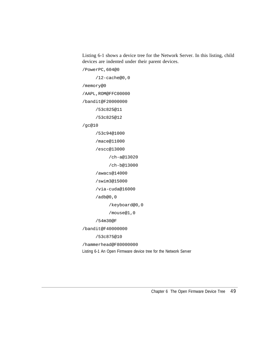Listing 6-1 shows a device tree for the Network Server. In this listing, child devices are indented under their parent devices.

```
/PowerPC,604@0
     /12-cache@0,0
/memory@0
/AAPL,ROM@FFC00000
/bandit@F20000000
     /53c825@11
     /53c825@12
/gc@10
     /53c94@1000
     /mace@11000
     /escc@13000
           /ch-a@13020
           /ch-b@13000
     /awacs@14000
     /swim3@15000
     /via-cuda@16000
     /adb@0,0
           /keyboard@0,0
           /mouse@1,0
     /54m30@F
/bandit@F40000000
     /53c875@10
/hammerhead@F80000000
Listing 6-1 An Open Firmware device tree for the Network Server
```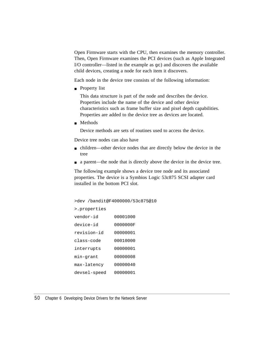Open Firmware starts with the CPU, then examines the memory controller. Then, Open Firmware examines the PCI devices (such as Apple Integrated I/O controller—listed in the example as gc) and discovers the available child devices, creating a node for each item it discovers.

Each node in the device tree consists of the following information:

■ Property list

This data structure is part of the node and describes the device. Properties include the name of the device and other device characteristics such as frame buffer size and pixel depth capabilities. Properties are added to the device tree as devices are located.

■ Methods

Device methods are sets of routines used to access the device.

Device tree nodes can also have

- children—other device nodes that are directly below the device in the tree
- a parent—the node that is directly above the device in the device tree.

The following example shows a device tree node and its associated properties. The device is a Symbios Logic 53c875 SCSI adapter card installed in the bottom PCI slot.

>dev /bandit@F4000000/53c875@10

| >.properties |          |
|--------------|----------|
| vendor-id    | 00001000 |
| device-id    | 0000000F |
| revision-id  | 00000001 |
| class-code   | 00010000 |
| interrupts   | 00000001 |
| min-grant    | 00000008 |
| max-latency  | 00000040 |
| devsel-speed | 00000001 |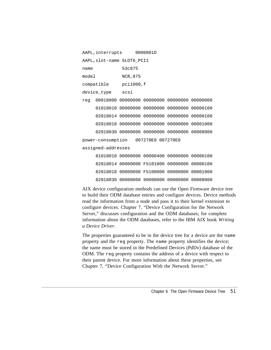```
AAPL,interrupts 0000001D
AAPL,slot-name SLOT6_PCI1
name 53c875
model NCR,875
compatible pci1000,f
device_type scsi
reg 00018000 00000000 00000000 00000000 00000000
    01018010 00000000 00000000 00000000 00000100
    02018014 00000000 00000000 00000000 00000100
    02018018 00000000 00000000 00000000 00001000
    02018030 00000000 00000000 00000000 00008000
power-consumption 007270E0 007270E0
assigned-addresses
    81018010 00000000 00000400 00000000 00000100
```
82018014 00000000 F5101000 00000000 00000100 82018018 00000000 F5100000 00000000 00001000 82018030 00000000 90000000 00000000 00008000

AIX device configuration methods can use the Open Firmware device tree to build their ODM database entries and configure devices. Device methods read the information from a node and pass it to their kernel extension to configure devices. Chapter 7, "Device Configuration for the Network Server," discusses configuration and the ODM databases; for complete information about the ODM databases, refer to the IBM AIX book *Writing a Device Driver*.

The properties guaranteed to be in the device tree for a device are the name property and the reg property. The name property identifies the device; the name must be stored in the Predefined Devices (PdDv) database of the ODM. The reg property contains the address of a device with respect to their parent device. For more information about these properties, see Chapter 7, "Device Configuration With the Network Server."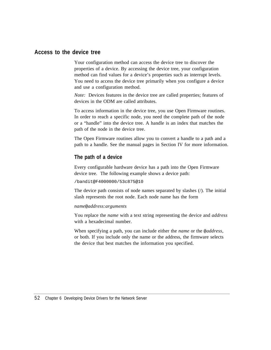#### **Access to the device tree**

Your configuration method can access the device tree to discover the properties of a device. By accessing the device tree, your configuration method can find values for a device's properties such as interrupt levels. You need to access the device tree primarily when you configure a device and use a configuration method.

*Note:* Devices features in the device tree are called properties; features of devices in the ODM are called attributes.

To access information in the device tree, you use Open Firmware routines. In order to reach a specific node, you need the complete path of the node or a "handle" into the device tree. A handle is an index that matches the path of the node in the device tree.

The Open Firmware routines allow you to convert a handle to a path and a path to a handle. See the manual pages in Section IV for more information.

#### **The path of a device**

Every configurable hardware device has a path into the Open Firmware device tree. The following example shows a device path:

```
/bandit@F4000000/53c875@10
```
The device path consists of node names separated by slashes (/). The initial slash represents the root node. Each node name has the form

#### *name*@*address:arguments*

You replace the *name* with a text string representing the device and *address* with a hexadecimal number.

When specifying a path, you can include either the *name* or the @*address*, or both. If you include only the name or the address, the firmware selects the device that best matches the information you specified.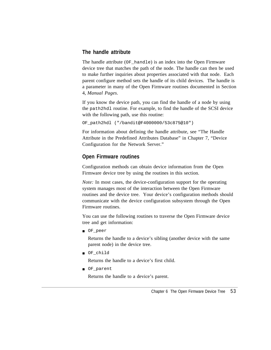#### **The handle attribute**

The handle attribute (OF\_handle) is an index into the Open Firmware device tree that matches the path of the node. The handle can then be used to make further inquiries about properties associated with that node. Each parent configure method sets the handle of its child devices. The handle is a parameter in many of the Open Firmware routines documented in Section 4, *Manual Pages*.

If you know the device path, you can find the handle of a node by using the path2hdl routine. For example, to find the handle of the SCSI device with the following path, use this routine:

OF\_path2hdl ("/bandit@F4000000/53c875@10")

For information about defining the handle attribute, see "The Handle Attribute in the Predefined Attributes Database" in Chapter 7, "Device Configuration for the Network Server."

#### **Open Firmware routines**

Configuration methods can obtain device information from the Open Firmware device tree by using the routines in this section.

*Note:* In most cases, the device-configuration support for the operating system manages most of the interaction between the Open Firmware routines and the device tree. Your device's configuration methods should communicate with the device configuration subsystem through the Open Firmware routines.

You can use the following routines to traverse the Open Firmware device tree and get information:

■ OF peer

Returns the handle to a device's sibling (another device with the same parent node) in the device tree.

■ OF\_child

Returns the handle to a device's first child.

■ OF\_parent

Returns the handle to a device's parent.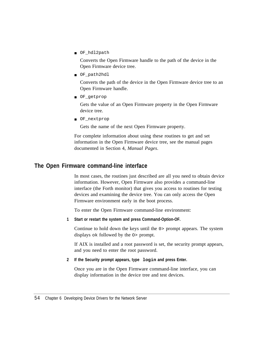■ OF\_hdl2path

Converts the Open Firmware handle to the path of the device in the Open Firmware device tree.

■ OF path2hdl

Converts the path of the device in the Open Firmware device tree to an Open Firmware handle.

■ OF qetprop

Gets the value of an Open Firmware property in the Open Firmware device tree.

■ OF\_nextprop

Gets the name of the next Open Firmware property.

For complete information about using these routines to get and set information in the Open Firmware device tree, see the manual pages documented in Section 4, *Manual Pages*.

#### **The Open Firmware command-line interface**

In most cases, the routines just described are all you need to obtain device information. However, Open Firmware also provides a command-line interface (the Forth monitor) that gives you access to routines for testing devices and examining the device tree. You can only access the Open Firmware environment early in the boot process.

To enter the Open Firmware command-line environment:

**1 Start or restart the system and press Command-Option-OF.**

Continue to hold down the keys until the 0> prompt appears. The system displays ok followed by the O> prompt.

If AIX is installed and a root password is set, the security prompt appears, and you need to enter the root password.

#### **2 If the Security prompt appears, type login and press Enter.**

Once you are in the Open Firmware command-line interface, you can display information in the device tree and test devices.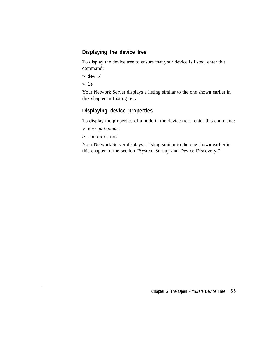### **Displaying the device tree**

To display the device tree to ensure that your device is listed, enter this command:

```
> dev /
```

```
> ls
```
Your Network Server displays a listing similar to the one shown earlier in this chapter in Listing 6-1.

### **Displaying device properties**

To display the properties of a node in the device tree , enter this command:

- > dev *pathname*
- > .properties

Your Network Server displays a listing similar to the one shown earlier in this chapter in the section "System Startup and Device Discovery."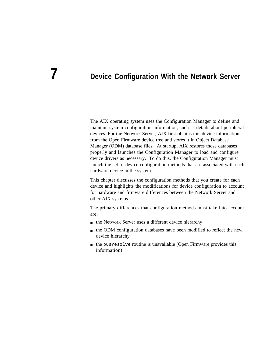# **7 Device Configuration With the Network Server**

The AIX operating system uses the Configuration Manager to define and maintain system configuration information, such as details about peripheral devices. For the Network Server, AIX first obtains this device information from the Open Firmware device tree and stores it in Object Database Manager (ODM) database files. At startup, AIX restores those databases properly and launches the Configuration Manager to load and configure device drivers as necessary. To do this, the Configuration Manager must launch the set of device configuration methods that are associated with each hardware device in the system.

This chapter discusses the configuration methods that you create for each device and highlights the modifications for device configuration to account for hardware and firmware differences between the Network Server and other AIX systems.

The primary differences that configuration methods must take into account are:

- the Network Server uses a different device hierarchy
- the ODM configuration databases have been modified to reflect the new device hierarchy
- the busresolve routine is unavailable (Open Firmware provides this information)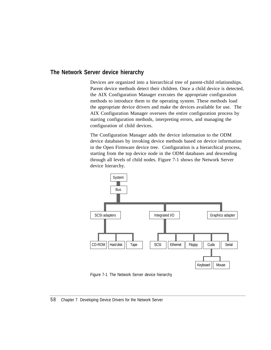#### **The Network Server device hierarchy**

Devices are organized into a hierarchical tree of parent-child relationships. Parent device methods detect their children. Once a child device is detected, the AIX Configuration Manager executes the appropriate configuration methods to introduce them to the operating system. These methods load the appropriate device drivers and make the devices available for use. The AIX Configuration Manager oversees the entire configuration process by starting configuration methods, interpreting errors, and managing the configuration of child devices.

The Configuration Manager adds the device information to the ODM device databases by invoking device methods based on device information in the Open Firmware device tree. Configuration is a hierarchical process, starting from the top device node in the ODM databases and descending through all levels of child nodes. Figure 7-1 shows the Network Server device hierarchy.



Figure 7-1 The Network Server device hierarchy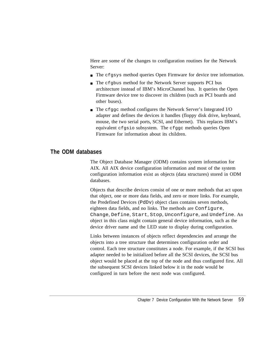Here are some of the changes to configuration routines for the Network Server:

- The cfgsys method queries Open Firmware for device tree information.
- The cfgbus method for the Network Server supports PCI bus architecture instead of IBM's MicroChannel bus. It queries the Open Firmware device tree to discover its children (such as PCI boards and other buses).
- The cfggc method configures the Network Server's Integrated I/O adapter and defines the devices it handles (floppy disk drive, keyboard, mouse, the two serial ports, SCSI, and Ethernet). This replaces IBM's equivalent cfgsio subsystem. The cfggc methods queries Open Firmware for information about its children.

#### **The ODM databases**

The Object Database Manager (ODM) contains system information for AIX. All AIX device configuration information and most of the system configuration information exist as objects (data structures) stored in ODM databases.

Objects that describe devices consist of one or more methods that act upon that object, one or more data fields, and zero or more links. For example, the Predefined Devices (PdDv) object class contains seven methods, eighteen data fields, and no links. The methods are Configure, Change, Define, Start, Stop, Unconfigure, and Undefine. An object in this class might contain general device information, such as the device driver name and the LED state to display during configuration.

Links between instances of objects reflect dependencies and arrange the objects into a tree structure that determines configuration order and control. Each tree structure constitutes a node. For example, if the SCSI bus adapter needed to be initialized before all the SCSI devices, the SCSI bus object would be placed at the top of the node and thus configured first. All the subsequent SCSI devices linked below it in the node would be configured in turn before the next node was configured.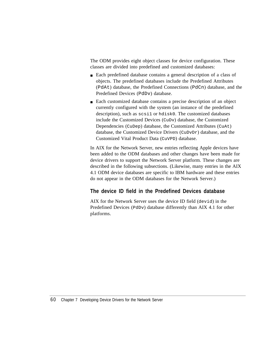The ODM provides eight object classes for device configuration. These classes are divided into predefined and customized databases:

- Each predefined database contains a general description of a class of objects. The predefined databases include the Predefined Attributes (PdAt) database, the Predefined Connections (PdCn) database, and the Predefined Devices (PdDv) database.
- Each customized database contains a precise description of an object currently configured with the system (an instance of the predefined description), such as scsi1 or hdisk0. The customized databases include the Customized Devices (CuDv) database, the Customized Dependencies (CuDep) database, the Customized Attributes (CuAt) database, the Customized Device Drivers (CuDvDr) database, and the Customized Vital Product Data (CuVPD) database.

In AIX for the Network Server, new entries reflecting Apple devices have been added to the ODM databases and other changes have been made for device drivers to support the Network Server platform. These changes are described in the following subsections. (Likewise, many entries in the AIX 4.1 ODM device databases are specific to IBM hardware and these entries do not appear in the ODM databases for the Network Server.)

### **The device ID field in the Predefined Devices database**

AIX for the Network Server uses the device ID field (devid) in the Predefined Devices (PdDv) database differently than AIX 4.1 for other platforms.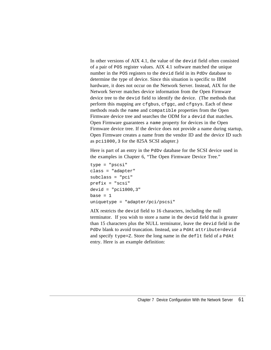In other versions of AIX 4.1, the value of the devid field often consisted of a pair of POS register values. AIX 4.1 software matched the unique number in the POS registers to the devid field in its PdDv database to determine the type of device. Since this situation is specific to IBM hardware, it does not occur on the Network Server. Instead, AIX for the Network Server matches device information from the Open Firmware device tree to the devid field to identify the device. (The methods that perform this mapping are cfgbus, cfggc, and cfgsys. Each of these methods reads the name and compatible properties from the Open Firmware device tree and searches the ODM for a devid that matches. Open Firmware guarantees a name property for devices in the Open Firmware device tree. If the device does not provide a name during startup, Open Firmware creates a name from the vendor ID and the device ID such as pci1000,3 for the 825A SCSI adapter.)

Here is part of an entry in the PdDv database for the SCSI device used in the examples in Chapter 6, "The Open Firmware Device Tree."

```
type = "pscsi"
class = "adapter"
subclass = "pci"
prefix = "scsi"
devid = "pci1000, 3"base = 1uniquetype = "adapter/pci/pscsi"
```
AIX restricts the devid field to 16 characters, including the null terminator. If you wish to store a name in the devid field that is greater than 15 characters plus the NULL terminator, leave the devid field in the PdDv blank to avoid truncation. Instead, use a PdAt attribute=devid and specify type=Z. Store the long name in the deflt field of a PdAt entry. Here is an example definition: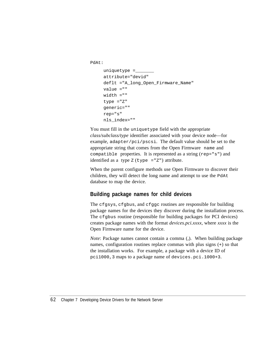```
uniquetype =attribute="devid"
deflt ="A_long_Open_Firmware_Name"
value =""
width =""
type ="Z"
generic=""
rep="s"
nls_index=""
```
PdAt:

You must fill in the uniquetype field with the appropriate *class/subclass/type* identifier associated with your device node—for example, adapter/pci/pscsi. The default value should be set to the appropriate string that comes from the Open Firmware name and compatible properties. It is represented as a string (rep="s") and identified as a type  $Z$  (type = " $Z$ ") attribute.

When the parent configure methods use Open Firmware to discover their children, they will detect the long name and attempt to use the PdAt database to map the device.

### **Building package names for child devices**

The cfgsys, cfgbus, and cfggc routines are responsible for building package names for the devices they discover during the installation process. The cfgbus routine (responsible for building packages for PCI devices) creates package names with the format *devices.pci.xxxx*, where *xxxx* is the Open Firmware name for the device.

*Note*: Package names cannot contain a comma (,). When building package names, configuration routines replace commas with plus signs (+) so that the installation works. For example, a package with a device ID of pci1000,3 maps to a package name of devices.pci.1000+3.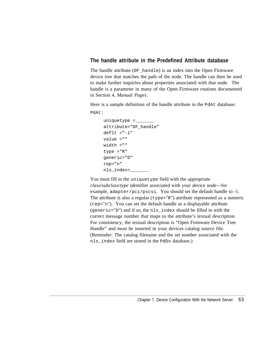#### **The handle attribute in the Predefined Attribute database**

The handle attribute (OF\_handle) is an index into the Open Firmware device tree that matches the path of the node. The handle can then be used to make further inquiries about properties associated with that node. The handle is a parameter in many of the Open Firmware routines documented in Section 4, *Manual Pages*.

Here is a sample definition of the handle attribute in the PdAt database: PdAt:

```
uniquetype =attribute="OF_handle"
deflt = "-1"value =""
width =""
type ="R"
generic="D"
rep="n"
nls_index=_______
```
You must fill in the uniquetype field with the appropriate *class/subclass/type* identifier associated with your device node—for example, adapter/pci/pscsi. You should set the default handle to -1. The attribute is also a regular  $(type=" R")$  attribute represented as a numeric (rep="n"). You can set the default handle as a displayable attribute (generic="D") and if so, the nls\_index should be filled in with the correct message number that maps to the attribute's textual description. For consistency, the textual description is "Open Firmware Device Tree Handle" and must be inserted in your devices catalog source file. (Reminder: The catalog filename and the set number associated with the nls\_index field are stored in the PdDv database.)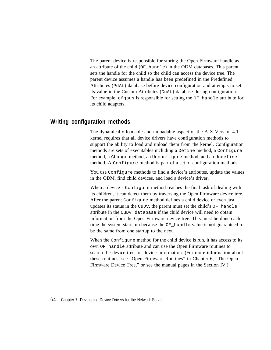The parent device is responsible for storing the Open Firmware handle as an attribute of the child (OF\_handle) in the ODM databases. This parent sets the handle for the child so the child can access the device tree. The parent device assumes a handle has been predefined in the Predefined Attributes (PdAt) database before device configuration and attempts to set its value in the Custom Attributes (CuAt) database during configuration. For example,  $cf$ gbus is responsible for setting the  $OF$  handle attribute for its child adapters.

#### **Writing configuration methods**

The dynamically loadable and unloadable aspect of the AIX Version 4.1 kernel requires that all device drivers have configuration methods to support the ability to load and unload them from the kernel. Configuration methods are sets of executables including a Define method, a Configure method, a Change method, an Unconfigure method, and an Undefine method. A Configure method is part of a set of configuration methods.

You use Configure methods to find a device's attributes, update the values in the ODM, find child devices, and load a device's driver.

When a device's Configure method reaches the final task of dealing with its children, it can detect them by traversing the Open Firmware device tree. After the parent Configure method defines a child device or even just updates its status in the CuDv, the parent must set the child's OF\_handle attribute in the CuDv database if the child device will need to obtain information from the Open Firmware device tree. This must be done each time the system starts up because the OF\_handle value is not guaranteed to be the same from one startup to the next.

When the Configure method for the child device is run, it has access to its own OF\_handle attribute and can use the Open Firmware routines to search the device tree for device information. (For more information about these routines, see "Open Firmware Routines" in Chapter 6, "The Open Firmware Device Tree," or see the manual pages in the Section IV.)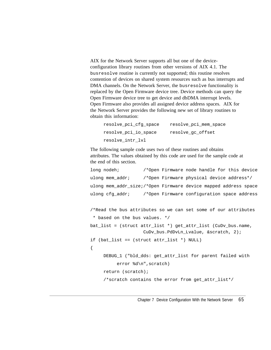AIX for the Network Server supports all but one of the deviceconfiguration library routines from other versions of AIX 4.1. The busresolve routine is currently not supported; this routine resolves contention of devices on shared system resources such as bus interrupts and DMA channels. On the Network Server, the busresolve functionality is replaced by the Open Firmware device tree. Device methods can query the Open Firmware device tree to get device and dbDMA interrupt levels. Open Firmware also provides all assigned device address spaces. AIX for the Network Server provides the following new set of library routines to obtain this information:

```
resolve_pci_cfg_space resolve_pci_mem_space
resolve_pci_io_space resolve_gc_offset
resolve_intr_lvl
```
The following sample code uses two of these routines and obtains attributes. The values obtained by this code are used for the sample code at the end of this section.

| long nodeh;                                                                  | /*Open Firmware node handle for this device |  |  |
|------------------------------------------------------------------------------|---------------------------------------------|--|--|
|                                                                              |                                             |  |  |
| ulong mem_addr_size;/*Open Firmware device mapped address space              |                                             |  |  |
| ulong cfg_addr; /*Open Firmware configuration space address                  |                                             |  |  |
|                                                                              |                                             |  |  |
| /*Read the bus attributes so we can set some of our attributes               |                                             |  |  |
| * based on the bus values. */                                                |                                             |  |  |
| bat_list = (struct attr_list *)                get_attr_list (CuDv_bus.name, |                                             |  |  |
|                                                                              | CuDv bus. PdDvLn Lvalue, &scratch, 2);      |  |  |
| if (bat list == (struct attr list *) NULL)                                   |                                             |  |  |
| $\{$                                                                         |                                             |  |  |
| DEBUG_1 ("bld_dds: get_attr_list for parent failed with                      |                                             |  |  |
| $error$ $d\n$ , scratch)                                                     |                                             |  |  |
| return (scratch);                                                            |                                             |  |  |
| /*scratch contains the error from get attr list*/                            |                                             |  |  |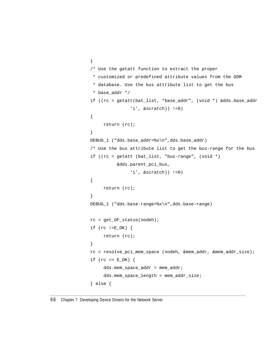```
}
/* Use the getatt function to extract the proper
  * customized or predefined attribute values from the ODM
  * database. Use the bus attribute list to get the bus
  * base_addr */
if ((rc = getatt(bat_list, "base_addr", (void *) &dds.base_addr,
               'i', &scratch)) !=0)
{
     return (rc);
}
DEBUG_1 ("dds.base_addr=%x\n",dds.base_addr)
/* Use the bus attribute list to get the bus-range for the bus
if ((rc = getatt (bat_list, 'bus-range', (void *)&dds.parent_pci_bus,
               'i', &scratch)) !=0)
{
     return (rc);
}
DEBUG_1 ("dds.base-range=%x\n",dds.base-range)
rc = get_OF_status(nodeh);
if (rc := E_OK) {
     return (rc);
}
rc = resolve_pci_mem_space (nodeh, &mem_addr, &mem_addr_size);
if (rc == E_OK) {
     dds.mem_space_addr = mem_addr;
     dds.mem_space_length = mem_addr_size;
} else {
```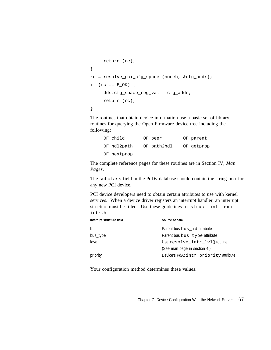```
return (rc);
}
rc = resolve_pci_cfg_space (nodeh, &cfg_addr);
if (rc == E<sub>OK</sub>) {
     dds.cfg_space_reg_val = cfg_addr;
     return (rc);
}
```
The routines that obtain device information use a basic set of library routines for querying the Open Firmware device tree including the following:

| OF child    | OF peer     | OF parent  |
|-------------|-------------|------------|
| OF hdl2path | OF path2hdl | OF_getprop |
| OF nextprop |             |            |

The complete reference pages for these routines are in Section IV, *Man Pages*.

The subclass field in the PdDv database should contain the string pci for any new PCI device.

PCI device developers need to obtain certain attributes to use with kernel services. When a device driver registers an interrupt handler, an interrupt structure must be filled. Use these guidelines for struct intr from intr.h.

| Interrupt structure field | Source of data                        |
|---------------------------|---------------------------------------|
| bid                       | Parent bus bus id attribute           |
| bus_type                  | Parent bus bus type attribute         |
| level                     | Use $resolve\_intr\_lvl()$ routine    |
|                           | (See man page in section 4.)          |
| priority                  | Device's PdAt intr priority attribute |

Your configuration method determines these values.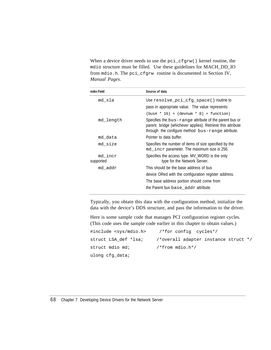When a device driver needs to use the  $pci_cfgrw$  () kernel routine, the mdio structure must be filled. Use these guidelines for MACH\_DD\_IO from mdio.h. The pci\_cfgrw routine is documented in Section IV, *Manual Pages*.

| mdio Field           | Source of data                                                                                                                                                                |
|----------------------|-------------------------------------------------------------------------------------------------------------------------------------------------------------------------------|
| md sla               | Use resolve pci cfg space() routine to                                                                                                                                        |
|                      | pass in appropriate value. The value represents:                                                                                                                              |
|                      | $(bus# * 16) + (devnum * 8) + function)$                                                                                                                                      |
| md length            | Specifies the $bus-range$ attribute of the parent bus or<br>parent bridge (whichever applies). Retrieve this attribute<br>through the configure method $bus-range$ attribute. |
| md data              | Pointer to data buffer.                                                                                                                                                       |
| md size              | Specifies the number of items of size specified by the<br>$md\_incr$ parameter. The maximum size is 256.                                                                      |
| md incr<br>supported | Specifies the access type. MV_WORD is the only<br>type for the Network Server.                                                                                                |
| md addr              | This should be the base address of bus                                                                                                                                        |
|                      | device ORed with the configuration register address.                                                                                                                          |
|                      | The base address portion should come from                                                                                                                                     |
|                      | the Parent bus base addr attribute.                                                                                                                                           |

Typically, you obtain this data with the configuration method, initialize the data with the device's DDS structure, and pass the information to the driver.

Here is some sample code that manages PCI configuration register cycles. (This code uses the sample code earlier in this chapter to obtain values.)

| #include <sys mdio.h=""></sys> | /*for config cycles*/ |
|--------------------------------|-----------------------|
|                                |                       |
| struct mdio md;                | /*from mdio.h*/       |
| ulong cfg data <i>;</i>        |                       |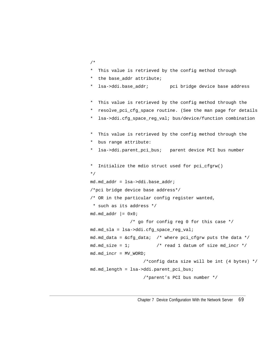```
/*
```

|  |  |  |  | * This value is retrieved by the config method through |  |  |  |  |  |
|--|--|--|--|--------------------------------------------------------|--|--|--|--|--|
|--|--|--|--|--------------------------------------------------------|--|--|--|--|--|

- \* the base\_addr attribute;
- \* lsa->ddi.base\_addr; pci bridge device base address
- \* This value is retrieved by the config method through the
- \* resolve\_pci\_cfg\_space routine. (See the man page for details
- \* lsa->ddi.cfg\_space\_reg\_val; bus/device/function combination
- \* This value is retrieved by the config method through the
- \* bus range attribute:
- \* lsa->ddi.parent\_pci\_bus; parent device PCI bus number

\* Initialize the mdio struct used for pci\_cfgrw() \*/ md.md\_addr = lsa->ddi.base\_addr; /\*pci bridge device base address\*/ /\* OR in the particular config register wanted, \* such as its address \*/ md.md\_addr  $|= 0x0$ ;  $/*$  go for config reg 0 for this case  $*/$ md.md\_sla = lsa->ddi.cfg\_space\_reg\_val; md.md\_data =  $&cfg_data$ ; /\* where pci\_cfgrw puts the data \*/ md.md\_size =  $1$ ;  $\frac{1}{2}$  /\* read 1 datum of size md\_incr \*/ md.md\_incr = MV\_WORD; /\*config data size will be int (4 bytes) \*/ md.md\_length = lsa->ddi.parent\_pci\_bus; /\*parent's PCI bus number \*/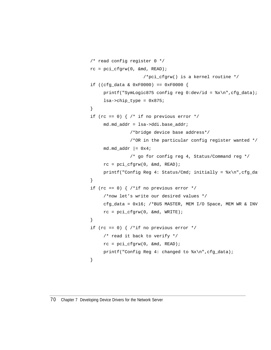```
/* read config register 0 */
rc = pci cfqrw(0, \text{ and}, READ);/*pci cfgrw() is a kernel routine */if ((cfg_data & 0xF0000) == 0xF0000 {
     printf("SymLogic875 config reg 0:dev/id = %x\n",cfg_data);
     lsa->chip_type = 0x875;
}
if (rc == 0) { /* if no previous error */md.md_addr = lsa->ddi.base_addr;
                /*bridge device base address*/
                /*OR in the particular config register wanted */
     mdmd\_addr |= 0x4;/* go for config reg 4, Status/Command reg */
     rc = pci_cfgrw(0, \text{ and}, \text{READ});printf("Config Reg 4: Status/Cmd; initially = x\nright", cfg_da
}
if (rc == 0) { /*if no previous error *//*now let's write our desired values */
     cfg_data = 0x16; /*BUS MASTER, MEM I/O Space, MEM WR & INV 
     rc = pci cfqrw(0, \delta m d, WRITE);}
if (rc == 0) { /*if no previous error *//* read it back to verify */
     rc = pci_cfgrw(0, \text{ and}, \text{READ});printf("Config Reg 4: changed to %x\n",cfg_data);
}
```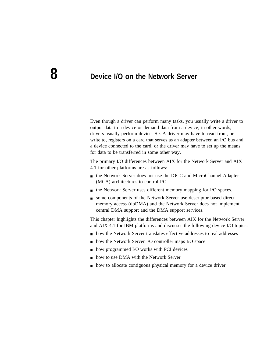# **8 Device I/O on the Network Server**

Even though a driver can perform many tasks, you usually write a driver to output data to a device or demand data from a device; in other words, drivers usually perform device I/O. A driver may have to read from, or write to, registers on a card that serves as an adapter between an I/O bus and a device connected to the card, or the driver may have to set up the means for data to be transferred in some other way.

The primary I/O differences between AIX for the Network Server and AIX 4.1 for other platforms are as follows:

- the Network Server does not use the IOCC and MicroChannel Adapter (MCA) architectures to control I/O.
- the Network Server uses different memory mapping for I/O spaces.
- some components of the Network Server use descriptor-based direct memory access (dbDMA) and the Network Server does not implement central DMA support and the DMA support services.

This chapter highlights the differences between AIX for the Network Server and AIX 4.1 for IBM platforms and discusses the following device I/O topics:

- how the Network Server translates effective addresses to real addresses
- how the Network Server I/O controller maps I/O space
- how programmed I/O works with PCI devices
- how to use DMA with the Network Server
- how to allocate contiguous physical memory for a device driver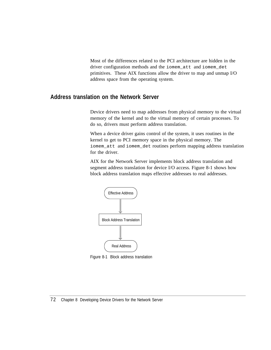Most of the differences related to the PCI architecture are hidden in the driver configuration methods and the iomem\_att and iomem\_det primitives. These AIX functions allow the driver to map and unmap I/O address space from the operating system.

#### **Address translation on the Network Server**

Device drivers need to map addresses from physical memory to the virtual memory of the kernel and to the virtual memory of certain processes. To do so, drivers must perform address translation.

When a device driver gains control of the system, it uses routines in the kernel to get to PCI memory space in the physical memory. The iomem\_att and iomem\_det routines perform mapping address translation for the driver.

AIX for the Network Server implements block address translation and segment address translation for device I/O access. Figure 8-1 shows how block address translation maps effective addresses to real addresses.



Figure 8-1 Block address translation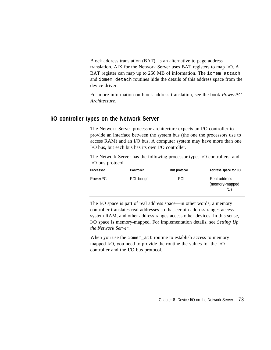Block address translation (BAT) is an alternative to page address translation. AIX for the Network Server uses BAT registers to map I/O. A BAT register can map up to 256 MB of information. The iomem\_attach and iomem\_detach routines hide the details of this address space from the device driver.

For more information on block address translation, see the book *PowerPC Architecture*.

# **I/O controller types on the Network Server**

The Network Server processor architecture expects an I/O controller to provide an interface between the system bus (the one the processors use to access RAM) and an I/O bus. A computer system may have more than one I/O bus, but each bus has its own I/O controller.

The Network Server has the following processor type, I/O controllers, and I/O bus protocol.

| <b>Processor</b> | <b>Controller</b> | <b>Bus protocol</b> | Address space for I/O                 |
|------------------|-------------------|---------------------|---------------------------------------|
| PowerPC          | PCI bridge        | PCI                 | Real address<br>(memory-mapped<br>I/O |

The I/O space is part of real address space—in other words, a memory controller translates real addresses so that certain address ranges access system RAM, and other address ranges access other devices. In this sense, I/O space is memory-mapped. For implementation details, see *Setting Up the Network Server*.

When you use the iomem\_att routine to establish access to memory mapped I/O, you need to provide the routine the values for the I/O controller and the I/O bus protocol.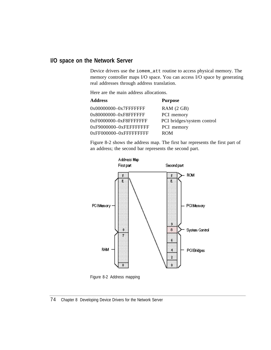# **I/O space on the Network Server**

Device drivers use the iomem\_att routine to access physical memory. The memory controller maps I/O space. You can access I/O space by generating real addresses through address translation.

Here are the main address allocations.

| <b>Address</b>            | <b>Purpose</b>             |
|---------------------------|----------------------------|
| 0x00000000-0x7FFFFFFFF    | RAM (2 GB)                 |
| 0x80000000-0xF8FFFFFF     | PCI memory                 |
| $0xF0000000-0xF8FFFFFFFF$ | PCI bridges/system control |
| $0xF9000000-0xFEFFFFFF$   | PCI memory                 |
| $0xFF000000-0xFFFFFFFF$   | <b>ROM</b>                 |
|                           |                            |

Figure 8-2 shows the address map. The first bar represents the first part of an address; the second bar represents the second part.



Figure 8-2 Address mapping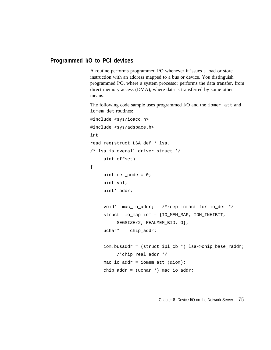# **Programmed I/O to PCI devices**

{

A routine performs programmed I/O whenever it issues a load or store instruction with an address mapped to a bus or device. You distinguish programmed I/O, where a system processor performs the data transfer, from direct memory access (DMA), where data is transferred by some other means.

The following code sample uses programmed I/O and the iomem\_att and iomem\_det routines:

```
#include <sys/ioacc.h>
#include <sys/adspace.h>
int
read_reg(struct LSA_def * lsa,
/* lsa is overall driver struct */
    uint offset)
    uint ret code = 0;uint val;
     uint* addr;
    void* mac_io_addr; /*keep intact for io_det */
     struct io_map iom = {IO_MEM_MAP, IOM_INHIBIT,
          SEGSIZE/2, REALMEM_BID, O};
     uchar* chip_addr;
     iom.busaddr = (struct ipl_cb *) lsa->chip_base_raddr;
          /*chip real addr */
     mac\_io\_addr = iomen\_att (&iom);
     chip_addr = (uchar * ) mac.io\_addr;
```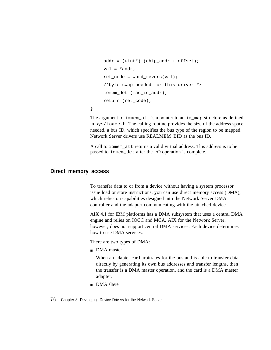```
addr = (uint*) (chip\_addr + offset);val = *addr;ret code = word revers(val);
/*byte swap needed for this driver */
iomem_det (mac_io_addr);
return (ret_code);
```
The argument to iomem\_att is a pointer to an io\_map structure as defined in sys/ioacc.h. The calling routine provides the size of the address space needed, a bus ID, which specifies the bus type of the region to be mapped. Network Server drivers use REALMEM\_BID as the bus ID.

A call to iomem\_att returns a valid virtual address. This address is to be passed to iomem\_det after the I/O operation is complete.

#### **Direct memory access**

}

To transfer data to or from a device without having a system processor issue load or store instructions, you can use direct memory access (DMA), which relies on capabilities designed into the Network Server DMA controller and the adapter communicating with the attached device.

AIX 4.1 for IBM platforms has a DMA subsystem that uses a central DMA engine and relies on IOCC and MCA. AIX for the Network Server, however, does not support central DMA services. Each device determines how to use DMA services.

There are two types of DMA:

■ DMA master

When an adapter card arbitrates for the bus and is able to transfer data directly by generating its own bus addresses and transfer lengths, then the transfer is a DMA master operation, and the card is a DMA master adapter.

■ DMA slave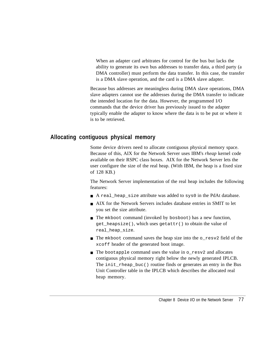When an adapter card arbitrates for control for the bus but lacks the ability to generate its own bus addresses to transfer data, a third party (a DMA controller) must perform the data transfer. In this case, the transfer is a DMA slave operation, and the card is a DMA slave adapter.

Because bus addresses are meaningless during DMA slave operations, DMA slave adapters cannot use the addresses during the DMA transfer to indicate the intended location for the data. However, the programmed I/O commands that the device driver has previously issued to the adapter typically enable the adapter to know where the data is to be put or where it is to be retrieved.

### **Allocating contiguous physical memory**

Some device drivers need to allocate contiguous physical memory space. Because of this, AIX for the Network Server uses IBM's *rheap* kernel code available on their RSPC class boxes. AIX for the Network Server lets the user configure the size of the real heap. (With IBM, the heap is a fixed size of 128 KB.)

The Network Server implementation of the real heap includes the following features:

- A real\_heap\_size attribute was added to sys0 in the PdAt database.
- AIX for the Network Servers includes database entries in SMIT to let you set the size attribute.
- The mkboot command (invoked by bosboot) has a new function, get heapsize(), which uses getattr() to obtain the value of real\_heap\_size.
- The mkboot command saves the heap size into the o\_resv2 field of the xcoff header of the generated boot image.
- The bootapple command uses the value in o\_resv2 and allocates contiguous physical memory right below the newly generated IPLCB. The init\_rheap\_buc() routine finds or generates an entry in the Bus Unit Controller table in the IPLCB which describes the allocated real heap memory.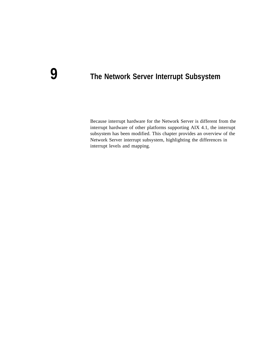# **9 The Network Server Interrupt Subsystem**

Because interrupt hardware for the Network Server is different from the interrupt hardware of other platforms supporting AIX 4.1, the interrupt subsystem has been modified. This chapter provides an overview of the Network Server interrupt subsystem, highlighting the differences in interrupt levels and mapping.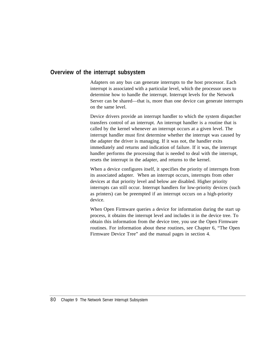# **Overview of the interrupt subsystem**

Adapters on any bus can generate interrupts to the host processor. Each interrupt is associated with a particular level, which the processor uses to determine how to handle the interrupt. Interrupt levels for the Network Server can be shared—that is, more than one device can generate interrupts on the same level.

Device drivers provide an interrupt handler to which the system dispatcher transfers control of an interrupt. An interrupt handler is a routine that is called by the kernel whenever an interrupt occurs at a given level. The interrupt handler must first determine whether the interrupt was caused by the adapter the driver is managing. If it was not, the handler exits immediately and returns and indication of failure. If it was, the interrupt handler performs the processing that is needed to deal with the interrupt, resets the interrupt in the adapter, and returns to the kernel.

When a device configures itself, it specifies the priority of interrupts from its associated adapter. When an interrupt occurs, interrupts from other devices at that priority level and below are disabled. Higher priority interrupts can still occur. Interrupt handlers for low-priority devices (such as printers) can be preempted if an interrupt occurs on a high-priority device.

When Open Firmware queries a device for information during the start up process, it obtains the interrupt level and includes it in the device tree. To obtain this information from the device tree, you use the Open Firmware routines. For information about these routines, see Chapter 6, "The Open Firmware Device Tree" and the manual pages in section 4.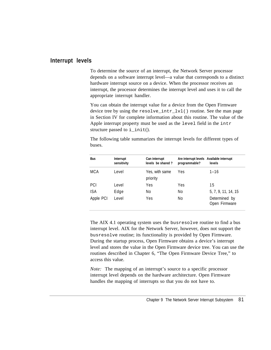#### **Interrupt levels**

To determine the source of an interrupt, the Network Server processor depends on a software interrupt level—a value that corresponds to a distinct hardware interrupt source on a device. When the processor receives an interrupt, the processor determines the interrupt level and uses it to call the appropriate interrupt handler.

You can obtain the interrupt value for a device from the Open Firmware device tree by using the resolve\_intr\_lvl() routine. See the man page in Section IV for complete information about this routine. The value of the Apple interrupt property must be used as the level field in the intr structure passed to  $i$  init().

The following table summarizes the interrupt levels for different types of buses.

| <b>Bus</b> | Interrupt<br>sensitivity | Can interrupt<br>levels be shared? | Are interrupt levels Available interrupt<br>programmable? | levels                         |
|------------|--------------------------|------------------------------------|-----------------------------------------------------------|--------------------------------|
| <b>MCA</b> | Level                    | Yes, with same<br>priority         | Yes                                                       | $1 - 16$                       |
| PCI        | Level                    | Yes                                | Yes                                                       | 15                             |
| <b>ISA</b> | Edge                     | No                                 | No                                                        | 5, 7, 9, 11, 14, 15            |
| Apple PCI  | Level                    | Yes                                | No                                                        | Determined by<br>Open Firmware |

The AIX 4.1 operating system uses the busresolve routine to find a bus interrupt level. AIX for the Network Server, however, does not support the busresolve routine; its functionality is provided by Open Firmware. During the startup process, Open Firmware obtains a device's interrupt level and stores the value in the Open Firmware device tree. You can use the routines described in Chapter 6, "The Open Firmware Device Tree," to access this value.

*Note:* The mapping of an interrupt's source to a specific processor interrupt level depends on the hardware architecture. Open Firmware handles the mapping of interrupts so that you do not have to.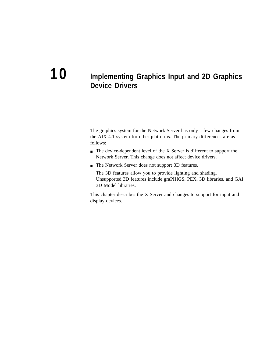# **10 Implementing Graphics Input and 2D Graphics Device Drivers**

The graphics system for the Network Server has only a few changes from the AIX 4.1 system for other platforms. The primary differences are as follows:

- The device-dependent level of the X Server is different to support the Network Server. This change does not affect device drivers.
- The Network Server does not support 3D features.

The 3D features allow you to provide lighting and shading. Unsupported 3D features include graPHIGS, PEX, 3D libraries, and GAI 3D Model libraries.

This chapter describes the X Server and changes to support for input and display devices.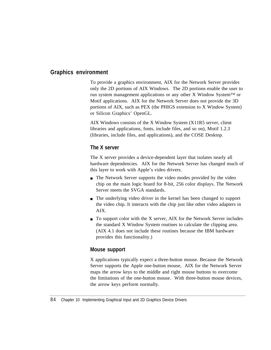# **Graphics environment**

To provide a graphics environment, AIX for the Network Server provides only the 2D portions of AIX Windows. The 2D portions enable the user to run system management applications or any other X Window System<sup>TM</sup> or Motif applications. AIX for the Network Server does not provide the 3D portions of AIX, such as PEX (the PHIGS extension to X Window System) or Silicon Graphics' OpenGL.

AIX Windows consists of the X Window System (X11R5 server, client libraries and applications, fonts, include files, and so on), Motif 1.2.3 (libraries, include files, and applications), and the COSE Desktop.

#### **The X server**

The X server provides a device-dependent layer that isolates nearly all hardware dependencies. AIX for the Network Server has changed much of this layer to work with Apple's video drivers.

- The Network Server supports the video modes provided by the video chip on the main logic board for 8-bit, 256 color displays. The Network Server meets the SVGA standards.
- The underlying video driver in the kernel has been changed to support the video chip. It interacts with the chip just like other video adapters in AIX.
- To support color with the X server, AIX for the Network Server includes the standard X Window System routines to calculate the clipping area. (AIX 4.1 does not include these routines because the IBM hardware provides this functionality.)

#### **Mouse support**

X applications typically expect a three-button mouse. Because the Network Server supports the Apple one-button mouse, AIX for the Network Server maps the arrow keys to the middle and right mouse buttons to overcome the limitations of the one-button mouse. With three-button mouse devices, the arrow keys perform normally.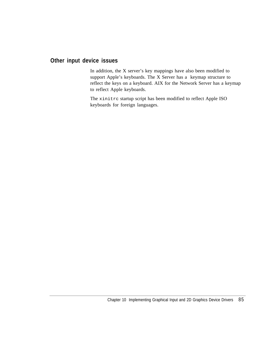# **Other input device issues**

In addition, the X server's key mappings have also been modified to support Apple's keyboards. The X Server has a keymap structure to reflect the keys on a keyboard. AIX for the Network Server has a keymap to reflect Apple keyboards.

The xinitrc startup script has been modified to reflect Apple ISO keyboards for foreign languages.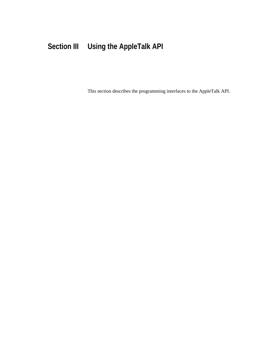# **Section III Using the AppleTalk API**

This section describes the programming interfaces to the AppleTalk API.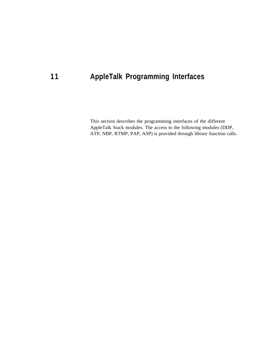# **11 AppleTalk Programming Interfaces**

This section describes the programming interfaces of the different AppleTalk Stack modules. The access to the following modules (DDP, ATP, NBP, RTMP, PAP, ASP) is provided through library function calls.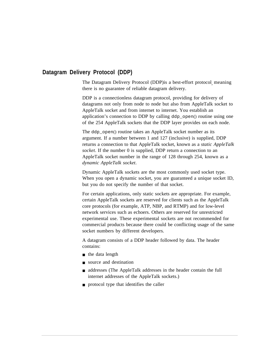# **Datagram Delivery Protocol (DDP)**

The Datagram Delivery Protocol (DDP)is a best-effort protocol, meaning there is no guarantee of reliable datagram delivery.

DDP is a connectionless datagram protocol, providing for delivery of datagrams not only from node to node but also from AppleTalk socket to AppleTalk socket and from internet to internet. You establish an application's connection to DDP by calling ddp\_open() routine using one of the 254 AppleTalk sockets that the DDP layer provides on each node.

The ddp\_open() routine takes an AppleTalk socket number as its argument. If a number between 1 and 127 (inclusive) is supplied, DDP returns a connection to that AppleTalk socket, known as a *static AppleTalk socket*. If the number 0 is supplied, DDP return a connection to an AppleTalk socket number in the range of 128 through 254, known as a *dynamic AppleTalk socket*.

Dynamic AppleTalk sockets are the most commonly used socket type. When you open a dynamic socket, you are guaranteed a unique socket ID, but you do not specify the number of that socket.

For certain applications, only static sockets are appropriate. For example, certain AppleTalk sockets are reserved for clients such as the AppleTalk core protocols (for example, ATP, NBP, and RTMP) and for low-level network services such as echoers. Others are reserved for unrestricted experimental use. These experimental sockets are not recommended for commercial products because there could be conflicting usage of the same socket numbers by different developers.

A datagram consists of a DDP header followed by data. The header contains:

- the data length
- source and destination
- addresses (The AppleTalk addresses in the header contain the full internet addresses of the AppleTalk sockets.)
- protocol type that identifies the caller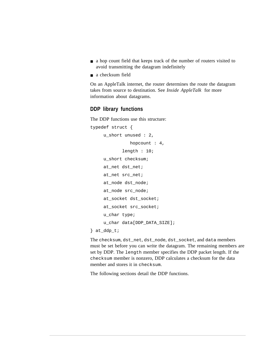- a hop count field that keeps track of the number of routers visited to avoid transmitting the datagram indefinitely
- a checksum field

On an AppleTalk internet, the router determines the route the datagram takes from source to destination. See *Inside AppleTalk* for more information about datagrams.

#### **DDP library functions**

The DDP functions use this structure:

```
typedef struct {
```

```
u_short unused : 2,
           hopcount : 4,
        length : 10;
u_short checksum;
at_net dst_net;
at net src net;
at node dst node;
at_node src_node;
at_socket dst_socket;
at_socket src_socket;
u char type;
u_char data[DDP_DATA_SIZE];
```

```
} at_ddp_t;
```
The checksum, dst\_net, dst\_node, dst\_socket, and data members must be set before you can write the datagram. The remaining members are set by DDP. The length member specifies the DDP packet length. If the checksum member is nonzero, DDP calculates a checksum for the data member and stores it in checksum.

The following sections detail the DDP functions.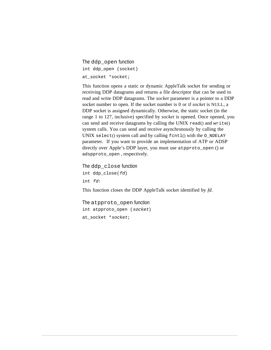The ddp\_open function int ddp\_open (socket) at socket \*socket;

This function opens a static or dynamic AppleTalk socket for sending or receiving DDP datagrams and returns a file descriptor that can be used to read and write DDP datagrams. The *socket* parameter is a pointer to a DDP socket number to open. If the socket number is 0 or if *socket* is NULL, a DDP socket is assigned dynamically. Otherwise, the static socket (in the range 1 to 127, inclusive) specified by *socket* is opened. Once opened, you can send and receive datagrams by calling the UNIX read() and write() system calls. You can send and receive asynchronously by calling the UNIX select() system call and by calling  $fentl()$  with the  $O$ \_NDELAY parameter. If you want to provide an implementation of ATP or ADSP directly over Apple's DDP layer, you must use atpproto\_open () or adspproto\_open , respectively.

The ddp\_close function int  $ddp_c$ lose( $fd$ ) int fd:

This function closes the DDP AppleTalk socket identified by *fd*.

The atpproto open function int atpproto\_open (socket) at socket \*socket;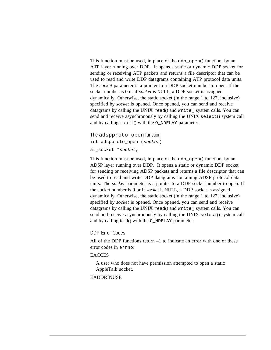This function must be used, in place of the ddp\_open() function, by an ATP layer running over DDP. It opens a static or dynamic DDP socket for sending or receiving ATP packets and returns a file descriptor that can be used to read and write DDP datagrams containing ATP protocol data units. The *socket* parameter is a pointer to a DDP socket number to open. If the socket number is 0 or if *socket* is NULL, a DDP socket is assigned dynamically. Otherwise, the static socket (in the range 1 to 127, inclusive) specified by *socket* is opened. Once opened, you can send and receive datagrams by calling the UNIX  $\text{read}()$  and  $\text{write}(()$  system calls. You can send and receive asynchronously by calling the UNIX select() system call and by calling  $fentl()$  with the O\_NDELAY parameter.

The adspproto open function int adspproto open (socket) at socket \*socket;

This function must be used, in place of the ddp open() function, by an ADSP layer running over DDP. It opens a static or dynamic DDP socket for sending or receiving ADSP packets and returns a file descriptor that can be used to read and write DDP datagrams containing ADSP protocol data units. The *socket* parameter is a pointer to a DDP socket number to open. If the socket number is 0 or if *socket* is NULL, a DDP socket is assigned dynamically. Otherwise, the static socket (in the range 1 to 127, inclusive) specified by *socket* is opened. Once opened, you can send and receive datagrams by calling the UNIX read() and write() system calls. You can send and receive asynchronously by calling the UNIX select() system call and by calling fcntl() with the O\_NDELAY parameter.

#### DDP Error Codes

All of the DDP functions return –1 to indicate an error with one of these error codes in errno:

#### EACCES

A user who does not have permission attempted to open a static AppleTalk socket.

**EADDRINUSE**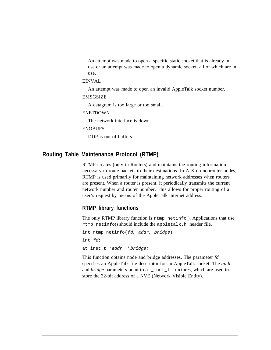An attempt was made to open a specific static socket that is already in use or an attempt was made to open a dynamic socket, all of which are in use.

#### EINVAL

An attempt was made to open an invalid AppleTalk socket number.

#### EMSGSIZE

A datagram is too large or too small.

#### **ENETDOWN**

The network interface is down.

#### **ENOBUES**

DDP is out of buffers.

### **Routing Table Maintenance Protocol (RTMP)**

RTMP creates (only in Routers) and maintains the routing information necessary to route packets to their destinations. In AIX on nonrouter nodes, RTMP is used primarily for maintaining network addresses when routers are present. When a router is present, it periodically transmits the current network number and router number. This allows for proper routing of a user's request by means of the AppleTalk internet address.

#### **RTMP library functions**

The only RTMP library function is rtmp\_netinfo(). Applications that use rtmp\_netinfo() should include the appletalk.h header file.

```
int rtmp_netinfo(fd, addr, bridge)
int fd;
at_inet_t *addr, *bridge;
```
This function obtains node and bridge addresses. The parameter *fd* specifies an AppleTalk file descriptor for an AppleTalk socket. The *addr* and *bridge* parameters point to at\_inet\_t structures, which are used to store the 32-bit address of a NVE (Network Visible Entity).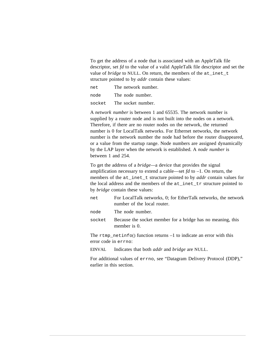To get the address of a node that is associated with an AppleTalk file descriptor, set *fd* to the value of a valid AppleTalk file descriptor and set the value of *bridge* to NULL. On return, the members of the at\_inet\_t structure pointed to by *addr* contain these values:

| net    | The network number. |
|--------|---------------------|
| node   | The node number.    |
| socket | The socket number.  |

A *network number* is between 1 and 65535. The network number is supplied by a router node and is not built into the nodes on a network. Therefore, if there are no router nodes on the network, the returned number is 0 for LocalTalk networks. For Ethernet networks, the network number is the network number the node had before the router disappeared, or a value from the startup range. Node numbers are assigned dynamically by the LAP layer when the network is established. A *node number* is between 1 and 254.

To get the address of a *bridge—*a device that provides the signal amplification necessary to extend a cable—set *fd* to –1. On return, the members of the at\_inet\_t structure pointed to by *addr* contain values for the local address and the members of the at\_inet\_tr structure pointed to by *bridge* contain these values:

| net    | For LocalTalk networks, 0; for EtherTalk networks, the network<br>number of the local router. |
|--------|-----------------------------------------------------------------------------------------------|
| node   | The node number.                                                                              |
| socket | Because the socket member for a bridge has no meaning, this<br>member is 0.                   |

The  $r$ tmp\_netinfo() function returns  $-1$  to indicate an error with this error code in errno:

EINVAL Indicates that both *addr* and *bridge* are NULL.

For additional values of errno, see "Datagram Delivery Protocol (DDP)," earlier in this section.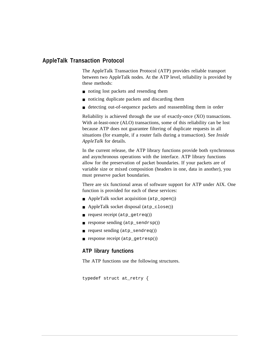#### **AppleTalk Transaction Protocol**

The AppleTalk Transaction Protocol (ATP) provides reliable transport between two AppleTalk nodes. At the ATP level, reliability is provided by these methods:

- noting lost packets and resending them
- noticing duplicate packets and discarding them
- detecting out-of-sequence packets and reassembling them in order

Reliability is achieved through the use of exactly-once (XO) transactions. With at-least-once (ALO) transactions, some of this reliability can be lost because ATP does not guarantee filtering of duplicate requests in all situations (for example, if a router fails during a transaction). See *Inside AppleTalk* for details.

In the current release, the ATP library functions provide both synchronous and asynchronous operations with the interface. ATP library functions allow for the preservation of packet boundaries. If your packets are of variable size or mixed composition (headers in one, data in another), you must preserve packet boundaries.

There are six functional areas of software support for ATP under AIX. One function is provided for each of these services:

- AppleTalk socket acquisition (atp\_open())
- AppleTalk socket disposal (atp\_close())
- request receipt (atp\_getreq())
- response sending (atp\_sendrsp())
- request sending (atp\_sendreq())
- response receipt (atp\_getresp())

#### **ATP library functions**

The ATP functions use the following structures.

```
typedef struct at_retry {
```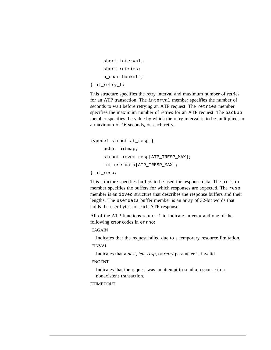```
short interval;
short retries;
u char backoff;
```
} at\_retry\_t;

This structure specifies the retry interval and maximum number of retries for an ATP transaction. The interval member specifies the number of seconds to wait before retrying an ATP request. The retries member specifies the maximum number of retries for an ATP request. The backup member specifies the value by which the retry interval is to be multiplied, to a maximum of 16 seconds, on each retry.

```
typedef struct at_resp {
     uchar bitmap;
     struct iovec resp[ATP_TRESP_MAX];
     int userdata[ATP_TRESP_MAX];
} at resp;
```
This structure specifies buffers to be used for response data. The bitmap member specifies the buffers for which responses are expected. The resp member is an iovec structure that describes the response buffers and their lengths. The userdata buffer member is an array of 32-bit words that holds the user bytes for each ATP response.

All of the ATP functions return  $-1$  to indicate an error and one of the following error codes in errno:

EAGAIN

Indicates that the request failed due to a temporary resource limitation.

EINVAL

Indicates that a *dest, len, resp,* or *retry* parameter is invalid.

ENOENT

Indicates that the request was an attempt to send a response to a nonexistent transaction.

**ETIMEDOUT**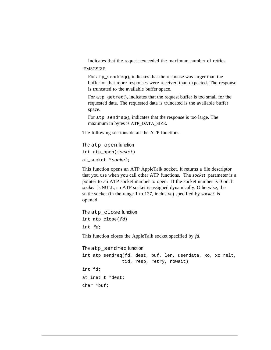Indicates that the request exceeded the maximum number of retries. EMSGSIZE

For atp\_sendreq(), indicates that the response was larger than the buffer or that more responses were received than expected. The response is truncated to the available buffer space.

For atp\_getreq(), indicates that the request buffer is too small for the requested data. The requested data is truncated is the available buffer space.

For atp\_sendrsp(), indicates that the response is too large. The maximum in bytes is ATP\_DATA\_SIZE.

The following sections detail the ATP functions.

The atp\_open function

```
int atp_open(socket)
```

```
at_socket *socket;
```
This function opens an ATP AppleTalk socket. It returns a file descriptor that you use when you call other ATP functions. The *socket* parameter is a pointer to an ATP socket number to open. If the socket number is 0 or if *socket* is NULL, an ATP socket is assigned dynamically. Otherwise, the static socket (in the range 1 to 127, inclusive) specified by *socket* is opened.

The atp\_close function int  $atp\_close(fd)$ int fd; This function closes the AppleTalk socket specified by *fd.*

```
The atp_sendreq function
int atp_sendreq(fd, dest, buf, len, userdata, xo, xo_relt,
               tid, resp, retry, nowait)
int fd;
at_inet_t *dest;
char *buf;
```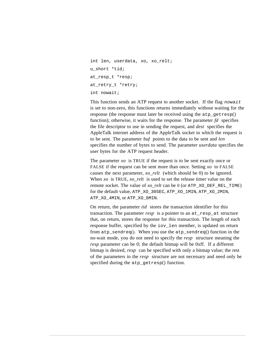int len, userdata, xo, xo\_relt; u short \*tid; at\_resp\_t \*resp; at\_retry\_t \*retry; int nowait;

This function sends an ATP request to another socket. If the flag nowait is set to non-zero, this functions returns immediately without waiting for the response (the response must later be received using the atp\_getresp() function); otherwise, it waits for the response. The parameter *fd* specifies the file descriptor to use in sending the request, and *dest* specifies the AppleTalk internet address of the AppleTalk socket to which the request is to be sent. The parameter *buf* points to the data to be sent and *len* specifies the number of bytes to send. The parameter *userdata* specifies the user bytes for the ATP request header.

The parameter *xo* is TRUE if the request is to be sent exactly once or FALSE if the request can be sent more than once. Setting *xo* to FALSE causes the next parameter, *xo\_relt* (which should be 0) to be ignored. When *xo* is TRUE, *xo\_relt* is used to set the release timer value on the remote socket. The value of *xo\_relt* can be 0 (or ATP\_XO\_DEF\_REL\_TIME) for the default value, ATP\_XO\_30SEC, ATP\_XO\_1MIN, ATP\_XO\_2MIN, ATP\_XO\_4MIN, or ATP\_XO\_8MIN.

On return, the parameter *tid* stores the transaction identifier for this transaction. The parameter *resp* is a pointer to an at\_resp\_at structure that, on return, stores the response for this transaction. The length of each response buffer, specified by the iov\_len member, is updated on return from atp\_sendreq(). When you use the atp\_sendreq() function in the no-wait mode, you do not need to specify the *resp* structure meaning the *resp* parameter can be 0; the default bitmap will be 0xff. If a different bitmap is desired, *resp* can be specified with only a bitmap value; the rest of the parameters in the *resp* structure are not necessary and need only be specified during the atp\_getresp() function.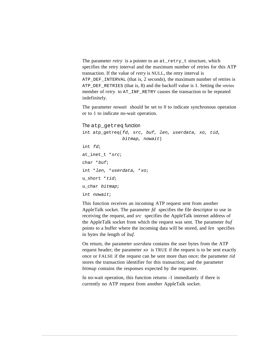The parameter *retry* is a pointer to an  $at\_retry_t$  structure, which specifies the retry interval and the maximum number of retries for this ATP transaction. If the value of *retry* is NULL, the retry interval is ATP\_DEF\_INTERVAL (that is, 2 seconds), the maximum number of retries is ATP\_DEF\_RETRIES (that is, 8) and the backoff value is 1. Setting the retries member of *retry* to AT\_INF\_RETRY causes the transaction to be repeated indefinitely.

The parameter *nowait* should be set to 0 to indicate synchronous operation or to 1 to indicate no-wait operation.

```
The atp getreg function
int atp_getreq(fd, src, buf, len, userdata, xo, tid, 
               bitmap, nowait)
int fd;
at_inet_t *src;
char *buf;
int *len, *userdata, *xo;
u_short *tid;
u_char bitmap;
int nowait;
```
This function receives an incoming ATP request sent from another AppleTalk socket. The parameter *fd* specifies the file descriptor to use in receiving the request, and *src* specifies the AppleTalk internet address of the AppleTalk socket from which the request was sent. The parameter *buf* points to a buffer where the incoming data will be stored, and *len* specifies in bytes the length of *buf.*

On return, the parameter *userdata* contains the user bytes from the ATP request header; the parameter *xo* is TRUE if the request is to be sent exactly once or FALSE if the request can be sent more than once; the parameter *tid* stores the transaction identifier for this transaction; and the parameter *bitmap* contains the responses expected by the requester.

In no-wait operation, this function returns -1 immediately if there is currently no ATP request from another AppleTalk socket.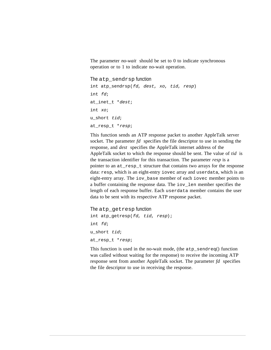The parameter *no-wait* should be set to 0 to indicate synchronous operation or to 1 to indicate no-wait operation.

The atp sendrsp function int atp sendrsp( $fd$ , dest, xo, tid, resp) int fd; at\_inet\_t \*dest; int xo; u short tid; at\_resp\_t \*resp;

This function sends an ATP response packet to another AppleTalk server socket. The parameter *fd* specifies the file descriptor to use in sending the response, and *dest* specifies the AppleTalk internet address of the AppleTalk socket to which the response should be sent. The value of *tid* is the transaction identifier for this transaction. The parameter *resp* is a pointer to an at resp t structure that contains two arrays for the response data: resp, which is an eight-entry iovec array and userdata, which is an eight-entry array. The iov\_base member of each iovec member points to a buffer containing the response data. The iov\_len member specifies the length of each response buffer. Each userdata member contains the user data to be sent with its respective ATP response packet.

```
The atp_getresp function
int atp_getresp(fd, tid, resp);
int fd;
u short tid;
at_resp_t *resp;
```
This function is used in the no-wait mode, (the  $\alpha$ <sub>terp</sub> sendreq() function was called without waiting for the response) to receive the incoming ATP response sent from another AppleTalk socket. The parameter *fd* specifies the file descriptor to use in receiving the response.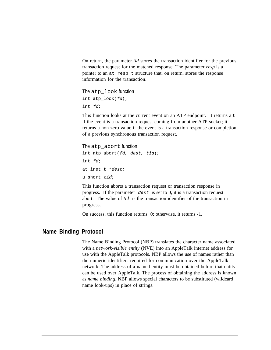On return, the parameter *tid* stores the transaction identifier for the previous transaction request for the matched response. The parameter *resp* is a pointer to an at\_resp\_t structure that, on return, stores the response information for the transaction.

The atp look function int  $atp\_look(fd)$ ; int fd;

This function looks at the current event on an ATP endpoint. It returns a 0 if the event is a transaction request coming from another ATP socket; it returns a non-zero value if the event is a transaction response or completion of a previous synchronous transaction request.

```
The atp_abort function
int atp_abort(fd, dest, tid);
int fd;
at_inet_t *dest;
u_short tid;
```
This function aborts a transaction request or transaction response in progress. If the parameter  $dest$  is set to 0, it is a transaction request abort. The value of *tid* is the transaction identifier of the transaction in progress.

On success, this function returns 0; otherwise, it returns -1.

## **Name Binding Protocol**

The Name Binding Protocol (NBP) translates the character name associated with a *network-visible entity* (NVE) into an AppleTalk internet address for use with the AppleTalk protocols. NBP allows the use of names rather than the numeric identifiers required for communication over the AppleTalk network. The address of a named entity must be obtained before that entity can be used over AppleTalk. The process of obtaining the address is known as *name binding*. NBP allows special characters to be substituted (wildcard name look-ups) in place of strings.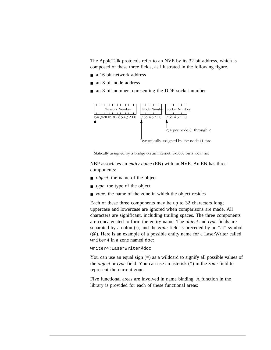The AppleTalk protocols refer to an NVE by its 32-bit address, which is composed of these three fields, as illustrated in the following figure.

- a 16-bit network address
- an 8-bit node address
- an 8-bit number representing the DDP socket number



Statically assigned by a bridge on an internet, 0x0000 on a local net

NBP associates an *entity name* (EN) with an NVE. An EN has three components:

- *object*, the name of the object
- *type*, the type of the object
- *zone*, the name of the zone in which the object resides

Each of these three components may be up to 32 characters long; uppercase and lowercase are ignored when comparisons are made. All characters are significant, including trailing spaces. The three components are concatenated to form the entity name. The *object* and *type* fields are separated by a colon (:), and the *zone* field is preceded by an "at" symbol (@). Here is an example of a possible entity name for a LaserWriter called writer4 in a zone named doc:

writer4:LaserWriter@doc

You can use an equal sign  $(=)$  as a wildcard to signify all possible values of the *object* or *type* field. You can use an asterisk (\*) in the *zone* field to represent the current zone.

Five functional areas are involved in name binding. A function in the library is provided for each of these functional areas: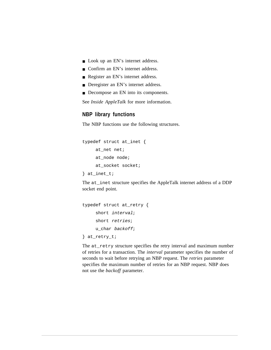- Look up an EN's internet address.
- Confirm an EN's internet address.
- Register an EN's internet address.
- Deregister an EN's internet address.
- Decompose an EN into its components.

See *Inside AppleTalk* for more information.

### **NBP library functions**

The NBP functions use the following structures.

```
typedef struct at_inet {
     at_net net;
     at node node;
     at socket socket;
} at_inet_t;
```
The at\_inet structure specifies the AppleTalk internet address of a DDP socket end point.

```
typedef struct at_retry {
     short interval;
     short retries;
     u_char backoff;
} at_retry_t;
```
The at\_retry structure specifies the retry interval and maximum number of retries for a transaction. The *interval* parameter specifies the number of seconds to wait before retrying an NBP request. The *retries* parameter specifies the maximum number of retries for an NBP request. NBP does not use the *backoff* parameter.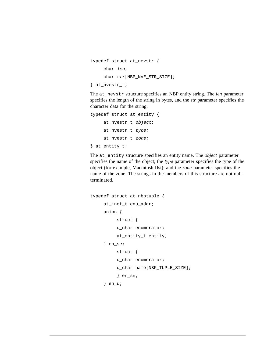```
typedef struct at_nevstr {
     char len;
     char str[NBP_NVE_STR_SIZE];
} at_nvestr_t;
```
The at\_nevstr structure specifies an NBP entity string. The *len* parameter specifies the length of the string in bytes, and the *str* parameter specifies the character data for the string.

```
typedef struct at_entity {
     at_nvestr_t object;
     at_nvestr_t type;
     at_nvestr_t zone;
} at_entity_t;
```
The at\_entity structure specifies an entity name. The *object* parameter specifies the name of the object; the *type* parameter specifies the type of the object (for example, Macintosh IIsi); and the *zone* parameter specifies the name of the zone. The strings in the members of this structure are not nullterminated.

```
typedef struct at_nbptuple {
     at_inet_t enu_addr;
     union {
          struct {
          u_char enumerator;
          at_entity_t entity;
     } en_se;
          struct {
          u_char enumerator;
          u_char name[NBP_TUPLE_SIZE];
          } en_sn;
     \} en_u;
```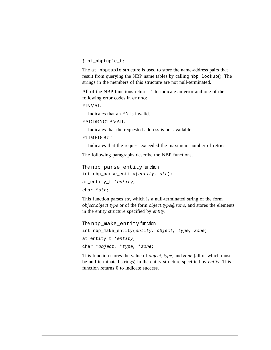```
} at_nbptuple_t;
```
The at\_nbptuple structure is used to store the name-address pairs that result from querying the NBP name tables by calling nbp\_lookup(). The strings in the members of this structure are not null-terminated.

All of the NBP functions return –1 to indicate an error and one of the following error codes in errno:

EINVAL

Indicates that an EN is invalid.

#### EADDRNOTAVAIL

Indicates that the requested address is not available.

#### ETIMEDOUT

Indicates that the request exceeded the maximum number of retries.

The following paragraphs describe the NBP functions.

```
The nbp_parse_entity function
```

```
int nbp_parse_entity(entity, str);
at_entity_t *entity;
```

```
char *str;
```
This function parses *str,* which is a null-terminated string of the form *object*,*object*:*type* or of the form *object*:*type*@*zone*, and stores the elements in the entity structure specified by *entity*.

```
The nbp_make_entity function
int nbp_make_entity(entity, object, type, zone)
at_entity_t *entity;
char *object, *type, *zone;
```
This function stores the value of *object*, *type*, and *zone* (all of which must be null-terminated strings) in the entity structure specified by *entity*. This function returns 0 to indicate success.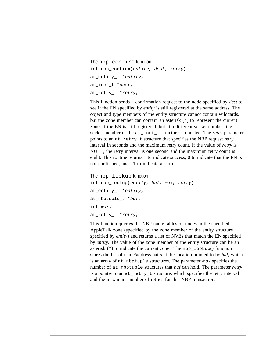The nbp\_confirm function int nbp confirm(entity, dest, retry) at\_entity\_t \*entity; at\_inet\_t \*dest; at\_retry\_t \*retry;

This function sends a confirmation request to the node specified by *dest* to see if the EN specified by *entity* is still registered at the same address. The object and type members of the entity structure cannot contain wildcards, but the zone member can contain an asterisk (\*) to represent the current zone. If the EN is still registered, but at a different socket number, the socket member of the at\_inet\_t structure is updated. The *retry* parameter points to an at retry t structure that specifies the NBP request retry interval in seconds and the maximum retry count. If the value of *retry* is NULL, the retry interval is one second and the maximum retry count is eight. This routine returns 1 to indicate success, 0 to indicate that the EN is not confirmed, and –1 to indicate an error.

The nbp lookup function

int nbp lookup(entity, buf, max, retry) at\_entity\_t \*entity; at\_nbptuple\_t \*buf; int max; at\_retry\_t \*retry;

This function queries the NBP name tables on nodes in the specified AppleTalk zone (specified by the zone member of the entity structure specified by *entity*) and returns a list of NVEs that match the EN specified by *entity*. The value of the zone member of the entity structure can be an asterisk  $(*)$  to indicate the current zone. The nbp  $log \nu$  function stores the list of name/address pairs at the location pointed to by *buf,* which is an array of at\_nbptuple structures. The parameter *max* specifies the number of at\_nbptuple structures that *buf* can hold. The parameter *retry* is a pointer to an at retry t structure, which specifies the retry interval and the maximum number of retries for this NBP transaction.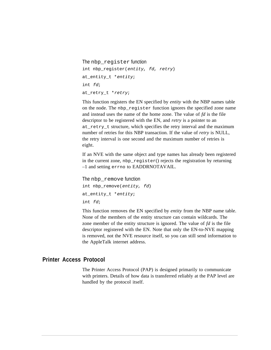```
The nbp register function
int nbp register(entity, fd, retry)
at_entity_t *entity;
int fd;
at_retry_t *retry;
```
This function registers the EN specified by *entity* with the NBP names table on the node. The nbp\_register function ignores the specified zone name and instead uses the name of the home zone. The value of *fd* is the file descriptor to be registered with the EN, and *retry* is a pointer to an at\_retry\_t structure, which specifies the retry interval and the maximum number of retries for this NBP transaction. If the value of *retry* is NULL, the retry interval is one second and the maximum number of retries is eight.

If an NVE with the same object and type names has already been registered in the current zone, nbp\_register() rejects the registration by returning –1 and setting errno to EADDRNOTAVAIL.

```
The nbp remove function
int nbp remove(entity, fd)
at_entity_t *entity;
int fd;
```
This function removes the EN specified by *entity* from the NBP name table. None of the members of the entity structure can contain wildcards. The zone member of the entity structure is ignored. The value of *fd* is the file descriptor registered with the EN. Note that only the EN-to-NVE mapping is removed, not the NVE resource itself, so you can still send information to the AppleTalk internet address.

# **Printer Access Protocol**

The Printer Access Protocol (PAP) is designed primarily to communicate with printers. Details of how data is transferred reliably at the PAP level are handled by the protocol itself.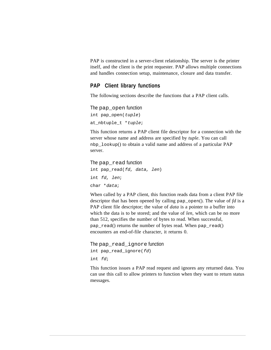PAP is constructed in a server-client relationship. The server is the printer itself, and the client is the print requester. PAP allows multiple connections and handles connection setup, maintenance, closure and data transfer.

#### **PAP Client library functions**

The following sections describe the functions that a PAP client calls.

The pap\_open function int pap\_open(tuple) at\_nbtuple\_t \*tuple;

This function returns a PAP client file descriptor for a connection with the server whose name and address are specified by *tuple*. You can call nbp\_lookup() to obtain a valid name and address of a particular PAP server.

The pap\_read function int pap\_read(fd, data, len) int fd, len; char \*data;

When called by a PAP client, this function reads data from a client PAP file descriptor that has been opened by calling pap\_open(). The value of *fd* is a PAP client file descriptor; the value of *data* is a pointer to a buffer into which the data is to be stored; and the value of *len,* which can be no more than 512, specifies the number of bytes to read. When successful, pap\_read() returns the number of bytes read. When pap\_read() encounters an end-of-file character, it returns 0.

The pap read ignore function int pap read ignore( $fd$ ) int  $fd$ ;

This function issues a PAP read request and ignores any returned data. You can use this call to allow printers to function when they want to return status messages.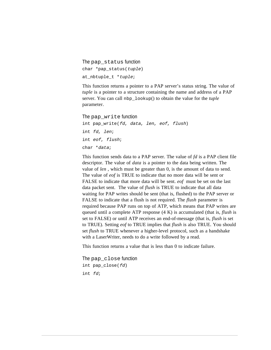The pap\_status function char \*pap\_status(tuple) at\_nbtuple\_t \*tuple;

This function returns a pointer to a PAP server's status string. The value of *tuple* is a pointer to a structure containing the name and address of a PAP server. You can call nbp\_lookup() to obtain the value for the *tuple* parameter.

The pap\_write function int pap\_write(fd, data, len, eof, flush) int fd, len; int eof, flush; char \*data;

This function sends data to a PAP server. The value of *fd* is a PAP client file descriptor. The value of *data* is a pointer to the data being written. The value of *len* , which must be greater than 0, is the amount of data to send. The value of *eof* is TRUE to indicate that no more data will be sent or FALSE to indicate that more data will be sent. *eof* must be set on the last data packet sent. The value of *flush* is TRUE to indicate that all data waiting for PAP writes should be sent (that is, flushed) to the PAP server or FALSE to indicate that a flush is not required. The *flush* parameter is required because PAP runs on top of ATP, which means that PAP writes are queued until a complete ATP response (4 K) is accumulated (that is, *flush* is set to FALSE) or until ATP receives an end-of-message (that is, *flush* is set to TRUE). Setting *eof* to TRUE implies that *flush* is also TRUE. You should set *flush* to TRUE whenever a higher-level protocol, such as a handshake with a LaserWriter, needs to do a write followed by a read.

This function returns a value that is less than 0 to indicate failure.

The pap close function int pap  $close(fd)$ int  $fd$ ;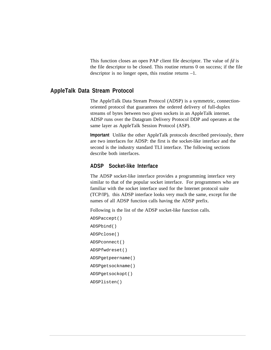This function closes an open PAP client file descriptor. The value of *fd* is the file descriptor to be closed. This routine returns 0 on success; if the file descriptor is no longer open, this routine returns –1.

## **AppleTalk Data Stream Protocol**

The AppleTalk Data Stream Protocol (ADSP) is a symmetric, connectionoriented protocol that guarantees the ordered delivery of full-duplex streams of bytes between two given sockets in an AppleTalk internet. ADSP runs over the Datagram Delivery Protocol DDP and operates at the same layer as AppleTalk Session Protocol (ASP).

**Important** Unlike the other AppleTalk protocols described previously, there are two interfaces for ADSP: the first is the socket-like interface and the second is the industry standard TLI interface. The following sections describe both interfaces.

### **ADSP Socket-like Interface**

The ADSP socket-like interface provides a programming interface very similar to that of the popular socket interface. For programmers who are familiar with the socket interface used for the Internet protocol suite (TCP/IP), this ADSP interface looks very much the same, except for the names of all ADSP function calls having the ADSP prefix.

Following is the list of the ADSP socket-like function calls.

```
ADSPaccept()
ADSPbind()
ADSPclose()
ADSPconnect()
ADSPfwdreset()
ADSPgetpeername()
ADSPgetsockname()
ADSPgetsockopt()
ADSPlisten()
```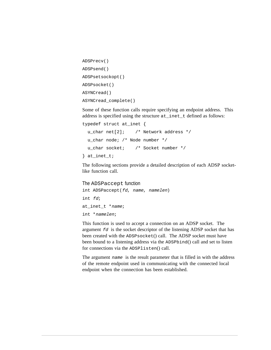```
ADSPrecv()
ADSPsend()
ADSPsetsockopt()
ADSPsocket()
ASYNCread()
ASYNCread_complete()
```
Some of these function calls require specifying an endpoint address. This address is specified using the structure at\_inet\_t defined as follows:

```
typedef struct at_inet {
   u_char net[2]; /* Network address */
   u_char node; /* Node number */
   u_char socket; /* Socket number */
} at_inet_t;
```
The following sections provide a detailed description of each ADSP socketlike function call.

```
The ADSPaccept function
int ADSPaccept(fd, name, namelen)
int fd;
at_inet_t *name;
int *namelen;
```
This function is used to accept a connection on an ADSP socket. The argument fd is the socket descriptor of the listening ADSP socket that has been created with the ADSPsocket() call. The ADSP socket must have been bound to a listening address via the ADSPbind() call and set to listen for connections via the ADSPlisten() call.

The argument name is the result parameter that is filled in with the address of the remote endpoint used in communicating with the connected local endpoint when the connection has been established.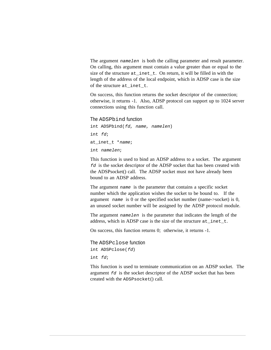The argument namelen is both the calling parameter and result parameter. On calling, this argument must contain a value greater than or equal to the size of the structure at\_inet\_t. On return, it will be filled in with the length of the address of the local endpoint, which in ADSP case is the size of the structure at\_inet\_t.

On success, this function returns the socket descriptor of the connection; otherwise, it returns -1. Also, ADSP protocol can support up to 1024 server connections using this function call.

The ADSPbind function int ADSPbind(fd, name, namelen) int fd; at inet t \*name; int namelen;

This function is used to bind an ADSP address to a socket. The argument fd is the socket descriptor of the ADSP socket that has been created with the ADSPsocket() call. The ADSP socket must not have already been bound to an ADSP address.

The argument name is the parameter that contains a specific socket number which the application wishes the socket to be bound to. If the argument name is 0 or the specified socket number (name->socket) is 0, an unused socket number will be assigned by the ADSP protocol module.

The argument *namelen* is the parameter that indicates the length of the address, which in ADSP case is the size of the structure at\_inet\_t.

On success, this function returns 0; otherwise, it returns -1.

The ADSPclose function int ADSPclose(fd) int  $fd$ ;

This function is used to terminate communication on an ADSP socket. The argument fd is the socket descriptor of the ADSP socket that has been created with the ADSPsocket() call.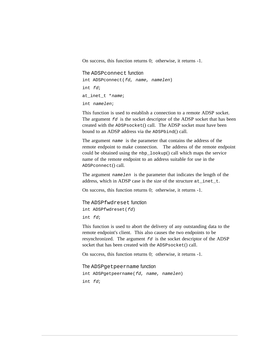On success, this function returns 0; otherwise, it returns -1.

The ADSPconnect function int ADSPconnect(fd, name, namelen) int fd; at inet t \*name; int namelen;

This function is used to establish a connection to a remote ADSP socket. The argument  $fd$  is the socket descriptor of the ADSP socket that has been created with the ADSPsocket() call. The ADSP socket must have been bound to an ADSP address via the ADSPbind() call.

The argument name is the parameter that contains the address of the remote endpoint to make connection. The address of the remote endpoint could be obtained using the nbp\_lookup() call which maps the service name of the remote endpoint to an address suitable for use in the ADSPconnect() call.

The argument namelen is the parameter that indicates the length of the address, which in ADSP case is the size of the structure at\_inet\_t.

On success, this function returns 0; otherwise, it returns -1.

The ADSPfwdreset function int ADSPfwdreset(fd) int fd;

This function is used to abort the delivery of any outstanding data to the remote endpoint's client. This also causes the two endpoints to be resynchronized. The argument  $f_d$  is the socket descriptor of the ADSP socket that has been created with the ADSPsocket() call.

On success, this function returns 0; otherwise, it returns -1.

The ADSPgetpeername function int ADSPgetpeername(fd, name, namelen) int fd;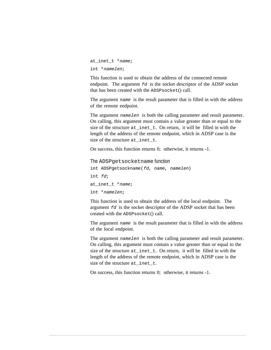at\_inet\_t \*name; int \*namelen;

This function is used to obtain the address of the connected remote endpoint. The argument  $Ed$  is the socket descriptor of the ADSP socket that has been created with the ADSPsocket() call.

The argument name is the result parameter that is filled in with the address of the remote endpoint.

The argument *namelen* is both the calling parameter and result parameter. On calling, this argument must contain a value greater than or equal to the size of the structure at\_inet\_t. On return, it will be filled in with the length of the address of the remote endpoint, which in ADSP case is the size of the structure at\_inet\_t.

On success, this function returns 0; otherwise, it returns -1.

The ADSPgetsocketname function int ADSPgetsockname(fd, name, namelen) int fd; at inet t \*name;

int \*namelen;

This function is used to obtain the address of the local endpoint. The argument  $fd$  is the socket descriptor of the ADSP socket that has been created with the ADSPsocket() call.

The argument name is the result parameter that is filled in with the address of the local endpoint.

The argument namelen is both the calling parameter and result parameter. On calling, this argument must contain a value greater than or equal to the size of the structure  $at$  inet  $t$ . On return, it will be filled in with the length of the address of the remote endpoint, which in ADSP case is the size of the structure at\_inet\_t.

On success, this function returns 0; otherwise, it returns -1.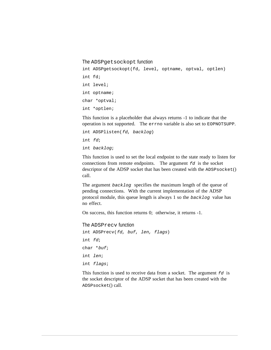```
The ADSPgetsockopt function
```

```
int ADSPgetsockopt(fd, level, optname, optval, optlen)
int fd;
int level;
int optname;
char *optval;
int *optlen;
```
This function is a placeholder that always returns -1 to indicate that the operation is not supported. The errno variable is also set to EOPNOTSUPP.

```
int ADSPlisten(fd, backlog)
int fd;
int backlog;
```
This function is used to set the local endpoint to the state ready to listen for connections from remote endpoints. The argument  $fd$  is the socket descriptor of the ADSP socket that has been created with the ADSPsocket() call.

The argument backlog specifies the maximum length of the queue of pending connections. With the current implementation of the ADSP protocol module, this queue length is always 1 so the backlog value has no effect.

On success, this function returns 0; otherwise, it returns -1.

```
The ADSPrecv function
int ADSPrecv(fd, buf, len, flags)
int fd;
char *buf;
int len;
int flags;
```
This function is used to receive data from a socket. The argument  $fd$  is the socket descriptor of the ADSP socket that has been created with the ADSPsocket() call.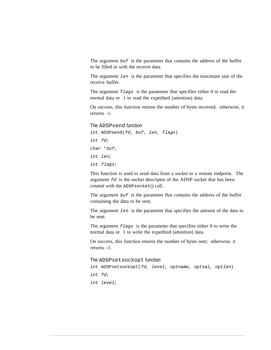The argument  $but$  is the parameter that contains the address of the buffer to be filled in with the receive data.

The argument len is the parameter that specifies the maximum size of the receive buffer.

The argument *flags* is the parameter that specifies either 0 to read the normal data or 1 to read the expedited (attention) data.

On success, this function returns the number of bytes received; otherwise, it returns -1.

The ADSPsend function

int ADSPsend(fd, buf, len, flags) int fd; char \*buf; int len; int flags;

This function is used to send data from a socket to a remote endpoint. The argument  $fd$  is the socket descriptor of the ADSP socket that has been created with the ADSPsocket() call.

The argument  $but$  is the parameter that contains the address of the buffer containing the data to be sent.

The argument *len* is the parameter that specifies the amount of the data to be sent.

The argument  $f_{lags}$  is the parameter that specifies either 0 to write the normal data or 1 to write the expedited (attention) data.

On success, this function returns the number of bytes sent; otherwise, it returns -1.

The ADSPsetsockopt function int ADSPsetsockopt(fd, level, optname, optval, optlen) int  $fd$ ; int level;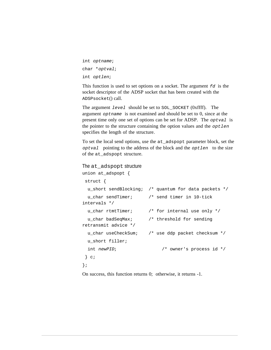```
int optname;
char *optval;
int optlen;
```
This function is used to set options on a socket. The argument  $fd$  is the socket descriptor of the ADSP socket that has been created with the ADSPsocket() call.

The argument level should be set to SOL\_SOCKET (0xffff). The argument optname is not examined and should be set to 0, since at the present time only one set of options can be set for ADSP. The optval is the pointer to the structure containing the option values and the  $optlen$ specifies the length of the structure.

To set the local send options, use the at\_adspopt parameter block, set the optval pointing to the address of the block and the optlen to the size of the at\_adspopt structure.

```
The at_adspopt structure
```

```
union at_adspopt {
 struct {
  u_short sendBlocking; /* quantum for data packets */
  u_char sendTimer; /* send timer in 10-tick
intervals */
 u char rtmtTimer; / for internal use only */ u_char badSeqMax; /* threshold for sending
retransmit advice */
  u_char useCheckSum; /* use ddp packet checksum */
  u_short filler;
  int newPID; /* owner's process id */
\} c;
};
```
On success, this function returns 0; otherwise, it returns -1.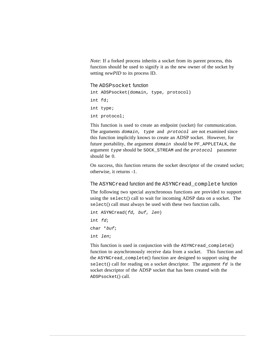*Note*: If a forked process inherits a socket from its parent process, this function should be used to signify it as the new owner of the socket by setting *newPID* to its process ID.

The ADSPsocket function

int ADSPsocket(domain, type, protocol) int fd; int type; int protocol;

This function is used to create an endpoint (socket) for communication. The arguments domain, type and protocol are not examined since this function implicitly knows to create an ADSP socket. However, for future portability, the argument domain should be PF\_APPLETALK, the argument type should be SOCK\_STREAM and the protocol parameter should be 0.

On success, this function returns the socket descriptor of the created socket; otherwise, it returns -1.

The ASYNCread function and the ASYNCread\_complete function

The following two special asynchronous functions are provided to support using the select() call to wait for incoming ADSP data on a socket. The select() call must always be used with these two function calls.

```
int ASYNCread(fd, buf, len)
int fd;
char *buf;
int len;
```
This function is used in conjunction with the ASYNCread\_complete() function to asynchronously receive data from a socket. This function and the ASYNCread\_complete() function are designed to support using the select() call for reading on a socket descriptor. The argument  $fd$  is the socket descriptor of the ADSP socket that has been created with the ADSPsocket() call.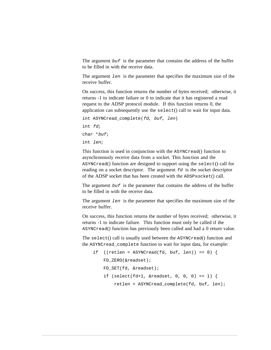The argument  $but$  is the parameter that contains the address of the buffer to be filled in with the receive data.

The argument *len* is the parameter that specifies the maximum size of the receive buffer.

On success, this function returns the number of bytes received; otherwise, it returns -1 to indicate failure or 0 to indicate that it has registered a read request to the ADSP protocol module. If this function returns 0, the application can subsequently use the select() call to wait for input data.

```
int ASYNCread_complete(fd, buf, len)
int fd;
char *buf;
int len;
```
This function is used in conjunction with the ASYNCread() function to asynchronously receive data from a socket. This function and the ASYNCread() function are designed to support using the select() call for reading on a socket descriptor. The argument  $fd$  is the socket descriptor of the ADSP socket that has been created with the ADSPsocket() call.

The argument  $but$  is the parameter that contains the address of the buffer to be filled in with the receive data.

The argument  $1en$  is the parameter that specifies the maximum size of the receive buffer.

On success, this function returns the number of bytes received; otherwise, it returns -1 to indicate failure. This function must only be called if the ASYNCread() function has previously been called and had a 0 return value.

The select() call is usually used between the ASYNCread() function and the ASYNCread\_complete function to wait for input data, for example:

```
if ((\text{retlen} = \text{ASYNCread}(fd, \text{buf}, \text{len})) == 0)FD_ZERO(&readset);
    FD SET(fd, &readset);
    if (select(fd+1, &readset, 0, 0, 0) == 1) {
          retlen = ASYNCread_complete(fd, buf, len);
```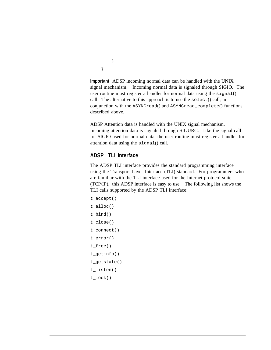}

}

**Important** ADSP incoming normal data can be handled with the UNIX signal mechanism. Incoming normal data is signaled through SIGIO. The user routine must register a handler for normal data using the signal() call. The alternative to this approach is to use the select() call, in conjunction with the ASYNCread() and ASYNCread\_complete() functions described above.

ADSP Attention data is handled with the UNIX signal mechanism. Incoming attention data is signaled through SIGURG. Like the signal call for SIGIO used for normal data, the user routine must register a handler for attention data using the signal() call.

# **ADSP TLI Interface**

The ADSP TLI interface provides the standard programming interface using the Transport Layer Interface (TLI) standard. For programmers who are familiar with the TLI interface used for the Internet protocol suite (TCP/IP), this ADSP interface is easy to use. The following list shows the TLI calls supported by the ADSP TLI interface:

```
t_accept()
t_alloc()
t_bind()
t_close()
t_connect()
t_error()
t_free()
t_getinfo()
t_getstate()
t_listen()
t_look()
```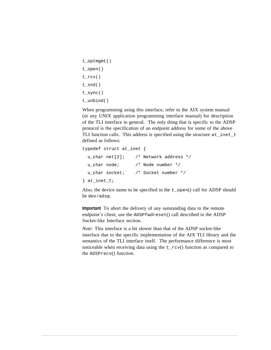t\_optmgmt() t\_open() t\_rcv() t\_snd() t\_sync() t\_unbind()

When programming using this interface, refer to the AIX system manual (or any UNIX application programming interface manual) for description of the TLI interface in general. The only thing that is specific to the ADSP protocol is the specification of an endpoint address for some of the above TLI function calls. This address is specified using the structure at\_inet\_t defined as follows:

```
typedef struct at_inet {
  u_char net[2]; /* Network address */
 u char node; /* Node number */
 u char socket; /* Socket number */
} at inet t;
```
Also, the device name to be specified in the  $t$  open() call for ADSP should be dev/adsp.

**Important** To abort the delivery of any outstanding data to the remote endpoint's client, use the ADSPfwdreset() call described in the ADSP Socket-like Interface section.

*Note:* This interface is a bit slower than that of the ADSP socket-like interface due to the specific implementation of the AIX TLI library and the semantics of the TLI interface itself. The performance difference is most noticeable when receiving data using the  $t_{rev}($ ) function as compared to the ADSPrecv() function.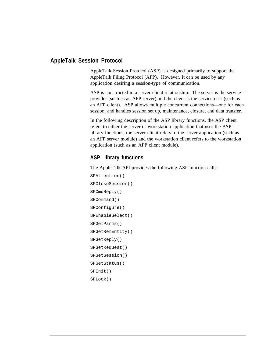# **AppleTalk Session Protocol**

AppleTalk Session Protocol (ASP) is designed primarily to support the AppleTalk Filing Protocol (AFP). However, it can be used by any application desiring a session-type of communication.

ASP is constructed in a server-client relationship. The server is the service provider (such as an AFP server) and the client is the service user (such as an AFP client). ASP allows multiple concurrent connections—one for each session, and handles session set up, maintenance, closure, and data transfer.

In the following description of the ASP library functions, the ASP client refers to either the server or workstation application that uses the ASP library functions, the server client refers to the server application (such as an AFP server module) and the workstation client refers to the workstation application (such as an AFP client module).

### **ASP library functions**

The AppleTalk API provides the following ASP function calls:

```
SPAttention()
SPCloseSession()
SPCmdReply()
SPCommand()
SPConfigure()
SPEnableSelect()
SPGetParms()
SPGetRemEntity()
SPGetReply()
SPGetRequest()
SPGetSession()
SPGetStatus()
SPInit()
SPLook()
```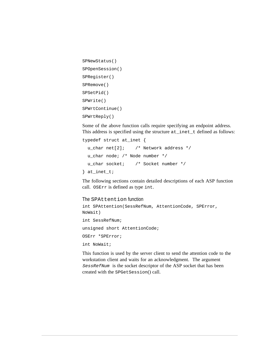```
SPNewStatus()
SPOpenSession()
SPRegister()
SPRemove()
SPSetPid()
SPWrite()
SPWrtContinue()
SPWrtReply()
```
Some of the above function calls require specifying an endpoint address. This address is specified using the structure at\_inet\_t defined as follows:

```
typedef struct at_inet {
   u_char net[2]; /* Network address */
   u_char node; /* Node number */
   u_char socket; /* Socket number */
} at_inet_t;
```
The following sections contain detailed descriptions of each ASP function call. OSErr is defined as type int.

```
The SPAttention function
int SPAttention(SessRefNum, AttentionCode, SPError,
NoWait)
int SessRefNum;
unsigned short AttentionCode;
OSErr *SPError;
int NoWait;
```
This function is used by the server client to send the attention code to the workstation client and waits for an acknowledgment. The argument SessRefNum is the socket descriptor of the ASP socket that has been created with the SPGetSession() call.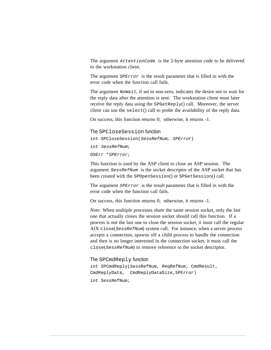The argument AttentionCode is the 2-byte attention code to be delivered to the workstation client.

The argument *SPError* is the result parameter that is filled in with the error code when the function call fails.

The argument  $N \circ W \neq i$ , if set to non-zero, indicates the desire not to wait for the reply data after the attention is sent. The workstation client must later receive the reply data using the SPGetReply() call. Moreover, the server client can use the select() call to probe the availability of the reply data.

On success, this function returns 0; otherwise, it returns -1.

The SPCloseSession function int SPCloseSession(SessRefNum, SPError) int SessRefNum; OSErr \*SPError;

This function is used by the ASP client to close an ASP session. The argument SessRefNum is the socket descriptor of the ASP socket that has been created with the SPOpenSession() or SPGetSession() call.

The argument *SPError* is the result parameter that is filled in with the error code when the function call fails.

On success, this function returns 0; otherwise, it returns -1.

*Note:* When multiple processes share the same session socket, only the last one that actually closes the session socket should call this function. If a process is not the last one to close the session socket, it must call the regular AIX close(SessRefNum) system call. For instance, when a server process accepts a connection, spawns off a child process to handle the connection and then is no longer interested in the connection socket, it must call the close(SessRefNum) to remove reference to the socket descriptor.

The SPCmdReply function int SPCmdReply(SessRefNum, ReqRefNum, CmdResult, CmdReplyData, CmdReplyDataSize,SPError) int SessRefNum;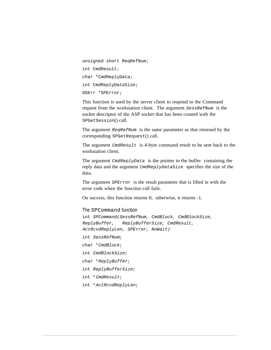```
unsigned short ReqRefNum;
int CmdResult;
char *CmdReplyData;
int CmdReplyDataSize;
OSErr *SPError;
```
This function is used by the server client to respond to the Command request from the workstation client. The argument SessRefNum is the socket descriptor of the ASP socket that has been created with the SPGetSession() call.

The argument ReqRefNum is the same parameter as that returned by the corresponding SPGetRequest() call.

The argument  $Cm dResult$  is 4-byte command result to be sent back to the workstation client.

The argument CmdReplyData is the pointer to the buffer containing the reply data and the argument CmdReplyDataSize specifies the size of the data.

The argument SPError is the result parameter that is filled in with the error code when the function call fails.

On success, this function returns 0; otherwise, it returns -1.

#### The SPCommand function

```
int SPCommand(SessRefNum, CmdBlock, CmdBlockSize,
ReplyBuffer, ReplyBufferSize, CmdResult,
ActRcvdReplyLen, SPError, NoWait)
int SessRefNum;
char *CmdBlock;
int CmdBlockSize;
char *ReplyBuffer;
int ReplyBufferSize;
int *CmdResult;
int *ActRcvdReplyLen;
```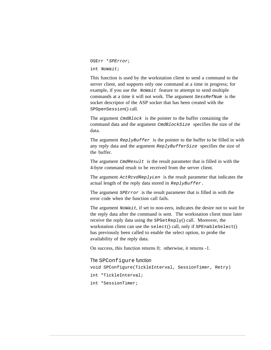OSErr \*SPError; int NoWait;

This function is used by the workstation client to send a command to the server client, and supports only one command at a time in progress; for example, if you use the NoWait feature to attempt to send multiple commands at a time it will not work. The argument SessRefNum is the socket descriptor of the ASP socket that has been created with the SPOpenSession() call.

The argument CmdBlock is the pointer to the buffer containing the command data and the argument CmdBlockSize specifies the size of the data.

The argument  $ReplyBuffer$  is the pointer to the buffer to be filled in with any reply data and the argument ReplyBufferSize specifies the size of the buffer.

The argument  $C$ mdResult is the result parameter that is filled in with the 4-byte command result to be received from the server client.

The argument  $ActRcvdReplyLen$  is the result parameter that indicates the actual length of the reply data stored in ReplyBuffer.

The argument *SPError* is the result parameter that is filled in with the error code when the function call fails.

The argument  $N \circ W \neq i$ , if set to non-zero, indicates the desire not to wait for the reply data after the command is sent. The workstation client must later receive the reply data using the SPGetReply() call. Moreover, the workstation client can use the select() call, only if SPEnableSelect() has previously been called to enable the select option, to probe the availability of the reply data.

On success, this function returns 0; otherwise, it returns -1.

The SPConfigure function void SPConfigure(TickleInterval, SessionTimer, Retry) int \*TickleInterval; int \*SessionTimer;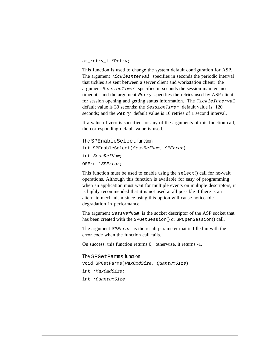at\_retry\_t \*Retry;

This function is used to change the system default configuration for ASP. The argument  $TickleInterval$  specifies in seconds the periodic interval that tickles are sent between a server client and workstation client; the argument SessionTimer specifies in seconds the session maintenance timeout; and the argument Retry specifies the retries used by ASP client for session opening and getting status information. The TickleInterval default value is 30 seconds; the *SessionTimer* default value is 120 seconds; and the Retry default value is 10 retries of 1 second interval.

If a value of zero is specified for any of the arguments of this function call, the corresponding default value is used.

The SPEnableSelect function int SPEnableSelect(SessRefNum, SPError) int SessRefNum; OSErr \*SPError;

This function must be used to enable using the select() call for no-wait operations. Although this function is available for easy of programming when an application must wait for multiple events on multiple descriptors, it is highly recommended that it is not used at all possible if there is an alternate mechanism since using this option will cause noticeable degradation in performance.

The argument  $SessRefNum$  is the socket descriptor of the ASP socket that has been created with the SPGetSession() or SPOpenSession() call.

The argument *SPError* is the result parameter that is filled in with the error code when the function call fails.

On success, this function returns 0; otherwise, it returns -1.

The SPGetParms function void SPGetParms(MaxCmdSize, QuantumSize) int \*MaxCmdSize; int \*QuantumSize;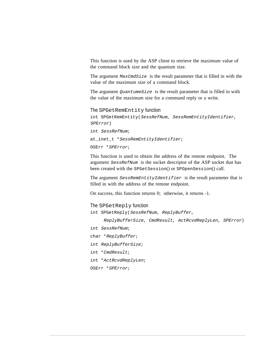This function is used by the ASP client to retrieve the maximum value of the command block size and the quantum size.

The argument  $MaxCmdSize$  is the result parameter that is filled in with the value of the maximum size of a command block.

The argument *QuantumeSize* is the result parameter that is filled in with the value of the maximum size for a command reply or a write.

```
The SPGetRemEntity function
int SPGetRemEntity(SessRefNum, SessRemEntityIdentifier,
SPError)
int SessRefNum;
at inet t *SessRemEntityIdentifier;
OSErr *SPError;
```
This function is used to obtain the address of the remote endpoint. The argument SessRefNum is the socket descriptor of the ASP socket that has been created with the SPGetSession() or SPOpenSession() call.

The argument SessRemEntityIdentifier is the result parameter that is filled in with the address of the remote endpoint.

On success, this function returns 0; otherwise, it returns -1.

```
The SPGetReply function
int SPGetReply(SessRefNum, ReplyBuffer,
     ReplyBufferSize, CmdResult, ActRcvdReplyLen, SPError)
int SessRefNum;
char *ReplyBuffer;
int ReplyBufferSize;
int *CmdResult;
int *ActRcvdReplyLen;
OSErr *SPError;
```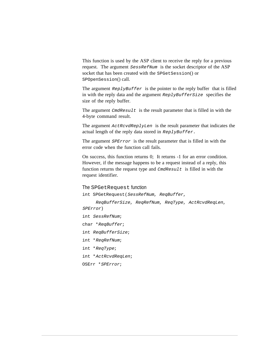This function is used by the ASP client to receive the reply for a previous request. The argument SessRefNum is the socket descriptor of the ASP socket that has been created with the SPGetSession() or SPOpenSession() call.

The argument ReplyBuffer is the pointer to the reply buffer that is filled in with the reply data and the argument ReplyBufferSize specifies the size of the reply buffer.

The argument  $C$ mdResult is the result parameter that is filled in with the 4-byte command result.

The argument  $ActRcvdReplyLen$  is the result parameter that indicates the actual length of the reply data stored in ReplyBuffer.

The argument SPError is the result parameter that is filled in with the error code when the function call fails.

On success, this function returns 0; It returns -1 for an error condition. However, if the message happens to be a request instead of a reply, this function returns the request type and  $C$ mdResult is filled in with the request identifier.

The SPGetRequest function int SPGetRequest(SessRefNum, ReqBuffer, ReqBufferSize, ReqRefNum, ReqType, ActRcvdReqLen, SPError) int SessRefNum; char \*ReqBuffer; int ReqBufferSize; int \*ReqRefNum; int \*ReqType; int \*ActRcvdReqLen; OSErr \*SPError;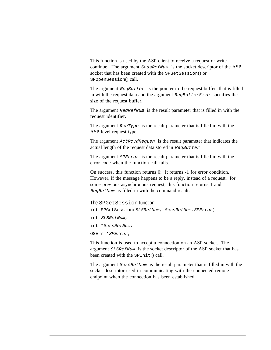This function is used by the ASP client to receive a request or writecontinue. The argument SessRefNum is the socket descriptor of the ASP socket that has been created with the SPGetSession() or SPOpenSession() call.

The argument  $\text{RegBuffer}$  is the pointer to the request buffer that is filled in with the request data and the argument ReqBufferSize specifies the size of the request buffer.

The argument ReqRefNum is the result parameter that is filled in with the request identifier.

The argument ReqType is the result parameter that is filled in with the ASP-level request type.

The argument  $ActRcvdReqLen$  is the result parameter that indicates the actual length of the request data stored in ReqBuffer.

The argument *SPError* is the result parameter that is filled in with the error code when the function call fails.

On success, this function returns 0; It returns -1 for error condition. However, if the message happens to be a reply, instead of a request, for some previous asynchronous request, this function returns 1 and ReqRefNum is filled in with the command result.

```
The SPGetSession function
int SPGetSession(SLSRefNum, SessRefNum, SPError)
int SLSRefNum;
int *SessRefNum;
OSErr *SPError;
```
This function is used to accept a connection on an ASP socket. The argument SLSRefNum is the socket descriptor of the ASP socket that has been created with the SPInit() call.

The argument  $SessRefNum$  is the result parameter that is filled in with the socket descriptor used in communicating with the connected remote endpoint when the connection has been established.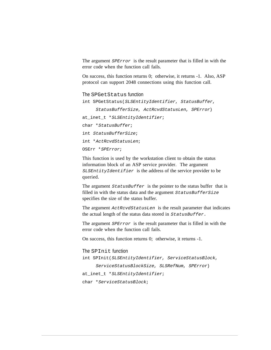The argument *SPError* is the result parameter that is filled in with the error code when the function call fails.

On success, this function returns 0; otherwise, it returns -1. Also, ASP protocol can support 2048 connections using this function call.

The SPGetStatus function int SPGetStatus(SLSEntityIdentifier, StatusBuffer, StatusBufferSize, ActRcvdStatusLen, SPError) at\_inet\_t \*SLSEntityIdentifier; char \*StatusBuffer; int StatusBufferSize; int \*ActRcvdStatusLen; OSErr \*SPError;

This function is used by the workstation client to obtain the status information block of an ASP service provider. The argument SLSEntityIdentifier is the address of the service provider to be queried.

The argument *StatusBuffer* is the pointer to the status buffer that is filled in with the status data and the argument StatusBufferSize specifies the size of the status buffer.

The argument  $ActRcvdStatusLen$  is the result parameter that indicates the actual length of the status data stored in StatusBuffer.

The argument *SPError* is the result parameter that is filled in with the error code when the function call fails.

On success, this function returns 0; otherwise, it returns -1.

#### The SPInit function

```
int SPInit(SLSEntityIdentifier, ServiceStatusBlock,
     ServiceStatusBlockSize, SLSRefNum, SPError)
at_inet_t *SLSEntityIdentifier;
char *ServiceStatusBlock;
```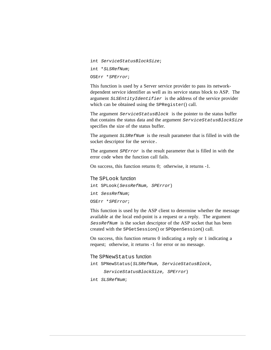int ServiceStatusBlockSize; int \*SLSRefNum; OSErr \*SPError;

This function is used by a Server service provider to pass its networkdependent service identifier as well as its service status block to ASP. The argument SLSEntityIdentifier is the address of the service provider which can be obtained using the SPRegister() call.

The argument ServiceStatusBlock is the pointer to the status buffer that contains the status data and the argument ServiceStatusBlockSize specifies the size of the status buffer.

The argument  $SLSREFNum$  is the result parameter that is filled in with the socket descriptor for the service.

The argument *SPError* is the result parameter that is filled in with the error code when the function call fails.

On success, this function returns 0; otherwise, it returns -1.

The SPLook function int SPLook(SessRefNum, SPError) int SessRefNum; OSErr \*SPError;

This function is used by the ASP client to determine whether the message available at the local end-point is a request or a reply. The argument SessRefNum is the socket descriptor of the ASP socket that has been created with the SPGetSession() or SPOpenSession() call.

On success, this function returns 0 indicating a reply or 1 indicating a request; otherwise, it returns -1 for error or no message.

The SPNewStatus function int SPNewStatus(SLSRefNum, ServiceStatusBlock, ServiceStatusBlockSize, SPError) int SLSRefNum;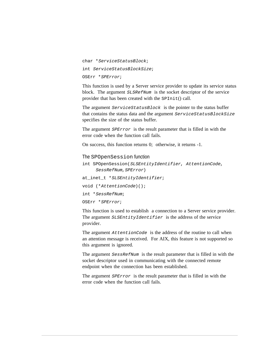```
char *ServiceStatusBlock;
int ServiceStatusBlockSize;
OSErr *SPError;
```
This function is used by a Server service provider to update its service status block. The argument SLSRefNum is the socket descriptor of the service provider that has been created with the SPInit() call.

The argument ServiceStatusBlock is the pointer to the status buffer that contains the status data and the argument ServiceStatusBlockSize specifies the size of the status buffer.

The argument *SPError* is the result parameter that is filled in with the error code when the function call fails.

On success, this function returns 0; otherwise, it returns -1.

The SPOpenSession function

```
int SPOpenSession(SLSEntityIdentifier, AttentionCode, 
     SessRefNum,SPError)
at inet t *SLSEntityIdentifier;
void (*AttentionCode)();
int *SessRefNum;
OSErr *SPError;
```
This function is used to establish a connection to a Server service provider. The argument SLSEntityIdentifier is the address of the service provider.

The argument  $AttentionCode$  is the address of the routine to call when an attention message is received. For AIX, this feature is not supported so this argument is ignored.

The argument  $SessRefNum$  is the result parameter that is filled in with the socket descriptor used in communicating with the connected remote endpoint when the connection has been established.

The argument *SPError* is the result parameter that is filled in with the error code when the function call fails.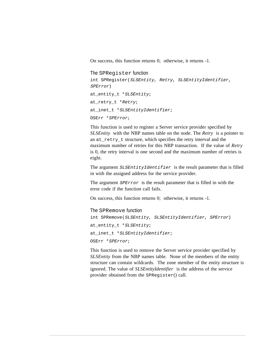On success, this function returns 0; otherwise, it returns -1.

```
The SPRegister function
int SPRegister(SLSEntity, Retry, SLSEntityIdentifier,
SPError)
at_entity_t *SLSEntity;
at_retry_t *Retry;
at inet t *SLSEntityIdentifier;
OSErr *SPError;
```
This function is used to register a Server service provider specified by *SLSEntity* with the NBP names table on the node. The *Retry* is a pointer to an at\_retry\_t structure, which specifies the retry interval and the maximum number of retries for this NBP transaction. If the value of *Retry* is 0, the retry interval is one second and the maximum number of retries is eight.

The argument SLSEntityIdentifier is the result parameter that is filled in with the assigned address for the service provider.

The argument *SPError* is the result parameter that is filled in with the error code if the function call fails.

On success, this function returns 0; otherwise, it returns -1.

The SPRemove function int SPRemove(SLSEntity, SLSEntityIdentifier, SPError) at\_entity\_t \*SLSEntity; at inet t \*SLSEntityIdentifier; OSErr \*SPError;

This function is used to remove the Server service provider specified by *SLSEntity* from the NBP names table. None of the members of the entity structure can contain wildcards. The zone member of the entity structure is ignored. The value of *SLSEntityIdentifier* is the address of the service provider obtained from the SPRegister() call.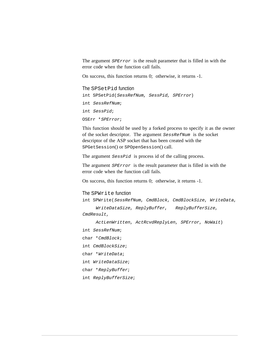The argument *SPError* is the result parameter that is filled in with the error code when the function call fails.

On success, this function returns 0; otherwise, it returns -1.

The SPSetPid function int SPSetPid(SessRefNum, SessPid, SPError) int SessRefNum; int SessPid; OSErr \*SPError;

This function should be used by a forked process to specify it as the owner of the socket descriptor. The argument SessRefNum is the socket descriptor of the ASP socket that has been created with the SPGetSession() or SPOpenSession() call.

The argument  $SessPid$  is process id of the calling process.

The argument *SPError* is the result parameter that is filled in with the error code when the function call fails.

On success, this function returns 0; otherwise, it returns -1.

## The SPWrite function

```
int SPWrite(SessRefNum, CmdBlock, CmdBlockSize, WriteData,
     WriteDataSize, ReplyBuffer, ReplyBufferSize,
CmdResult,
     ActLenWritten, ActRcvdReplyLen, SPError, NoWait)
int SessRefNum;
char *CmdBlock;
int CmdBlockSize;
char *WriteData;
int WriteDataSize;
char *ReplyBuffer;
int ReplyBufferSize;
```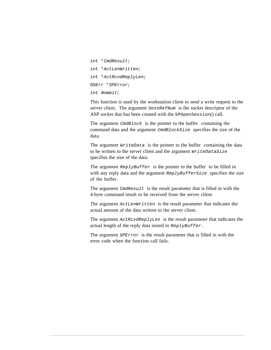int \*CmdResult; int \*ActLenWritten; int \*ActRcvdReplyLen; OSErr \*SPError; int NoWait;

This function is used by the workstation client to send a write request to the server client. The argument SessRefNum is the socket descriptor of the ASP socket that has been created with the SPOpenSession() call.

The argument CmdBlock is the pointer to the buffer containing the command data and the argument CmdBlockSize specifies the size of the data.

The argument  $WriteData$  is the pointer to the buffer containing the data to be written to the server client and the argument  $WriteDatasize$ specifies the size of the data.

The argument ReplyBuffer is the pointer to the buffer to be filled in with any reply data and the argument ReplyBufferSize specifies the size of the buffer.

The argument  $CmdResult$  is the result parameter that is filled in with the 4-byte command result to be received from the server client.

The argument ActLenWritten is the result parameter that indicates the actual amount of the data written to the server client.

The argument  $ActRcvdReplyLen$  is the result parameter that indicates the actual length of the reply data stored in ReplyBuffer.

The argument *SPError* is the result parameter that is filled in with the error code when the function call fails.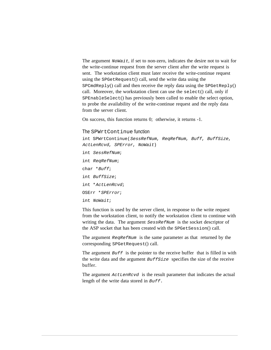The argument  $N \circ \text{Wait}$ , if set to non-zero, indicates the desire not to wait for the write-continue request from the server client after the write request is sent. The workstation client must later receive the write-continue request using the SPGetRequest() call, send the write data using the  $SPCmdReply()$  call and then receive the reply data using the  $SPCetReply()$ call. Moreover, the workstation client can use the select() call, only if SPEnableSelect() has previously been called to enable the select option, to probe the availability of the write-continue request and the reply data from the server client.

On success, this function returns 0; otherwise, it returns -1.

## The SPWrtContinue function

```
int SPWrtContinue(SessRefNum, ReqRefNum, Buff, BuffSize,
ActLenRcvd, SPError, NoWait)
int SessRefNum;
int ReqRefNum;
char *Buff;
int BuffSize;
int *ActLenRcvd;
OSErr *SPError;
int NoWait;
```
This function is used by the server client, in response to the write request from the workstation client, to notify the workstation client to continue with writing the data. The argument  $SessRefNum$  is the socket descriptor of the ASP socket that has been created with the SPGetSession() call.

The argument ReqRefNum is the same parameter as that returned by the corresponding SPGetRequest() call.

The argument  $\text{Buffer}$  is the pointer to the receive buffer that is filled in with the write data and the argument BuffSize specifies the size of the receive buffer.

The argument  $ActLenRcvd$  is the result parameter that indicates the actual length of the write data stored in  $\text{Buffer}$ .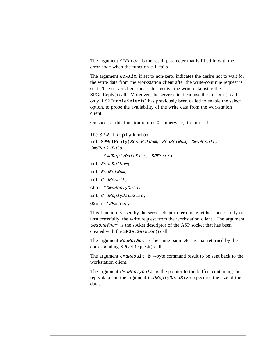The argument *SPError* is the result parameter that is filled in with the error code when the function call fails.

The argument  $N \circ Na$  it, if set to non-zero, indicates the desire not to wait for the write data from the workstation client after the write-continue request is sent. The server client must later receive the write data using the SPGetReply() call. Moreover, the server client can use the select() call, only if SPEnableSelect() has previously been called to enable the select option, to probe the availability of the write data from the workstation client.

On success, this function returns 0; otherwise, it returns -1.

#### The SPWrtReply function

int SPWrtReply(SessRefNum, ReqRefNum, CmdResult, CmdReplyData, CmdReplyDataSize, SPError)

```
int SessRefNum;
int ReqRefNum;
int CmdResult;
char *CmdReplyData;
int CmdReplyDataSize;
OSErr *SPError;
```
This function is used by the server client to terminate, either successfully or unsuccessfully, the write request from the workstation client. The argument SessRefNum is the socket descriptor of the ASP socket that has been created with the SPGetSession() call.

The argument ReqRefNum is the same parameter as that returned by the corresponding SPGetRequest() call.

The argument  $CmdResult$  is 4-byte command result to be sent back to the workstation client.

The argument CmdReplyData is the pointer to the buffer containing the reply data and the argument CmdReplyDataSize specifies the size of the data.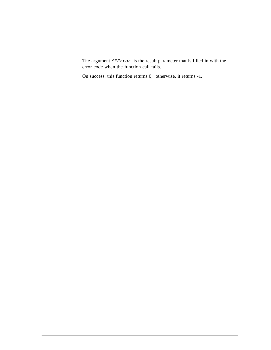The argument SPError is the result parameter that is filled in with the error code when the function call fails.

On success, this function returns 0; otherwise, it returns -1.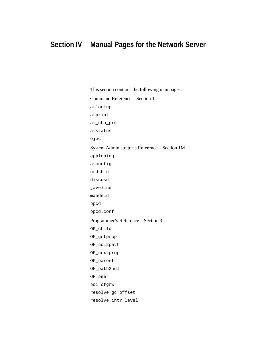# **Section IV Manual Pages for the Network Server**

This section contains the following man pages: Command Reference—Section 1 atlookup atprint at\_cho\_prn atstatus eject System Administrator's Reference—Section 1M appleping atconfig cmdshld discusd javelind mandeld ppcd ppcd.conf Programmer's Reference—Section 3 OF\_child OF\_getprop OF\_hdl2path OF\_nextprop OF\_parent OF\_path2hdl OF\_peer pci\_cfgrw resolve\_gc\_offset resolve\_intr\_level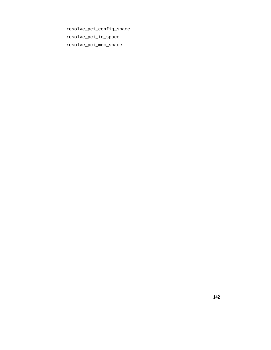resolve\_pci\_config\_space resolve\_pci\_io\_space resolve\_pci\_mem\_space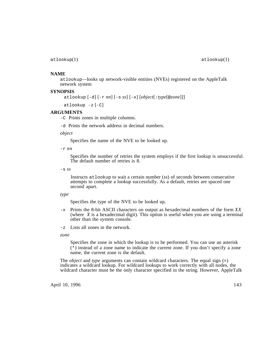atlookup(1) atlookup(1) atlookup(1) atlookup(1) atlookup(1) atlookup(1) atlookup(1) atlookup(1) atlookup(1) atlookup(1) atlookup(1) atlookup(1) atlookup(1) atlookup(1) atlookup(1) atlookup(1) atlookup(1) atlookup(1) atlook

#### **NAME**

atlookup—looks up network-visible entities (NVEs) registered on the AppleTalk network system

## **SYNOPSIS**

atlookup [-d] [-r *nn*] [-s *ss*] [-x] [*object*[:*type*[@*zone*]]]

 $at$ lookup  $-z$   $[-c]$ 

## **ARGUMENTS**

-C Prints zones in multiple columns.

-d Prints the network address in decimal numbers.

*object*

Specifies the name of the NVE to be looked up.

-r *nn*

Specifies the number of retries the system employs if the first lookup is unsuccessful. The default number of retries is 8.

-s *ss*

Instructs atlookup to wait a certain number (*ss*) of seconds between consecutive attempts to complete a lookup successfully. As a default, retries are spaced one second apart.

*type*

Specifies the type of the NVE to be looked up.

- -x Prints the 8-bit ASCII characters on output as hexadecimal numbers of the form *XX* (where *X* is a hexadecimal digit). This option is useful when you are using a terminal other than the system console.
- -z Lists all zones in the network.

*zone*

Specifies the zone in which the lookup is to be performed. You can use an asterisk (\*) instead of a zone name to indicate the current zone. If you don't specify a zone name, the current zone is the default.

The *object* and *type* arguments can contain wildcard characters. The equal sign (=) indicates a wildcard lookup. For wildcard lookups to work correctly with all nodes, the wildcard character must be the only character specified in the string. However, AppleTalk

April 10, 1996 143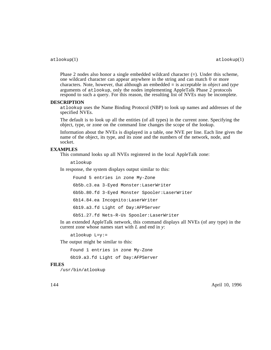Phase 2 nodes also honor a single embedded wildcard character (=). Under this scheme, one wildcard character can appear anywhere in the string and can match 0 or more characters. Note, however, that although an embedded = is acceptable in *object* and *type* arguments of atlookup, only the nodes implementing AppleTalk Phase 2 protocols respond to such a query. For this reason, the resulting list of NVEs may be incomplete.

#### **DESCRIPTION**

atlookup uses the Name Binding Protocol (NBP) to look up names and addresses of the specified NVEs.

The default is to look up all the entities (of all types) in the current zone. Specifying the object, type, or zone on the command line changes the scope of the lookup.

Information about the NVEs is displayed in a table, one NVE per line. Each line gives the name of the object, its type, and its zone and the numbers of the network, node, and socket.

#### **EXAMPLES**

This command looks up all NVEs registered in the local AppleTalk zone:

atlookup

In response, the system displays output similar to this:

 Found 5 entries in zone My-Zone 6b5b.c3.ea 3-Eyed Monster:LaserWriter 6b5b.80.fd 3-Eyed Monster Spooler:LaserWriter 6b14.84.ea Incognito:LaserWriter 6b19.a3.fd Light of Day:AFPServer 6b51.27.fd Nets-R-Us Spooler:LaserWriter

In an extended AppleTalk network, this command displays all NVEs (of any type) in the current zone whose names start with *L* and end in *y*:

atlookup L=y:=

The output might be similar to this:

Found 1 entries in zone My-Zone

6b19.a3.fd Light of Day:AFPServer

#### **FILES**

/usr/bin/atlookup

144 April 10, 1996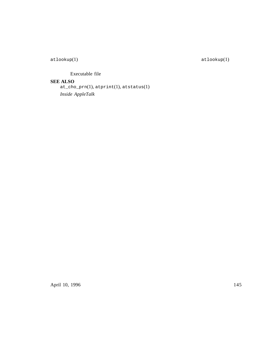atlookup(1) atlookup(1) atlookup(1)

Executable file

## **SEE ALSO**

at\_cho\_prn(1), atprint(1), atstatus(1) *Inside AppleTalk*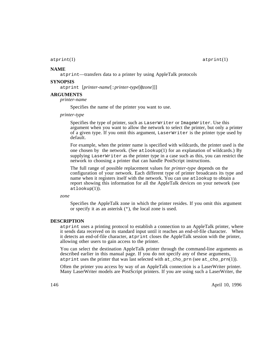atprint(1) atprint(1)

## **NAME**

atprint—transfers data to a printer by using AppleTalk protocols

#### **SYNOPSIS**

atprint [*printer-name*[:*printer-type*[@*zone*]]]

#### **ARGUMENTS**

*printer-name*

Specifies the name of the printer you want to use.

*printer-type*

Specifies the type of printer, such as LaserWriter or ImageWriter. Use this argument when you want to allow the network to select the printer, but only a printer of a given type. If you omit this argument, LaserWriter is the printer type used by default.

For example, when the printer name is specified with wildcards, the printer used is the one chosen by the network. (See  $at$ lookup(1) for an explanation of wildcards.) By supplying LaserWriter as the printer type in a case such as this, you can restrict the network to choosing a printer that can handle PostScript instructions.

The full range of possible replacement values for *printer-type* depends on the configuration of your network. Each different type of printer broadcasts its type and name when it registers itself with the network. You can use atlookup to obtain a report showing this information for all the AppleTalk devices on your network (see atlookup(1)).

*zone*

Specifies the AppleTalk zone in which the printer resides. If you omit this argument or specify it as an asterisk (\*), the local zone is used.

## **DESCRIPTION**

atprint uses a printing protocol to establish a connection to an AppleTalk printer, where it sends data received on its standard input until it reaches an end-of-file character. When it detects an end-of-file character, atprint closes the AppleTalk session with the printer, allowing other users to gain access to the printer.

You can select the destination AppleTalk printer through the command-line arguments as described earlier in this manual page. If you do not specify any of these arguments, atprint uses the printer that was last selected with  $at\_cho\_prn$  (see  $at\_cho\_prn(1)$ ).

Often the printer you access by way of an AppleTalk connection is a LaserWriter printer. Many LaserWriter models are PostScript printers. If you are using such a LaserWriter, the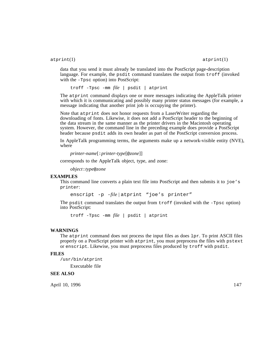atprint(1) atprint(1)

data that you send it must already be translated into the PostScript page-description language. For example, the psdit command translates the output from  $t$ roff (invoked) with the -Tpsc option) into PostScript:

troff -Tpsc -mm *file* | psdit | atprint

The atprint command displays one or more messages indicating the AppleTalk printer with which it is communicating and possibly many printer status messages (for example, a message indicating that another print job is occupying the printer).

Note that atprint does not honor requests from a LaserWriter regarding the downloading of fonts. Likewise, it does not add a PostScript header to the beginning of the data stream in the same manner as the printer drivers in the Macintosh operating system. However, the command line in the preceding example does provide a PostScript header because psdit adds its own header as part of the PostScript conversion process.

In AppleTalk programming terms, the arguments make up a network-visible entity (NVE), where

*printer-name*[:*printer-type*[@*zone*]]

corresponds to the AppleTalk object, type, and zone:

*object*:*type*@*zone*

#### **EXAMPLES**

This command line converts a plain text file into PostScript and then submits it to joe's printer:

enscript -p -*file* | atprint "joe's printer"

The psdit command translates the output from troff (invoked with the -Tpsc option) into PostScript:

troff -Tpsc -mm *file* | psdit | atprint

#### **WARNINGS**

The atprint command does not process the input files as does lpr. To print ASCII files properly on a PostScript printer with atprint, you must preprocess the files with pstext or enscript. Likewise, you must preprocess files produced by troff with psdit.

#### **FILES**

/usr/bin/atprint

Executable file

#### **SEE ALSO**

April 10, 1996 147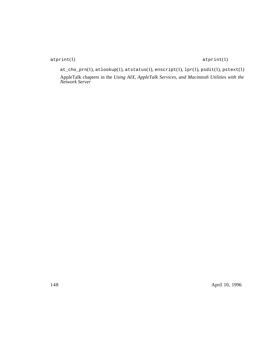## atprint(1) atprint(1)

at\_cho\_prn(1), atlookup(1), atstatus(1), enscript(1),  $1pr(1)$ ,  $psdit(1)$ ,  $pstat(1)$ AppleTalk chapters in the *Using AIX, AppleTalk Services, and Macintosh Utilities with the Network Server*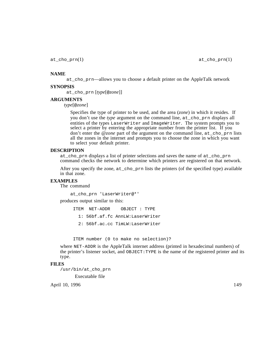at cho  $prn(1)$  at cho $prn(1)$ 

## **NAME**

at\_cho\_prn—allows you to choose a default printer on the AppleTalk network

#### **SYNOPSIS**

at\_cho\_prn [*type*[@*zone*]]

#### **ARGUMENTS**

*type*[@*zone*]

Specifies the type of printer to be used, and the area (*zone*) in which it resides. If you don't use the *type* argument on the command line, at\_cho\_prn displays all entities of the types LaserWriter and ImageWriter. The system prompts you to select a printer by entering the appropriate number from the printer list. If you don't enter the @*zone* part of the argument on the command line, at\_cho\_prn lists all the zones in the internet and prompts you to choose the zone in which you want to select your default printer.

#### **DESCRIPTION**

at\_cho\_prn displays a list of printer selections and saves the name of at\_cho\_prn command checks the network to determine which printers are registered on that network.

After you specify the zone, at\_cho\_prn lists the printers (of the specified type) available in that zone.

#### **EXAMPLES**

The command

at cho prn 'LaserWriter@\*'

produces output similar to this:

 ITEM NET-ADDR OBJECT : TYPE 1: 56bf.af.fc AnnLW:LaserWriter 2: 56bf.ac.cc TimLW:LaserWriter

ITEM number (0 to make no selection)?

where NET-ADDR is the AppleTalk internet address (printed in hexadecimal numbers) of the printer's listener socket, and OBJECT:TYPE is the name of the registered printer and its type.

## **FILES**

/usr/bin/at\_cho\_prn

Executable file

April 10, 1996 149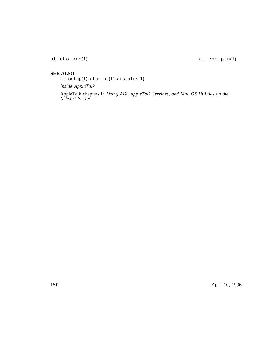$\verb+at_cho_prn+1) \qquad \qquad \verb+at_cho_prn+1)$ 

## **SEE ALSO**

atlookup(1), atprint(1), atstatus(1)

*Inside AppleTalk*

AppleTalk chapters in *Using AIX, AppleTalk Services, and Mac OS Utilities on the Network Server*

150 April 10, 1996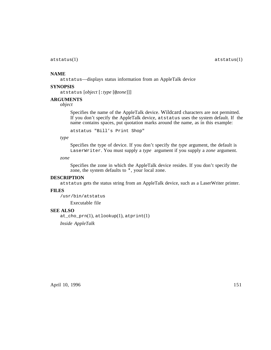## **NAME**

atstatus—displays status information from an AppleTalk device

#### **SYNOPSIS**

atstatus [*object* [:*type* [@*zone*]]]

## **ARGUMENTS**

*object*

Specifies the name of the AppleTalk device. Wildcard characters are not permitted. If you don't specify the AppleTalk device, atstatus uses the system default. If the name contains spaces, put quotation marks around the name, as in this example:

atstatus "Bill's Print Shop"

*type*

Specifies the type of device. If you don't specify the *type* argument, the default is LaserWriter. You must supply a *type* argument if you supply a *zone* argument.

*zone*

Specifies the zone in which the AppleTalk device resides. If you don't specify the zone, the system defaults to \*, your local zone.

## **DESCRIPTION**

atstatus gets the status string from an AppleTalk device, such as a LaserWriter printer.

## **FILES**

/usr/bin/atstatus

Executable file

## **SEE ALSO**

at\_cho\_prn(1), atlookup(1), atprint(1)

*Inside AppleTalk*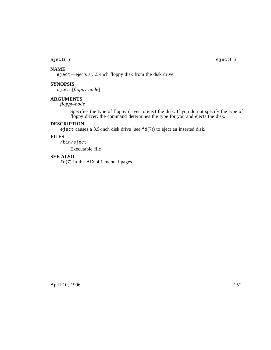## **NAME**

eject—ejects a 3.5-inch floppy disk from the disk drive

## **SYNOPSIS**

eject [*floppy-node*]

#### **ARGUMENTS**

*floppy-node*

Specifies the type of floppy driver to eject the disk. If you do not specify the type of floppy driver, the command determines the type for you and ejects the disk.

## **DESCRIPTION**

eject causes a 3.5-inch disk drive (see fd(7)) to eject an inserted disk.

## **FILES**

/bin/eject

Executable file

## **SEE ALSO**

 $fd(7)$  in the AIX 4.1 manual pages.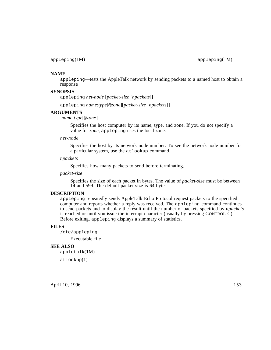#### appleping(1M) appleping(1M)

#### **NAME**

appleping—tests the AppleTalk network by sending packets to a named host to obtain a response

## **SYNOPSIS**

appleping *net-node* [*packet-size* [*npackets*]]

appleping *name*:*type*[@*zone*][*packet-size* [*npackets*]]

## **ARGUMENTS**

*name*:*type*[@*zone*]

Specifies the host computer by its name, type, and zone. If you do not specify a value for *zone*, appleping uses the local zone.

## *net-node*

Specifies the host by its network node number. To see the network node number for a particular system, use the atlookup command.

*npackets*

Specifies how many packets to send before terminating.

*packet-size*

Specifies the size of each packet in bytes. The value of *packet-size* must be between 14 and 599. The default packet size is 64 bytes.

## **DESCRIPTION**

appleping repeatedly sends AppleTalk Echo Protocol request packets to the specified computer and reports whether a reply was received. The appleping command continues to send packets and to display the result until the number of packets specified by *npackets* is reached or until you issue the interrupt character (usually by pressing CONTROL-C). Before exiting, appleping displays a summary of statistics.

#### **FILES**

/etc/appleping

Executable file

## **SEE ALSO**

appletalk(1M)

atlookup(1)

April 10, 1996 153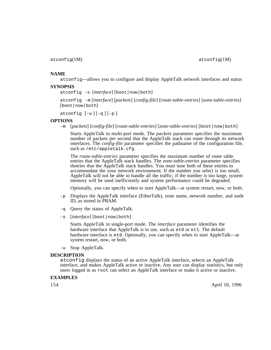atconfig(1M) atconfig(1M)

#### **NAME**

atconfig—allows you to configure and display AppleTalk network interfaces and status

## **SYNOPSIS**

atconfig -s [*interface*] [boot|now|both]

atconfig -m [*interface*] [*packets*] [*config-file*] [*route-table-entries*] [*zone-table-entries*] [boot|now|both]

atconfig  $[-u]$   $[-q]$   $[-p]$ 

#### **OPTIONS**

-m [*packets*] [*config-file*] [*route-table-entries*] [*zone-table-entries*] [boot|now|both]

Starts AppleTalk in multi-port mode. The *packets* parameter specifies the maximum number of packets per second that the AppleTalk stack can route through its network interfaces. The *config-file* parameter specifies the pathname of the configuration file, such as /etc/appletalk.cfg.

The *route-table-entries* parameter specifies the maximum number of route table entries that the AppleTalk stack handles. The *zone-table-entries* parameter specifies thntries that the AppleTalk stack handles. You must tune both of these entries to accommodate the your network environment. If the number you select is too small, AppleTalk will not be able to handle all the traffic; if the number is too large, system memory will be used inefficiently and system performance could be degraded.

Optionally, you can specify when to start AppleTalk—at system restart, now, or both.

- -p Displays the AppleTalk interface (EtherTalk), zone name, network number, and node ID, as stored in PRAM.
- -q Query the status of AppleTalk.
- -s [*interface*] [boot|now|both]

Starts AppleTalk in single-port mode. The *interface* parameter identifies the hardware interface that AppleTalk is to use, such as  $et0$  or  $et1$ . The default hardware interface is  $et_0$ . Optionally, you can specify when to start AppleTalk—at system restart, now, or both.

-u Stop AppleTalk.

#### **DESCRIPTION**

atconfig displays the status of an active AppleTalk interface, selects an AppleTalk interface, and makes AppleTalk active or inactive. Any user can display statistics, but only users logged in as root can select an AppleTalk interface or make it active or inactive.

### **EXAMPLES**

154 April 10, 1996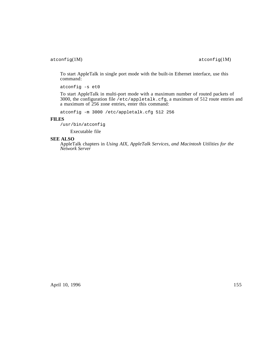atconfig(1M) atconfig(1M)

To start AppleTalk in single port mode with the built-in Ethernet interface, use this command:

atconfig -s et0

To start AppleTalk in multi-port mode with a maximum number of routed packets of 3000, the configuration file /etc/appletalk.cfg, a maximum of 512 route entries and a maximum of 256 zone entries, enter this command:

atconfig -m 3000 /etc/appletalk.cfg 512 256

## **FILES**

/usr/bin/atconfig

Executable file

## **SEE ALSO**

AppleTalk chapters in *Using AIX, AppleTalk Services, and Macintosh Utilities for the Network Server*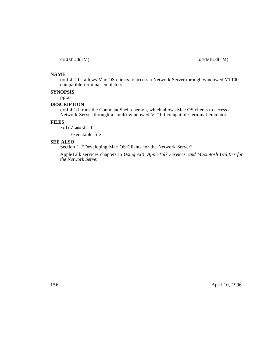## cmdshld(1M) cmdshld(1M)

## **NAME**

cmdshld—allows Mac OS clients to access a Network Server through windowed VT100 compatible terminal emulators

## **SYNOPSIS**

ppcd

#### **DESCRIPTION**

cmdshld runs the CommandShell daemon, which allows Mac OS clients to access a Network Server through a multi-windowed VT100-compatible terminal emulator.

### **FILES**

/etc/cmdshld

Executable file

## **SEE ALSO**

Section 1, "Developing Mac OS Clients for the Network Server"

AppleTalk services chapters in *Using AIX, AppleTalk Services, and Macintosh Utilities for the Network Server*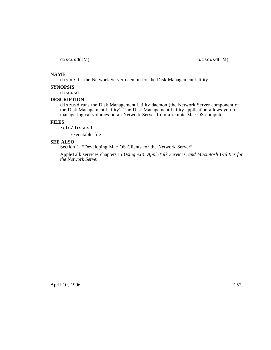## discusd(1M) discusd(1M)

### **NAME**

discusd—the Network Server daemon for the Disk Management Utility

**SYNOPSIS**

discusd

## **DESCRIPTION**

discusd runs the Disk Management Utility daemon (the Network Server component of the Disk Management Utility). The Disk Management Utility application allows you to manage logical volumes on an Network Server from a remote Mac OS computer.

### **FILES**

/etc/discusd

Executable file

## **SEE ALSO**

Section 1, "Developing Mac OS Clients for the Network Server"

AppleTalk services chapters in *Using AIX, AppleTalk Services, and Macintosh Utilities for the Network Server*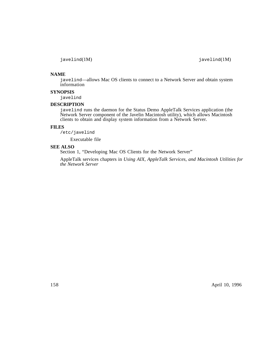javelind(1M) javelind(1M) javelind(1M)

#### **NAME**

javelind—allows Mac OS clients to connect to a Network Server and obtain system information

## **SYNOPSIS**

javelind

## **DESCRIPTION**

javelind runs the daemon for the Status Demo AppleTalk Services application (the Network Server component of the Javelin Macintosh utility), which allows Macintosh clients to obtain and display system information from a Network Server.

#### **FILES**

/etc/javelind

Executable file

## **SEE ALSO**

Section 1, "Developing Mac OS Clients for the Network Server"

AppleTalk services chapters in *Using AIX, AppleTalk Services, and Macintosh Utilities for the Network Server*

158 April 10, 1996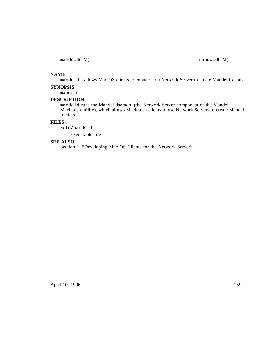mandeld(1M) mandeld(1M)

## **NAME**

mandeld—allows Mac OS clients to connect to a Network Server to create Mandel fractals

**SYNOPSIS**

mandeld

## **DESCRIPTION**

mandeld runs the Mandel daemon, (the Network Server component of the Mandel Macintosh utility), which allows Macintosh clients to use Network Servers to create Mandel fractals.

## **FILES**

/etc/mandeld

Executable file

## **SEE ALSO**

Section 1, "Developing Mac OS Clients for the Network Server"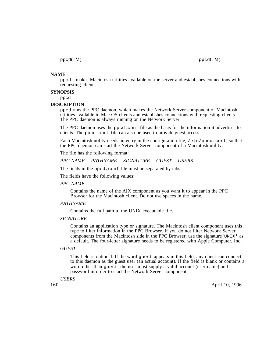$ppcd(1M)$  ppcd(1M)

### **NAME**

ppcd—makes Macintosh utilities available on the server and establishes connections with requesting clients

### **SYNOPSIS**

ppcd

## **DESCRIPTION**

ppcd runs the PPC daemon, which makes the Network Server component of Macintosh utilities available to Mac OS clients and establishes connections with requesting clients. The PPC daemon is always running on the Network Server.

The PPC daemon uses the ppcd.conf file as the basis for the information it advertises to clients. The ppcd.conf file can also be used to provide guest access.

Each Macintosh utility needs an entry in the configuration file, /etc/ppcd.conf, so that the PPC daemon can start the Network Server component of a Macintosh utility.

The file has the following format:

*PPC-NAME PATHNAME SIGNATURE GUEST USERS*

The fields in the ppcd.conf file must be separated by tabs.

The fields have the following values:

## *PPC-NAME*

Contains the name of the AIX component as you want it to appear in the PPC Browser for the Macintosh client. Do not use spaces in the name.

#### *PATHNAME*

Contains the full path to the UNIX executable file.

#### *SIGNATURE*

Contains an application type or signature. The Macintosh client component uses this type to filter information in the PPC Browser. If you do not filter Network Server components from the Macintosh side in the PPC Browser, use the signature 'UNIX' as a default. The four-letter signature needs to be registered with Apple Computer, Inc.

#### *GUEST*

This field is optional. If the word guest appears in this field, any client can connect to this daemon as the guest user (an actual account). If the field is blank or contains a word other than guest, the user must supply a valid account (user name) and password in order to start the Network Server component.

*USERS*

160 **April 10, 1996**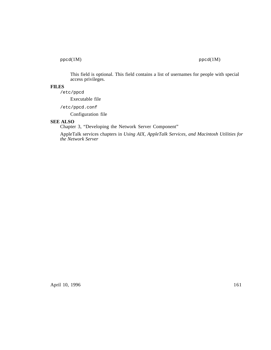$\text{ppcd}(1M)$  ppcd(1M)

This field is optional. This field contains a list of usernames for people with special access privileges.

## **FILES**

/etc/ppcd

Executable file

/etc/ppcd.conf

Configuration file

## **SEE ALSO**

Chapter 3, "Developing the Network Server Component"

AppleTalk services chapters in *Using AIX, AppleTalk Services, and Macintosh Utilities for the Network Server*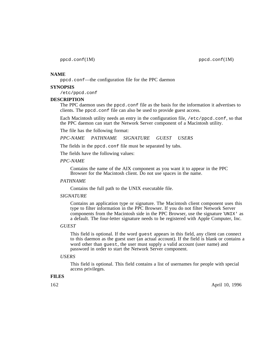ppcd.conf(1M) ppcd.conf(1M)

#### **NAME**

ppcd.conf—the configuration file for the PPC daemon

#### **SYNOPSIS**

/etc/ppcd.conf

#### **DESCRIPTION**

The PPC daemon uses the ppcd.conf file as the basis for the information it advertises to clients. The ppcd.conf file can also be used to provide guest access.

Each Macintosh utility needs an entry in the configuration file, /etc/ppcd.conf, so that the PPC daemon can start the Network Server component of a Macintosh utility.

The file has the following format:

*PPC-NAME PATHNAME SIGNATURE GUEST USERS*

The fields in the ppcd.conf file must be separated by tabs.

The fields have the following values:

## *PPC-NAME*

Contains the name of the AIX component as you want it to appear in the PPC Browser for the Macintosh client. Do not use spaces in the name.

#### *PATHNAME*

Contains the full path to the UNIX executable file.

### *SIGNATURE*

Contains an application type or signature. The Macintosh client component uses this type to filter information in the PPC Browser. If you do not filter Network Server components from the Macintosh side in the PPC Browser, use the signature 'UNIX' as a default. The four-letter signature needs to be registered with Apple Computer, Inc.

#### *GUEST*

This field is optional. If the word guest appears in this field, any client can connect to this daemon as the guest user (an actual account). If the field is blank or contains a word other than guest, the user must supply a valid account (user name) and password in order to start the Network Server component.

#### *USERS*

This field is optional. This field contains a list of usernames for people with special access privileges.

## **FILES**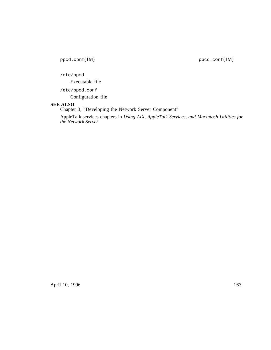ppcd.conf(1M) ppcd.conf(1M)

/etc/ppcd

Executable file

/etc/ppcd.conf

Configuration file

## **SEE ALSO**

Chapter 3, "Developing the Network Server Component"

AppleTalk services chapters in *Using AIX, AppleTalk Services, and Macintosh Utilities for the Network Server*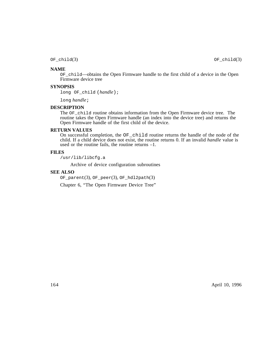### **NAME**

OF\_child—obtains the Open Firmware handle to the first child of a device in the Open Firmware device tree

#### **SYNOPSIS**

long OF\_child (*handle*);

long *handle*;

#### **DESCRIPTION**

The OF\_child routine obtains information from the Open Firmware device tree. The routine takes the Open Firmware handle (an index into the device tree) and returns the Open Firmware handle of the first child of the device.

## **RETURN VALUES**

On successful completion, the OF\_child routine returns the handle of the node of the child. If a child device does not exist, the routine returns 0. If an invalid *handle* value is used or the routine fails, the routine returns –1.

## **FILES**

/usr/lib/libcfg.a

Archive of device configuration subroutines

## **SEE ALSO**

OF\_parent(3), OF\_peer(3), OF\_hdl2path(3)

Chapter 6, "The Open Firmware Device Tree"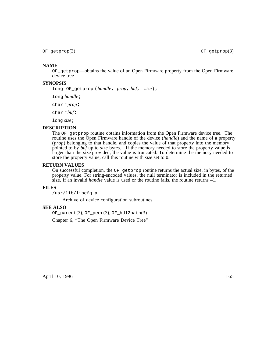OF\_getprop(3) OF\_getprop(3)

## **NAME**

OF\_getprop—obtains the value of an Open Firmware property from the Open Firmware device tree

## **SYNOPSIS**

long OF\_getprop (*handle*, *prop*, *buf*, *size*);

long *handle*;

char \**prop*;

char \**buf*;

long *size*;

## **DESCRIPTION**

The OF\_getprop routine obtains information from the Open Firmware device tree. The routine uses the Open Firmware handle of the device (*handle*) and the name of a property (*prop*) belonging to that handle, and copies the value of that property into the memory pointed to by *buf* up to *size* bytes. If the memory needed to store the property value is larger than the size provided, the value is truncated. To determine the memory needed to store the property value, call this routine with *size* set to 0.

## **RETURN VALUES**

On successful completion, the OF\_getprop routine returns the actual size, in bytes, of the property value. For string-encoded values, the null terminator is included in the returned size. If an invalid *handle* value is used or the routine fails, the routine returns –1.

## **FILES**

/usr/lib/libcfg.a

Archive of device configuration subroutines

## **SEE ALSO**

OF\_parent(3), OF\_peer(3), OF\_hdl2path(3)

Chapter 6, "The Open Firmware Device Tree"

April 10, 1996 165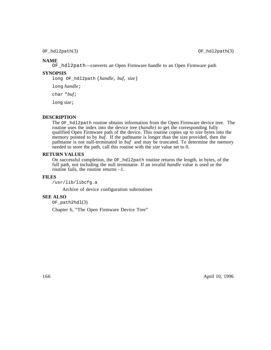OF\_hdl2path(3) OF\_hdl2path(3)

#### **NAME**

OF\_hdl2path—converts an Open Firmware handle to an Open Firmware path

## **SYNOPSIS**

long OF\_hdl2path (*handle*, *buf*, *size*)

long *handle*;

char \**buf*;

long *size*;

### **DESCRIPTION**

The OF\_hdl2path routine obtains information from the Open Firmware device tree. The routine uses the index into the device tree (*handle)* to get the corresponding fully qualified Open Firmware path of the device. This routine copies up to *size* bytes into the memory pointed to by *buf*. If the pathname is longer than the size provided, then the pathname is not null-terminated in *buf* and may be truncated. To determine the memory needed to store the path, call this routine with the *size* value set to 0.

## **RETURN VALUES**

On successful completion, the OF\_hdl2path routine returns the length, in bytes, of the full path, not including the null terminator. If an invalid *handle* value is used or the routine fails, the routine returns –1.

#### **FILES**

/usr/lib/libcfg.a

Archive of device configuration subroutines

#### **SEE ALSO**

OF\_path2hdl(3)

Chapter 6, "The Open Firmware Device Tree"

166 April 10, 1996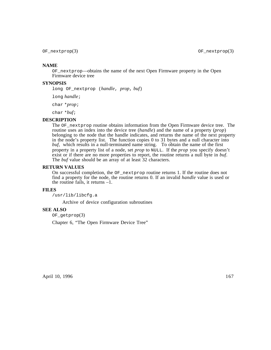OF\_nextprop(3) OF\_nextprop(3)

## **NAME**

OF\_nextprop—obtains the name of the next Open Firmware property in the Open Firmware device tree

## **SYNOPSIS**

long OF\_nextprop (*handle*, *prop*, *buf*)

long *handle*;

char \**prop*;

char \**buf*;

#### **DESCRIPTION**

The OF\_nextprop routine obtains information from the Open Firmware device tree. The routine uses an index into the device tree (*handle*) and the name of a property (*prop*) belonging to the node that the handle indicates, and returns the name of the next property in the node's property list. The function copies 0 to 31 bytes and a null character into *buf*, which results in a null-terminated name string. To obtain the name of the first property in a property list of a node, set *prop* to NULL. If the *prop* you specify doesn't exist or if there are no more properties to report, the routine returns a null byte in *buf*. The *buf* value should be an array of at least 32 characters.

## **RETURN VALUES**

On successful completion, the OF\_nextprop routine returns 1. If the routine does not find a property for the node, the routine returns 0. If an invalid *handle* value is used or the routine fails, it returns –1.

## **FILES**

/usr/lib/libcfg.a

Archive of device configuration subroutines

## **SEE ALSO**

OF\_getprop(3)

Chapter 6, "The Open Firmware Device Tree"

April 10, 1996 167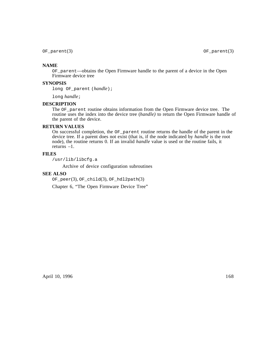OF\_parent(3) OF\_parent(3)

## **NAME**

OF\_parent—obtains the Open Firmware handle to the parent of a device in the Open Firmware device tree

## **SYNOPSIS**

long OF\_parent (*handle*);

long *handle*;

## **DESCRIPTION**

The OF\_parent routine obtains information from the Open Firmware device tree. The routine uses the index into the device tree (*handle)* to return the Open Firmware handle of the parent of the device.

## **RETURN VALUES**

On successful completion, the OF\_parent routine returns the handle of the parent in the device tree. If a parent does not exist (that is, if the node indicated by *handle* is the root node), the routine returns 0. If an invalid *handle* value is used or the routine fails, it returns –1.

## **FILES**

/usr/lib/libcfg.a

Archive of device configuration subroutines

## **SEE ALSO**

 $OF\_peer(3), OF\_child(3), OF\_hd12path(3)$ 

Chapter 6, "The Open Firmware Device Tree"

April 10, 1996 168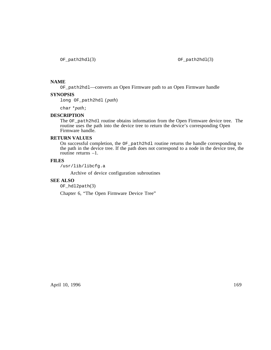#### OF\_path2hdl(3) OF\_path2hdl(3)

#### **NAME**

OF\_path2hdl—converts an Open Firmware path to an Open Firmware handle

## **SYNOPSIS**

long OF\_path2hdl (*path*)

## char \**path*;

## **DESCRIPTION**

The OF\_path2hdl routine obtains information from the Open Firmware device tree. The routine uses the path into the device tree to return the device's corresponding Open Firmware handle.

## **RETURN VALUES**

On successful completion, the OF\_path2hdl routine returns the handle corresponding to the path in the device tree. If the path does not correspond to a node in the device tree, the routine returns –1.

## **FILES**

/usr/lib/libcfg.a

Archive of device configuration subroutines

## **SEE ALSO**

OF\_hdl2path(3)

Chapter 6, "The Open Firmware Device Tree"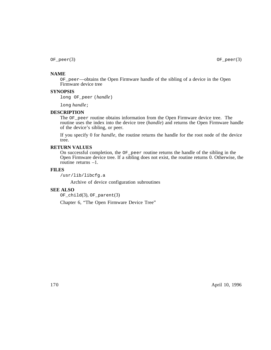## $OF\_peer(3)$  OF $\_peer(3)$

#### **NAME**

OF\_peer—obtains the Open Firmware handle of the sibling of a device in the Open Firmware device tree

### **SYNOPSIS**

long OF\_peer (*handle*)

long *handle*;

## **DESCRIPTION**

The OF\_peer routine obtains information from the Open Firmware device tree. The routine uses the index into the device tree (*handle*) and returns the Open Firmware handle of the device's sibling, or peer.

If you specify 0 for *handle*, the routine returns the handle for the root node of the device tree.

### **RETURN VALUES**

On successful completion, the OF\_peer routine returns the handle of the sibling in the Open Firmware device tree. If a sibling does not exist, the routine returns 0. Otherwise, the routine returns –1.

## **FILES**

/usr/lib/libcfg.a

Archive of device configuration subroutines

## **SEE ALSO**

OF\_child(3), OF\_parent(3)

Chapter 6, "The Open Firmware Device Tree"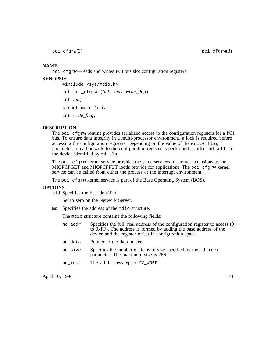pci\_cfgrw—reads and writes PCI bus slot configuration registers

### **SYNOPSIS**

#include <sys/mdio.h> int pci\_cfgrw (*bid*, *md*, *write\_flag*) int *bid*; struct mdio \**md*; int *write\_flag*;

### **DESCRIPTION**

The pci\_cfgrw routine provides serialized access to the configuration registers for a PCI bus. To ensure data integrity in a multi-processor environment, a lock is required before accessing the configuration registers. Depending on the value of the write\_flag parameter, a read or write to the configuration register is performed at offset md\_addr for the device identified by md\_sla.

The pci cfgrw kernel service provides the same services for kernel extensions as the MIOPCFGET and MIOPCFPUT ioctls provide for applications. The pci\_cfgrw kernel service can be called from either the process or the interrupt environment.

The pci cfgrw kernel service is part of the Base Operating System (BOS).

#### **OPTIONS**

bid Specifies the bus identifier.

Set to zero on the Network Server.

md Specifies the address of the mdio structure.

The mdio structure contains the following fields:

| md addr | Specifies the full, real address of the configuration register to access (0<br>to 0xFF). The address is formed by adding the base address of the<br>device and the register offset in configuration space. |
|---------|------------------------------------------------------------------------------------------------------------------------------------------------------------------------------------------------------------|
| md data | Pointer to the data buffer.                                                                                                                                                                                |
| md size | Specifies the number of items of size specified by the md_incr<br>parameter. The maximum size is 256.                                                                                                      |
| md incr | The valid access type is $MV_WORD$ .                                                                                                                                                                       |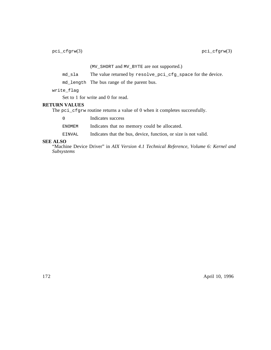(MV\_SHORT and MV\_BYTE are not supported.)

- md\_sla The value returned by resolve\_pci\_cfg\_space for the device.
- md\_length The bus range of the parent bus.

### write\_flag

Set to 1 for write and 0 for read.

### **RETURN VALUES**

The pci\_cfgrw routine returns a value of 0 when it completes successfully.

| 0      | Indicates success                                               |
|--------|-----------------------------------------------------------------|
| ENOMEM | Indicates that no memory could be allocated.                    |
| EINVAL | Indicates that the bus, device, function, or size is not valid. |

### **SEE ALSO**

"Machine Device Driver" in *AIX Version 4.1 Technical Reference, Volume 6: Kernel and Subsystems*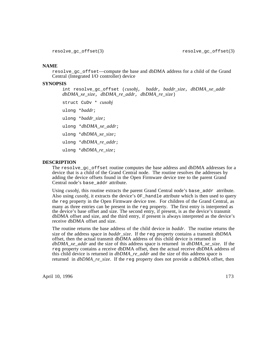resolve gc offset—compute the base and dbDMA address for a child of the Grand Central (Integrated I/O controller) device

#### **SYNOPSIS**

int resolve\_gc\_offset (*cusobj*, *baddr*, *baddr\_size*, *dbDMA\_xe\_addr dbDMA\_xe\_size*, *dbDMA\_re\_addr*, *dbDMA\_re\_size*)

struct CuDv \* *cusobj* ulong \**baddr*; ulong \**baddr\_size*; ulong \**dbDMA\_xe\_addr*; ulong \**dbDMA\_xe\_size*; ulong \**dbDMA\_re\_addr*; ulong \**dbDMA\_re\_size*;

#### **DESCRIPTION**

The resolve\_gc\_offset routine computes the base address and dbDMA addresses for a device that is a child of the Grand Central node. The routine resolves the addresses by adding the device offsets found in the Open Firmware device tree to the parent Grand Central node's base\_addr attribute.

Using *cusobj*, this routine extracts the parent Grand Central node's base\_addr atrribute. Also using *cusobj*, it extracts the device's OF\_handle attribute which is then used to query the reg property in the Open Firmware device tree. For children of the Grand Central, as many as three entries can be present in the reg property. The first entry is interpreted as the device's base offset and size. The second entry, if present, is as the device's transmit dbDMA offset and size, and the third entry, if present is always interpreted as the device's receive dbDMA offset and size.

The routine returns the base address of the child device in *baddr*. The routine returns the size of the address space in *baddr\_size*. If the reg property contains a transmit dbDMA offset, then the actual transmit db $\overline{D}$ MA address of this child device is returned in *dbDMA\_xe\_addr* and the size of this address space is returned in *dbDMA\_xe\_size*. If the reg property contains a receive dbDMA offset, then the actual receive dbDMA address of this child device is returned in *dbDMA\_re\_addr* and the size of this address space is returned in *dbDMA\_re\_size*. If the reg property does not provide a dbDMA offset, then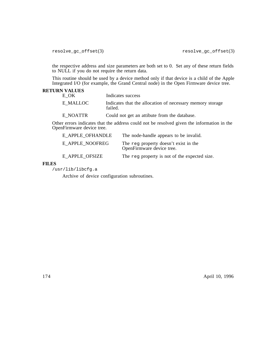resolve\_gc\_offset(3) resolve\_gc\_offset(3)

the respective address and size parameters are both set to 0. Set any of these return fields to NULL if you do not require the return data.

This routine should be used by a device method only if that device is a child of the Apple Integrated I/O (for example, the Grand Central node) in the Open Firmware device tree.

### **RETURN VALUES**

| E OK     | Indicates success                                                    |
|----------|----------------------------------------------------------------------|
| E MALLOC | Indicates that the allocation of necessary memory storage<br>failed. |
| E NOATTR | Could not get an attibute from the database.                         |

Other errors indicates that the address could not be resolved given the information in the OpenFirmware device tree.

| E APPLE OFHANDLE      | The node-handle appears to be invalid.                             |
|-----------------------|--------------------------------------------------------------------|
| E APPLE NOOFREG       | The reg property doesn't exist in the<br>OpenFirmware device tree. |
| <b>E_APPLE_OFSIZE</b> | The reg property is not of the expected size.                      |

### **FILES**

/usr/lib/libcfg.a

Archive of device configuration subroutines.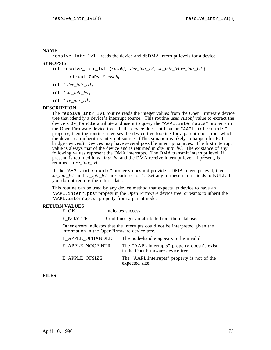resolve intr lvl—reads the device and dbDMA interrupt levels for a device

#### **SYNOPSIS**

int resolve\_intr\_lvl (*cusobj*, *dev\_intr\_lvl*, *xe\_intr\_lvl re\_intr\_lvl* )

struct CuDv \* *cusobj*

int \* *dev\_intr\_lvl*;

int \* *xe\_intr\_lvl*;

int \* *re\_intr\_lvl*;

#### **DESCRIPTION**

The resolve\_intr\_lvl routine reads the integer values from the Open Firmware device tree that identify a device's interrupt source. This routine uses *cusobj* value to extract the device's OF\_handle attribute and use it to query the "AAPL, interrupts" property in the Open Firmware device tree. If the device does not have an "AAPL, interrupts" property, then the routine traverses the device tree looking for a parent node from which the device can inherit its interrupt source. (This situation is likely to happen for PCI bridge devices.) Devices may have several possible interrupt sources. The first interrupt value is always that of the device and is returned in *dev\_intr\_lvl*. The existance of any following values represent the DMA interrupts. The DMA transmit interrupt level, if present, is returned in *xe\_intr\_lvl* and the DMA receive interrupt level, if present, is returned in *re\_intr\_lvl*.

If the "AAPL, interrupts" property does not provide a DMA interrupt level, then *xe\_intr\_lvl* and *re\_intr\_lvl* are both set to -1. Set any of these return fields to NULL if you do not require the return data.

This routine can be used by any device method that expects its device to have an "AAPL, interrupts" propety in the Open Firmware device tree, or wants to inherit the "AAPL, interrupts" property from a parent node.

# **RETURN VALUES**

Indicates success

E\_NOATTR Could not get an attribute from the database.

Other errors indicates that the interrupts could not be interpreted given the information in the OpenFirmware device tree.

| E APPLE OFHANDLE | The node-handle appears to be invalid.                                            |
|------------------|-----------------------------------------------------------------------------------|
| E APPLE NOOFINTR | The "AAPL, interrupts" property doesn't exist<br>in the OpenFirmware device tree. |
| E APPLE OFSIZE   | The "AAPL, interrupts" property is not of the<br>expected size.                   |

### **FILES**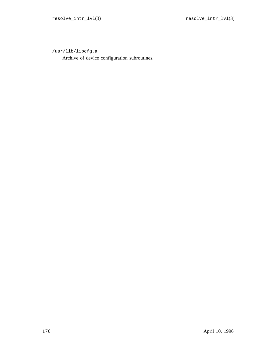/usr/lib/libcfg.a

Archive of device configuration subroutines.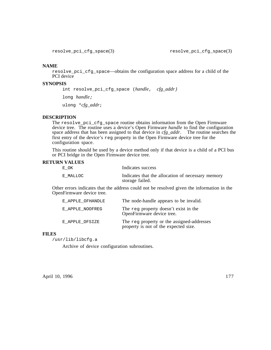resolve\_pci\_cfg\_space(3) resolve\_pci\_cfg\_space(3)

#### **NAME**

resolve\_pci\_cfg\_space—obtains the configuration space address for a child of the PCI device

#### **SYNOPSIS**

int resolve\_pci\_cfg\_space (*handle*, *cfg\_addr*)

long *handle*;

ulong \**cfg\_addr*;

#### **DESCRIPTION**

The resolve\_pci\_cfg\_space routine obtains information from the Open Firmware device tree. The routine uses a device's Open Firmware *handle* to find the configuration space address that has been assigned to that device in *cfg\_addr*. The routine searches the first entry of the device's reg property in the Open Firmware device tree for the configuration space.

This routine should be used by a device method only if that device is a child of a PCI bus or PCI bridge in the Open Firmware device tree.

#### **RETURN VALUES**

| E OK     | Indicates success                                                    |
|----------|----------------------------------------------------------------------|
| E MALLOC | Indicates that the allocation of necessary memory<br>storage failed. |

Other errors indicates that the address could not be resolved given the information in the OpenFirmware device tree.

| E_APPLE_OFHANDLE | The node-handle appears to be invalid.                                           |
|------------------|----------------------------------------------------------------------------------|
| E APPLE NOOFREG  | The reg property doesn't exist in the<br>OpenFirmware device tree.               |
| E APPLE OFSIZE   | The reg property or the assigned-addresses property is not of the expected size. |

#### **FILES**

/usr/lib/libcfg.a

Archive of device configuration subroutines.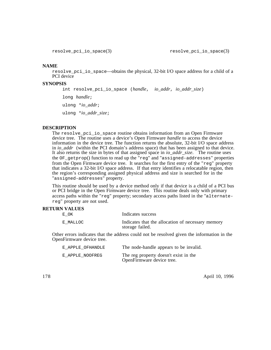resolve\_pci\_io\_space(3) resolve\_pci\_io\_space(3)

#### **NAME**

resolve\_pci\_io\_space—obtains the physical, 32-bit I/O space address for a child of a PCI device

#### **SYNOPSIS**

int resolve\_pci\_io\_space (*handle*, *io\_addr*, *io\_addr\_size*)

long *handle*;

ulong \**io\_addr*;

ulong \**io\_addr\_size*;

#### **DESCRIPTION**

The resolve\_pci\_io\_space routine obtains information from an Open Firmware device tree. The routine uses a device's Open Firmware *handle* to access the device information in the device tree. The function returns the absolute, 32-bit I/O space address in *io\_addr* (within the PCI domain's address space) that has been assigned to that device. It also returns the size in bytes of that assigned space in *io\_addr\_size*. The routine uses the OF\_getprop() function to read up the "reg" and "assigned-addresses" properties from the Open Firmware device tree. It searches for the first entry of the "reg" property that indicates a 32-bit I/O space address. If that entry identifies a relocatable region, then the region's corresponding assigned physical address and size is searched for in the "assigned-addresses" property.

This routine should be used by a device method only if that device is a child of a PCI bus or PCI bridge in the Open Firmware device tree. This routine deals only with primary access paths within the "reg" property; secondary access paths listed in the "alternatereg" property are not used.

#### **RETURN VALUES**

| E OK     | Indicates success                                                    |
|----------|----------------------------------------------------------------------|
| E MALLOC | Indicates that the allocation of necessary memory<br>storage failed. |

Other errors indicates that the address could not be resolved given the information in the OpenFirmware device tree.

| E APPLE OFHANDLE | The node-handle appears to be invalid.                             |
|------------------|--------------------------------------------------------------------|
| E APPLE NOOFREG  | The reg property doesn't exist in the<br>OpenFirmware device tree. |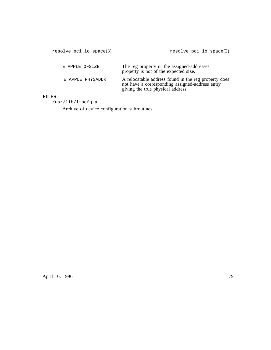resolve\_pci\_io\_space(3) resolve\_pci\_io\_space(3)

| E APPLE OFSIZE   | The reg property or the assigned-addresses<br>property is not of the expected size.                                                          |
|------------------|----------------------------------------------------------------------------------------------------------------------------------------------|
| E APPLE PHYSADDR | A relocatable address found in the reg property does<br>not have a corresponding assigned-address entry<br>giving the true physical address. |

### **FILES**

/usr/lib/libcfg.a

Archive of device configuration subroutines.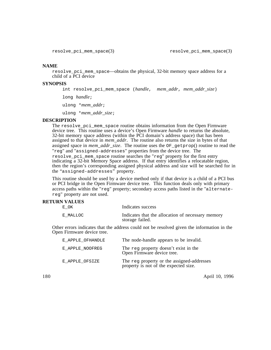resolve\_pci\_mem\_space—obtains the physical, 32-bit memory space address for a child of a PCI device

#### **SYNOPSIS**

int resolve\_pci\_mem\_space (*handle*, *mem\_addr*, *mem\_addr\_size*)

long *handle*;

ulong \**mem\_addr*;

ulong \**mem\_addr\_size*;

### **DESCRIPTION**

The resolve pci mem space routine obtains information from the Open Firmware device tree. This routine uses a device's Open Firmware *handle* to returns the absolute, 32-bit memory space address (within the PCI domain's address space) that has been assigned to that device in *mem\_addr*. The routine also returns the size in bytes of that assigned space in *mem\_addr\_size*. The routine uses the OF\_getprop() routine to read the "reg" and "assigned-addresses" properties from the device tree. The resolve\_pci\_mem\_space routine searches the "reg" property for the first entry indicating a 32-bit Memory Space address. If that entry identifies a relocatable region, then the region's corresponding assigned physical address and size will be searched for in the "assigned-addresses" property.

This routine should be used by a device method only if that device is a child of a PCI bus or PCI bridge in the Open Firmware device tree. This function deals only with primary access paths within the "reg" property; secondary access paths listed in the "alternatereg" property are not used.

#### **RETURN VALUES**

| E OK     | Indicates success                                                    |
|----------|----------------------------------------------------------------------|
| E MALLOC | Indicates that the allocation of necessary memory<br>storage failed. |

Other errors indicates that the address could not be resolved given the information in the Open Firmware device tree.

| E APPLE OFHANDLE | The node-handle appears to be invalid.                                              |
|------------------|-------------------------------------------------------------------------------------|
| E APPLE NOOFREG  | The reg property doesn't exist in the<br>Open Firmware device tree.                 |
| E APPLE OFSIZE   | The reg property or the assigned-addresses<br>property is not of the expected size. |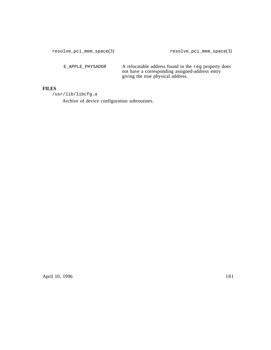resolve\_pci\_mem\_space(3) resolve\_pci\_mem\_space(3)

E\_APPLE\_PHYSADDR A relocatable address found in the reg property does not have a corresponding assigned-address entry giving the true physical address.

### **FILES**

/usr/lib/libcfg.a

Archive of device configuration subroutines.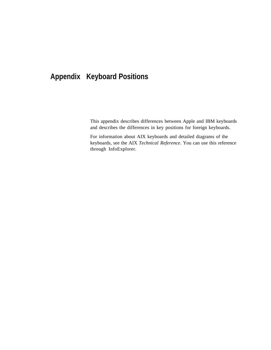# **Appendix Keyboard Positions**

This appendix describes differences between Apple and IBM keyboards and describes the differences in key positions for foreign keyboards.

For information about AIX keyboards and detailed diagrams of the keyboards, see the AIX *Technical Reference*. You can use this reference through InfoExplorer.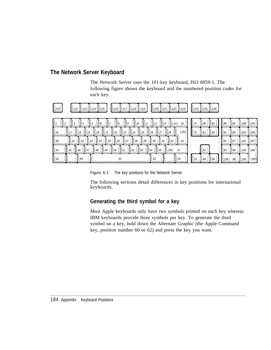## **The Network Server Keyboard**

The Network Server uses the 101-key keyboard, ISO 8859-1. The following figure shows the keyboard and the numbered position codes for each key.



Figure A-1 The key positions for the Network Server

The following sections detail differences in key positions for international keyboards.

### **Generating the third symbol for a key**

Most Apple keyboards only have two symbols printed on each key whereas IBM keyboards provide three symbols per key. To generate the third symbol on a key, hold down the Alternate Graphic (the Apple Command key, position number 60 or 62) and press the key you want.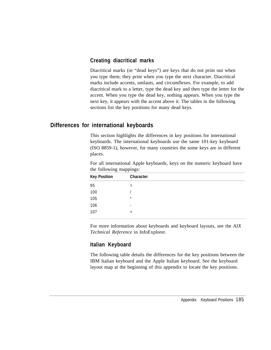### **Creating diacritical marks**

Diacritical marks (or "dead keys") are keys that do not print out when you type them; they print when you type the next character. Diacritical marks include accents, umlauts, and circumflexes. For example, to add diacritical mark to a letter, type the dead key and then type the letter for the accent. When you type the dead key, nothing appears. When you type the next key, it appears with the accent above it. The tables in the following sections list the key positions for many dead keys.

## **Differences for international keyboards**

This section highlights the differences in key positions for international keyboards. The international keyboards use the same 101-key keyboard (ISO 8859-1), however, for many countries the some keys are in different places.

| ັ<br>$\cdots$            |           |  |  |
|--------------------------|-----------|--|--|
| <b>Key Position</b>      | Character |  |  |
| 95                       |           |  |  |
|                          |           |  |  |
|                          | $^\star$  |  |  |
|                          |           |  |  |
| 100<br>105<br>106<br>107 |           |  |  |
|                          |           |  |  |

For all international Apple keyboards, keys on the numeric keyboard have the following mappings:

For more information about keyboards and keyboard layouts, see the *AIX Technical Reference* in InfoExplorer.

### **Italian Keyboard**

The following table details the differences for the key positions between the IBM Italian keyboard and the Apple Italian keyboard. See the keyboard layout map at the beginning of this appendix to locate the key positions.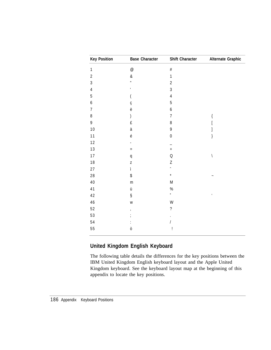| <b>Key Position</b>     | <b>Base Character</b>     | <b>Shift Character</b>  | Alternate Graphic    |
|-------------------------|---------------------------|-------------------------|----------------------|
| $\mathbf 1$             | $^\text{\textregistered}$ | $\#$                    |                      |
| $\overline{2}$          | &                         | $\mathbf{1}$            |                      |
| 3                       | $\blacksquare$            | $\overline{2}$          |                      |
| $\overline{\mathbf{4}}$ | ł.                        | 3                       |                      |
| $\sqrt{5}$              | (                         | $\overline{\mathbf{4}}$ |                      |
| 6                       | Ç                         | 5                       |                      |
| $\boldsymbol{7}$        | è                         | 6                       |                      |
| 8                       | )                         | $\overline{7}$          | $\{$                 |
| 9                       | £                         | 8                       | ĺ                    |
| $10$                    | à                         | 9                       | l                    |
| 11                      | é                         | $\pmb{0}$               | $\big\}$             |
| 12                      |                           |                         |                      |
| 13                      | $=$                       | $\ddot{}$               |                      |
| $17$                    | q                         | Q                       | $\backslash$         |
| $18$                    | Z                         | Z                       |                      |
| $27\,$                  | ì                         | $\hat{\phantom{a}}$     |                      |
| 28                      | \$                        | $\star$                 |                      |
| 40                      | ${\sf m}$                 | M                       |                      |
| 41                      | ù                         | $\%$                    |                      |
| 42                      | $\S$                      | $\circ$                 | $\pmb{\mathfrak{c}}$ |
| 46                      | W                         | ${\sf W}$               |                      |
| 52                      | ,                         | $\ddot{?}$              |                      |
| 53                      | ,                         |                         |                      |
| 54                      |                           |                         |                      |
| 55                      | ò                         | Ţ                       |                      |

## **United Kingdom English Keyboard**

The following table details the differences for the key positions between the IBM United Kingdom English keyboard layout and the Apple United Kingdom keyboard. See the keyboard layout map at the beginning of this appendix to locate the key positions.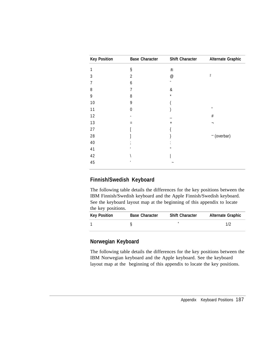| <b>Key Position</b> | <b>Base Character</b> | <b>Shift Character</b>    | <b>Alternate Graphic</b> |
|---------------------|-----------------------|---------------------------|--------------------------|
| 1                   | Ş                     | $\pm$                     |                          |
| 3                   | $\overline{2}$        | $^\text{\textregistered}$ | $\sqrt{2}$               |
| 7                   | 6                     | $\hat{\phantom{a}}$       |                          |
| 8                   | 7                     | &                         |                          |
| 9                   | 8                     | $\star$                   |                          |
| 10                  | 9                     |                           |                          |
| 11                  | $\pmb{0}$             |                           | $\circ$                  |
| 12                  |                       |                           | $\#$                     |
| 13                  | $\equiv$              | $\ddot{}$                 | π,                       |
| 27                  |                       |                           |                          |
| 28                  |                       |                           | $-$ (overbar)            |
| 40                  |                       |                           |                          |
| 41                  |                       | Π                         |                          |
| 42                  |                       |                           |                          |
| 45                  | t                     |                           |                          |

## **Finnish/Swedish Keyboard**

The following table details the differences for the key positions between the IBM Finnish/Swedish keyboard and the Apple Finnish/Swedish keyboard. See the keyboard layout map at the beginning of this appendix to locate the key positions.

| <b>Key Position</b> | <b>Base Character</b> | <b>Shift Character</b> | <b>Alternate Graphic</b> |
|---------------------|-----------------------|------------------------|--------------------------|
|                     |                       | ۰                      | 1/2                      |

## **Norwegian Keyboard**

The following table details the differences for the key positions between the IBM Norwegian keyboard and the Apple keyboard. See the keyboard layout map at the beginning of this appendix to locate the key positions.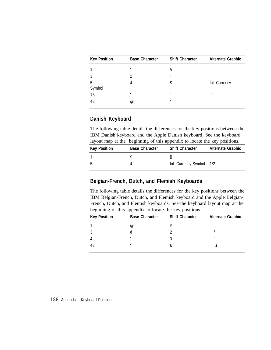| <b>Key Position</b> | <b>Base Character</b> | <b>Shift Character</b> | <b>Alternate Graphic</b> |
|---------------------|-----------------------|------------------------|--------------------------|
|                     |                       | ş                      |                          |
| 3                   | 2                     | $\blacksquare$         |                          |
| 5<br>Symbol         | 4                     | \$                     | Int. Currency            |
| 13                  |                       | ٠                      |                          |
| 42                  | @                     | $\star$                |                          |

# **Danish Keyboard**

The following table details the differences for the key positions between the IBM Danish keyboard and the Apple Danish keyboard. See the keyboard layout map at the beginning of this appendix to locate the key positions.

| <b>Base Character</b> | <b>Shift Character</b> | <b>Alternate Graphic</b> |  |
|-----------------------|------------------------|--------------------------|--|
|                       |                        |                          |  |
|                       |                        |                          |  |
|                       |                        | Int. Currency Symbol 1/2 |  |

## **Belgian-French, Dutch, and Flemish Keyboards**

The following table details the differences for the key positions between the IBM Belgian-French, Dutch, and Flemish keyboard and the Apple Belgian-French, Dutch, and Flemish keyboards. See the keyboard layout map at the beginning of this appendix to locate the key positions.

| <b>Key Position</b> | <b>Base Character</b> | <b>Shift Character</b> | <b>Alternate Graphic</b> |
|---------------------|-----------------------|------------------------|--------------------------|
|                     | $^{\textregistered}$  |                        |                          |
| -3                  | е                     |                        | 2                        |
|                     | ш                     |                        | 3                        |
| -42                 |                       |                        | μ                        |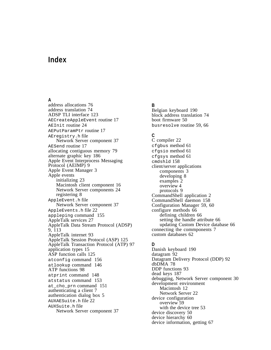## **Index**

### **A**

address allocations 76 address translation 74 ADSP TLI interface 123 AECreateAppleEvent routine 17 AEInit routine 24 AEPutParamPtr routine 17 AEregistry.h file Network Server component 37 AESend routine 17 allocating contiguous memory 79 alternate graphic key 186 Apple Event Interprocess Messaging Protocol (AEIMP) 9 Apple Event Manager 3 Apple events initializing 23 Macintosh client component 16 Network Server components 24 registering 8 AppleEvent.h file Network Server component 37 AppleEvents.h file 22 appleping command 155 AppleTalk services 27 AppleTalk Data Stream Protocol (ADSP) 9, 113 AppleTalk internet 93 AppleTalk Session Protocol (ASP) 125 AppleTalk Transaction Protocol (ATP) 97 application types 15 ASP function calls 125 atconfig command 156 atlookup command 146 ATP functions 98 atprint command 148 atstatus command 153 at\_cho\_prn command 151 authenticating a client 7 authentication dialog box 5 AUXAESuite.h file 22 AUXSuite.h file Network Server component 37

### **B**

Belgian keyboard 190 block address translation 74 boot firmware 50 busresolve routine 59, 66

### **C**

C compiler 22 cfgbus method 61 cfgsio method 61  $cf$ gsys method  $61$ cmdshld 158 client/server applications components 3 developing 8 examples 2 overview 4 protocols 9 CommandShell application 2 CommandShell daemon 158 Configuration Manager 59, 60 configure methods 66 defining children 66 setting the handle attribute 66 updating Custom Device database 66 connecting the commponents 7 custom databases 62

### **D**

Danish keyboard 190 datagram 92 Datagram Delivery Protocol (DDP) 92 dbDMA 78 DDP functions 93 dead keys 187 debugging, Network Server component 30 development environment Macintosh 12 Network Server 22 device configuration overview 59 with the device tree 53 device discovery 50 device hierarchy 60 device information, getting 67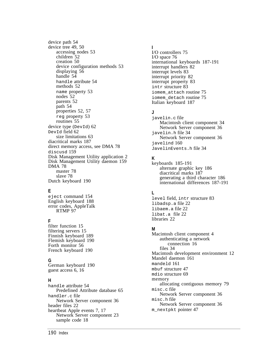device path 54 device tree 49, 50 accessing nodes 53 children 52 creation 50 device configuration methods 53 displaying 56 handle 54 handle attribute 54 methods 52 name property 53 nodes 52 parents 52 path 54 properties 52, 57 reg property 53 routines 55 device type (DevId) 62 DevId field 62 size limitations 63 diacritical marks 187 direct memory access, see DMA 78 discusd 159 Disk Management Utility application 2 Disk Management Utility daemon 159 DMA 78 master 78 slave 78 Dutch keyboard 190

### **E**

eject command 154 English keyboard 188 error codes, AppleTalk RTMP 97

### **F**

filter function 15 filtering servers 15 Finnish keyboard 189 Flemish keyboard 190 Forth monitor 56 French keyboard 190

### **G**

German keyboard 190 guest access 6, 16

### **H**

handle attribute 54 Predefined Attribute database 65 handler.c file Network Server component 36 header files 22 heartbeat Apple events 7, 17 Network Server component 23 sample code 18

**I** I/O controllers 75 I/O space 76 international keyboards 187-191 interrupt handlers 82 interrupt levels 83 interrupt priority 82 interrupt property 83 intr structure 83 iomem\_attach routine 75 iomem\_detach routine 75 Italian keyboard 187

## **J**

javelin.c file Macintosh client component 34 Network Server component 36 javelin.h file 34 Network Server component 36 javelind 160 JavelinEvents.h file 34

## **K**

keyboards 185-191 alternate graphic key 186 diacritical marks 187 generating a third character 186 international differences 187-191

## **L**

level field, intr structure 83 libadsp.a file 22 libaem.a file 22 libat.a file 22 libraries 22

### **M**

Macintosh client component 4 authenticating a network connection 16 files 34 Macintosh development environment 12 Mandel daemon 161 mandeld 161 mbuf structure 47 mdio structure 69 memory allocating contiguous memory 79 misc.c file Network Server component 36 misc.h file Network Server component 36 m\_nextpkt pointer 47